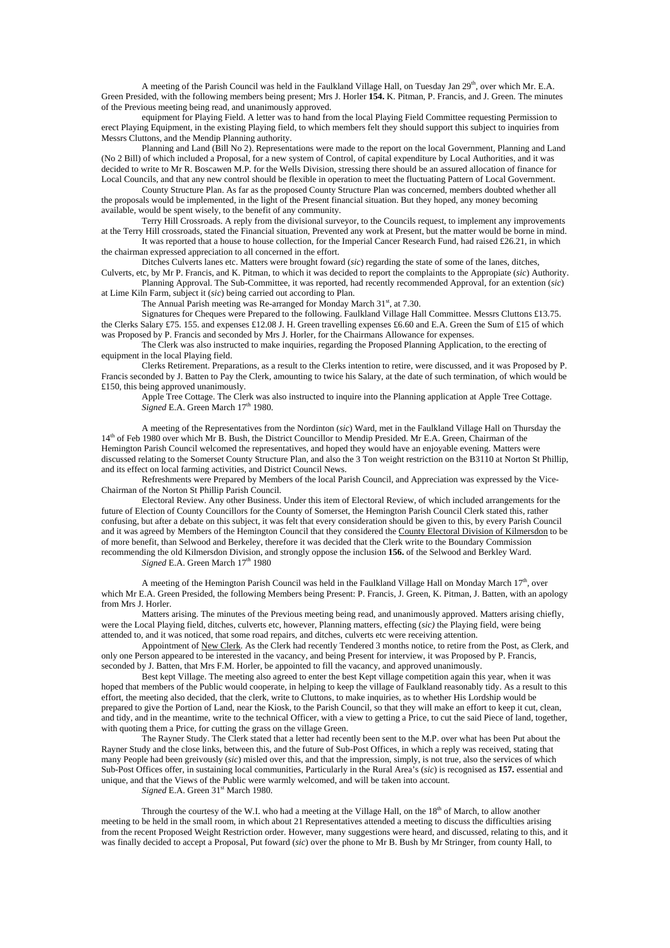A meeting of the Parish Council was held in the Faulkland Village Hall, on Tuesday Jan 29<sup>th</sup>, over which Mr. E.A. Green Presided, with the following members being present; Mrs J. Horler **154.** K. Pitman, P. Francis, and J. Green. The minutes of the Previous meeting being read, and unanimously approved.

 equipment for Playing Field. A letter was to hand from the local Playing Field Committee requesting Permission to erect Playing Equipment, in the existing Playing field, to which members felt they should support this subject to inquiries from Messrs Cluttons, and the Mendip Planning authority.

 Planning and Land (Bill No 2). Representations were made to the report on the local Government, Planning and Land (No 2 Bill) of which included a Proposal, for a new system of Control, of capital expenditure by Local Authorities, and it was decided to write to Mr R. Boscawen M.P. for the Wells Division, stressing there should be an assured allocation of finance for Local Councils, and that any new control should be flexible in operation to meet the fluctuating Pattern of Local Government.

 County Structure Plan. As far as the proposed County Structure Plan was concerned, members doubted whether all the proposals would be implemented, in the light of the Present financial situation. But they hoped, any money becoming available, would be spent wisely, to the benefit of any community.

 Terry Hill Crossroads. A reply from the divisional surveyor, to the Councils request, to implement any improvements at the Terry Hill crossroads, stated the Financial situation, Prevented any work at Present, but the matter would be borne in mind.

 It was reported that a house to house collection, for the Imperial Cancer Research Fund, had raised £26.21, in which the chairman expressed appreciation to all concerned in the effort.

 Ditches Culverts lanes etc. Matters were brought foward (*sic*) regarding the state of some of the lanes, ditches, Culverts, etc, by Mr P. Francis, and K. Pitman, to which it was decided to report the complaints to the Appropiate (*sic*) Authority.

 Planning Approval. The Sub-Committee, it was reported, had recently recommended Approval, for an extention (*sic*) at Lime Kiln Farm, subject it (*sic*) being carried out according to Plan.

The Annual Parish meeting was Re-arranged for Monday March  $31<sup>st</sup>$ , at 7.30.

 Signatures for Cheques were Prepared to the following. Faulkland Village Hall Committee. Messrs Cluttons £13.75. the Clerks Salary £75. 155. and expenses £12.08 J. H. Green travelling expenses £6.60 and E.A. Green the Sum of £15 of which was Proposed by P. Francis and seconded by Mrs J. Horler, for the Chairmans Allowance for expenses.

 The Clerk was also instructed to make inquiries, regarding the Proposed Planning Application, to the erecting of equipment in the local Playing field.

 Clerks Retirement. Preparations, as a result to the Clerks intention to retire, were discussed, and it was Proposed by P. Francis seconded by J. Batten to Pay the Clerk, amounting to twice his Salary, at the date of such termination, of which would be £150, this being approved unanimously.

 Apple Tree Cottage. The Clerk was also instructed to inquire into the Planning application at Apple Tree Cottage. Signed E.A. Green March 17<sup>th</sup> 1980.

 A meeting of the Representatives from the Nordinton (*sic*) Ward, met in the Faulkland Village Hall on Thursday the 14<sup>th</sup> of Feb 1980 over which Mr B. Bush, the District Councillor to Mendip Presided. Mr E.A. Green, Chairman of the Hemington Parish Council welcomed the representatives, and hoped they would have an enjoyable evening. Matters were discussed relating to the Somerset County Structure Plan, and also the 3 Ton weight restriction on the B3110 at Norton St Phillip, and its effect on local farming activities, and District Council News.

 Refreshments were Prepared by Members of the local Parish Council, and Appreciation was expressed by the Vice-Chairman of the Norton St Phillip Parish Council.

 Electoral Review. Any other Business. Under this item of Electoral Review, of which included arrangements for the future of Election of County Councillors for the County of Somerset, the Hemington Parish Council Clerk stated this, rather confusing, but after a debate on this subject, it was felt that every consideration should be given to this, by every Parish Council and it was agreed by Members of the Hemington Council that they considered the County Electoral Division of Kilmersdon to be of more benefit, than Selwood and Berkeley, therefore it was decided that the Clerk write to the Boundary Commission recommending the old Kilmersdon Division, and strongly oppose the inclusion **156.** of the Selwood and Berkley Ward.

*Signed* E.A. Green March  $17<sup>th</sup> 1980$ 

A meeting of the Hemington Parish Council was held in the Faulkland Village Hall on Monday March  $17<sup>th</sup>$ , over which Mr E.A. Green Presided, the following Members being Present: P. Francis, J. Green, K. Pitman, J. Batten, with an apology from Mrs J. Horler.

 Matters arising. The minutes of the Previous meeting being read, and unanimously approved. Matters arising chiefly, were the Local Playing field, ditches, culverts etc, however, Planning matters, effecting (*sic)* the Playing field, were being attended to, and it was noticed, that some road repairs, and ditches, culverts etc were receiving attention.

 Appointment of New Clerk. As the Clerk had recently Tendered 3 months notice, to retire from the Post, as Clerk, and only one Person appeared to be interested in the vacancy, and being Present for interview, it was Proposed by P. Francis, seconded by J. Batten, that Mrs F.M. Horler, be appointed to fill the vacancy, and approved unanimously.

 Best kept Village. The meeting also agreed to enter the best Kept village competition again this year, when it was hoped that members of the Public would cooperate, in helping to keep the village of Faulkland reasonably tidy. As a result to this effort, the meeting also decided, that the clerk, write to Cluttons, to make inquiries, as to whether His Lordship would be prepared to give the Portion of Land, near the Kiosk, to the Parish Council, so that they will make an effort to keep it cut, clean, and tidy, and in the meantime, write to the technical Officer, with a view to getting a Price, to cut the said Piece of land, together, with quoting them a Price, for cutting the grass on the village Green.

 The Rayner Study. The Clerk stated that a letter had recently been sent to the M.P. over what has been Put about the Rayner Study and the close links, between this, and the future of Sub-Post Offices, in which a reply was received, stating that many People had been greivously (*sic*) misled over this, and that the impression, simply, is not true, also the services of which Sub-Post Offices offer, in sustaining local communities, Particularly in the Rural Area's (*sic*) is recognised as **157.** essential and unique, and that the Views of the Public were warmly welcomed, and will be taken into account.

*Signed* E.A. Green 31<sup>st</sup> March 1980.

Through the courtesy of the W.I. who had a meeting at the Village Hall, on the 18<sup>th</sup> of March, to allow another meeting to be held in the small room, in which about 21 Representatives attended a meeting to discuss the difficulties arising from the recent Proposed Weight Restriction order. However, many suggestions were heard, and discussed, relating to this, and it was finally decided to accept a Proposal, Put foward (*sic*) over the phone to Mr B. Bush by Mr Stringer, from county Hall, to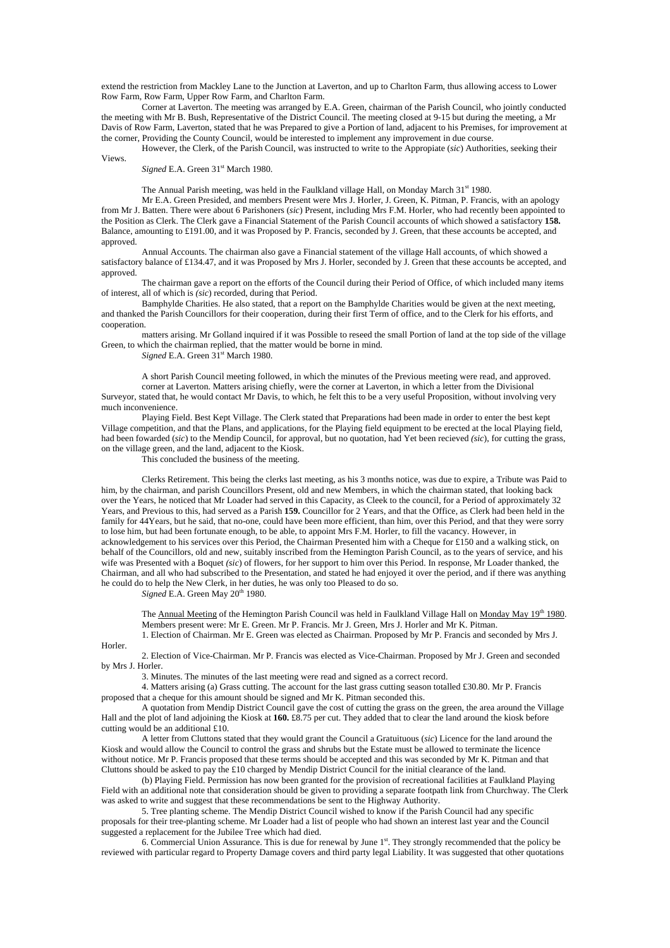extend the restriction from Mackley Lane to the Junction at Laverton, and up to Charlton Farm, thus allowing access to Lower Row Farm, Row Farm, Upper Row Farm, and Charlton Farm.

 Corner at Laverton. The meeting was arranged by E.A. Green, chairman of the Parish Council, who jointly conducted the meeting with Mr B. Bush, Representative of the District Council. The meeting closed at 9-15 but during the meeting, a Mr Davis of Row Farm, Laverton, stated that he was Prepared to give a Portion of land, adjacent to his Premises, for improvement at the corner, Providing the County Council, would be interested to implement any improvement in due course.

 However, the Clerk, of the Parish Council, was instructed to write to the Appropiate (*sic*) Authorities, seeking their Views.

*Signed* E.A. Green 31<sup>st</sup> March 1980.

The Annual Parish meeting, was held in the Faulkland village Hall, on Monday March 31<sup>st</sup> 1980.

 Mr E.A. Green Presided, and members Present were Mrs J. Horler, J. Green, K. Pitman, P. Francis, with an apology from Mr J. Batten. There were about 6 Parishoners (*sic*) Present, including Mrs F.M. Horler, who had recently been appointed to the Position as Clerk. The Clerk gave a Financial Statement of the Parish Council accounts of which showed a satisfactory **158.** Balance, amounting to £191.00, and it was Proposed by P. Francis, seconded by J. Green, that these accounts be accepted, and approved.

 Annual Accounts. The chairman also gave a Financial statement of the village Hall accounts, of which showed a satisfactory balance of £134.47, and it was Proposed by Mrs J. Horler, seconded by J. Green that these accounts be accepted, and approved.

 The chairman gave a report on the efforts of the Council during their Period of Office, of which included many items of interest, all of which is *(sic*) recorded, during that Period.

 Bamphylde Charities. He also stated, that a report on the Bamphylde Charities would be given at the next meeting, and thanked the Parish Councillors for their cooperation, during their first Term of office, and to the Clerk for his efforts, and cooperation.

 matters arising. Mr Golland inquired if it was Possible to reseed the small Portion of land at the top side of the village Green, to which the chairman replied, that the matter would be borne in mind.

*Signed* E.A. Green 31<sup>st</sup> March 1980.

 A short Parish Council meeting followed, in which the minutes of the Previous meeting were read, and approved. corner at Laverton. Matters arising chiefly, were the corner at Laverton, in which a letter from the Divisional Surveyor, stated that, he would contact Mr Davis, to which, he felt this to be a very useful Proposition, without involving very much inconvenience.

 Playing Field. Best Kept Village. The Clerk stated that Preparations had been made in order to enter the best kept Village competition, and that the Plans, and applications, for the Playing field equipment to be erected at the local Playing field, had been fowarded (*sic*) to the Mendip Council, for approval, but no quotation, had Yet been recieved *(sic*), for cutting the grass, on the village green, and the land, adjacent to the Kiosk.

This concluded the business of the meeting.

 Clerks Retirement. This being the clerks last meeting, as his 3 months notice, was due to expire, a Tribute was Paid to him, by the chairman, and parish Councillors Present, old and new Members, in which the chairman stated, that looking back over the Years, he noticed that Mr Loader had served in this Capacity, as Cleek to the council, for a Period of approximately 32 Years, and Previous to this, had served as a Parish **159.** Councillor for 2 Years, and that the Office, as Clerk had been held in the family for 44Years, but he said, that no-one, could have been more efficient, than him, over this Period, and that they were sorry to lose him, but had been fortunate enough, to be able, to appoint Mrs F.M. Horler, to fill the vacancy. However, in acknowledgement to his services over this Period, the Chairman Presented him with a Cheque for £150 and a walking stick, on behalf of the Councillors, old and new, suitably inscribed from the Hemington Parish Council, as to the years of service, and his wife was Presented with a Boquet *(sic*) of flowers, for her support to him over this Period. In response, Mr Loader thanked, the Chairman, and all who had subscribed to the Presentation, and stated he had enjoyed it over the period, and if there was anything he could do to help the New Clerk, in her duties, he was only too Pleased to do so.

*Signed* E.A. Green May 20<sup>th</sup> 1980.

The Annual Meeting of the Hemington Parish Council was held in Faulkland Village Hall on Monday May 19<sup>th</sup> 1980. Members present were: Mr E. Green. Mr P. Francis. Mr J. Green, Mrs J. Horler and Mr K. Pitman. 1. Election of Chairman. Mr E. Green was elected as Chairman. Proposed by Mr P. Francis and seconded by Mrs J.

Horler.

 2. Election of Vice-Chairman. Mr P. Francis was elected as Vice-Chairman. Proposed by Mr J. Green and seconded by Mrs J. Horler.

3. Minutes. The minutes of the last meeting were read and signed as a correct record.

 4. Matters arising (a) Grass cutting. The account for the last grass cutting season totalled £30.80. Mr P. Francis proposed that a cheque for this amount should be signed and Mr K. Pitman seconded this.

 A quotation from Mendip District Council gave the cost of cutting the grass on the green, the area around the Village Hall and the plot of land adjoining the Kiosk at **160.** £8.75 per cut. They added that to clear the land around the kiosk before cutting would be an additional £10.

 A letter from Cluttons stated that they would grant the Council a Gratuituous (*sic*) Licence for the land around the Kiosk and would allow the Council to control the grass and shrubs but the Estate must be allowed to terminate the licence without notice. Mr P. Francis proposed that these terms should be accepted and this was seconded by Mr K. Pitman and that Cluttons should be asked to pay the £10 charged by Mendip District Council for the initial clearance of the land.

 (b) Playing Field. Permission has now been granted for the provision of recreational facilities at Faulkland Playing Field with an additional note that consideration should be given to providing a separate footpath link from Churchway. The Clerk was asked to write and suggest that these recommendations be sent to the Highway Authority.

 5. Tree planting scheme. The Mendip District Council wished to know if the Parish Council had any specific proposals for their tree-planting scheme. Mr Loader had a list of people who had shown an interest last year and the Council suggested a replacement for the Jubilee Tree which had died.

6. Commercial Union Assurance. This is due for renewal by June 1<sup>st</sup>. They strongly recommended that the policy be reviewed with particular regard to Property Damage covers and third party legal Liability. It was suggested that other quotations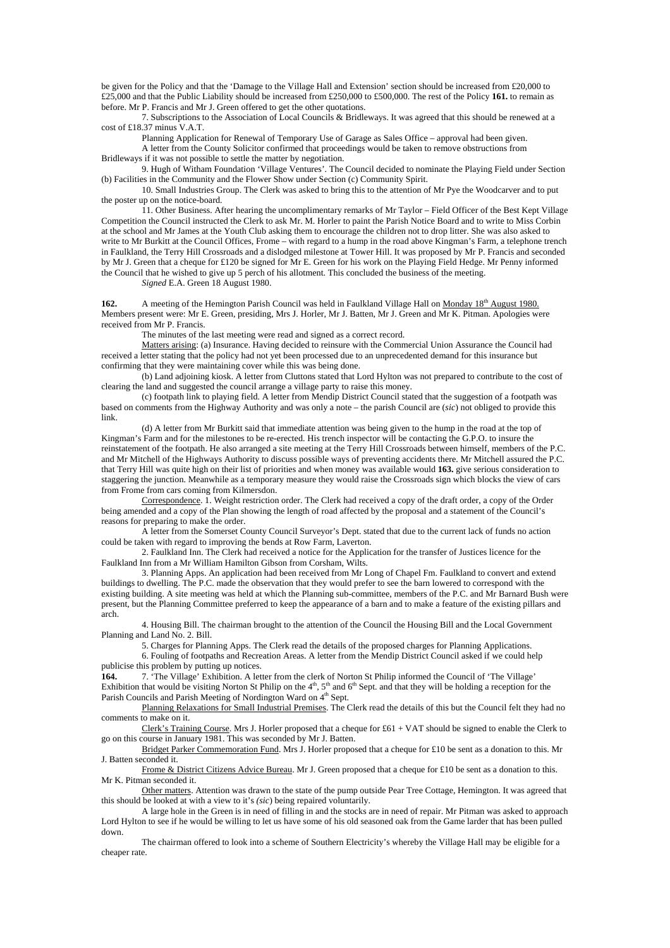be given for the Policy and that the 'Damage to the Village Hall and Extension' section should be increased from £20,000 to £25,000 and that the Public Liability should be increased from £250,000 to £500,000. The rest of the Policy **161.** to remain as before. Mr P. Francis and Mr J. Green offered to get the other quotations.

 7. Subscriptions to the Association of Local Councils & Bridleways. It was agreed that this should be renewed at a cost of £18.37 minus V.A.T.

Planning Application for Renewal of Temporary Use of Garage as Sales Office – approval had been given.

 A letter from the County Solicitor confirmed that proceedings would be taken to remove obstructions from Bridleways if it was not possible to settle the matter by negotiation.

 9. Hugh of Witham Foundation 'Village Ventures'. The Council decided to nominate the Playing Field under Section (b) Facilities in the Community and the Flower Show under Section (c) Community Spirit.

 10. Small Industries Group. The Clerk was asked to bring this to the attention of Mr Pye the Woodcarver and to put the poster up on the notice-board.

 11. Other Business. After hearing the uncomplimentary remarks of Mr Taylor – Field Officer of the Best Kept Village Competition the Council instructed the Clerk to ask Mr. M. Horler to paint the Parish Notice Board and to write to Miss Corbin at the school and Mr James at the Youth Club asking them to encourage the children not to drop litter. She was also asked to write to Mr Burkitt at the Council Offices, Frome – with regard to a hump in the road above Kingman's Farm, a telephone trench in Faulkland, the Terry Hill Crossroads and a dislodged milestone at Tower Hill. It was proposed by Mr P. Francis and seconded by Mr J. Green that a cheque for £120 be signed for Mr E. Green for his work on the Playing Field Hedge. Mr Penny informed the Council that he wished to give up 5 perch of his allotment. This concluded the business of the meeting.

*Signed* E.A. Green 18 August 1980.

**162.** A meeting of the Hemington Parish Council was held in Faulkland Village Hall on Monday 18th August 1980. Members present were: Mr E. Green, presiding, Mrs J. Horler, Mr J. Batten, Mr J. Green and Mr K. Pitman. Apologies were received from Mr P. Francis.

The minutes of the last meeting were read and signed as a correct record.

 Matters arising: (a) Insurance. Having decided to reinsure with the Commercial Union Assurance the Council had received a letter stating that the policy had not yet been processed due to an unprecedented demand for this insurance but confirming that they were maintaining cover while this was being done.

 (b) Land adjoining kiosk. A letter from Cluttons stated that Lord Hylton was not prepared to contribute to the cost of clearing the land and suggested the council arrange a village party to raise this money.

 (c) footpath link to playing field. A letter from Mendip District Council stated that the suggestion of a footpath was based on comments from the Highway Authority and was only a note – the parish Council are (*sic*) not obliged to provide this link.

 (d) A letter from Mr Burkitt said that immediate attention was being given to the hump in the road at the top of Kingman's Farm and for the milestones to be re-erected. His trench inspector will be contacting the G.P.O. to insure the reinstatement of the footpath. He also arranged a site meeting at the Terry Hill Crossroads between himself, members of the P.C. and Mr Mitchell of the Highways Authority to discuss possible ways of preventing accidents there. Mr Mitchell assured the P.C. that Terry Hill was quite high on their list of priorities and when money was available would **163.** give serious consideration to staggering the junction. Meanwhile as a temporary measure they would raise the Crossroads sign which blocks the view of cars from Frome from cars coming from Kilmersdon.

 Correspondence. 1. Weight restriction order. The Clerk had received a copy of the draft order, a copy of the Order being amended and a copy of the Plan showing the length of road affected by the proposal and a statement of the Council's reasons for preparing to make the order.

 A letter from the Somerset County Council Surveyor's Dept. stated that due to the current lack of funds no action could be taken with regard to improving the bends at Row Farm, Laverton.

 2. Faulkland Inn. The Clerk had received a notice for the Application for the transfer of Justices licence for the Faulkland Inn from a Mr William Hamilton Gibson from Corsham, Wilts.

 3. Planning Apps. An application had been received from Mr Long of Chapel Fm. Faulkland to convert and extend buildings to dwelling. The P.C. made the observation that they would prefer to see the barn lowered to correspond with the existing building. A site meeting was held at which the Planning sub-committee, members of the P.C. and Mr Barnard Bush were present, but the Planning Committee preferred to keep the appearance of a barn and to make a feature of the existing pillars and arch.

 4. Housing Bill. The chairman brought to the attention of the Council the Housing Bill and the Local Government Planning and Land No. 2. Bill.

5. Charges for Planning Apps. The Clerk read the details of the proposed charges for Planning Applications.

 6. Fouling of footpaths and Recreation Areas. A letter from the Mendip District Council asked if we could help publicise this problem by putting up notices.

**164.** 7. 'The Village' Exhibition. A letter from the clerk of Norton St Philip informed the Council of 'The Village' Exhibition that would be visiting Norton St Philip on the  $4<sup>th</sup>$ , 5<sup>th</sup> and 6<sup>th</sup> Sept. and that they will be holding a reception for the Parish Councils and Parish Meeting of Nordington Ward on <sup>4th</sup> Sept.

 Planning Relaxations for Small Industrial Premises. The Clerk read the details of this but the Council felt they had no comments to make on it.

 Clerk's Training Course. Mrs J. Horler proposed that a cheque for £61 + VAT should be signed to enable the Clerk to go on this course in January 1981. This was seconded by Mr J. Batten.

 Bridget Parker Commemoration Fund. Mrs J. Horler proposed that a cheque for £10 be sent as a donation to this. Mr J. Batten seconded it.

Frome & District Citizens Advice Bureau. Mr J. Green proposed that a cheque for £10 be sent as a donation to this. Mr K. Pitman seconded it.

 Other matters. Attention was drawn to the state of the pump outside Pear Tree Cottage, Hemington. It was agreed that this should be looked at with a view to it's *(sic*) being repaired voluntarily.

 A large hole in the Green is in need of filling in and the stocks are in need of repair. Mr Pitman was asked to approach Lord Hylton to see if he would be willing to let us have some of his old seasoned oak from the Game larder that has been pulled down.

 The chairman offered to look into a scheme of Southern Electricity's whereby the Village Hall may be eligible for a cheaper rate.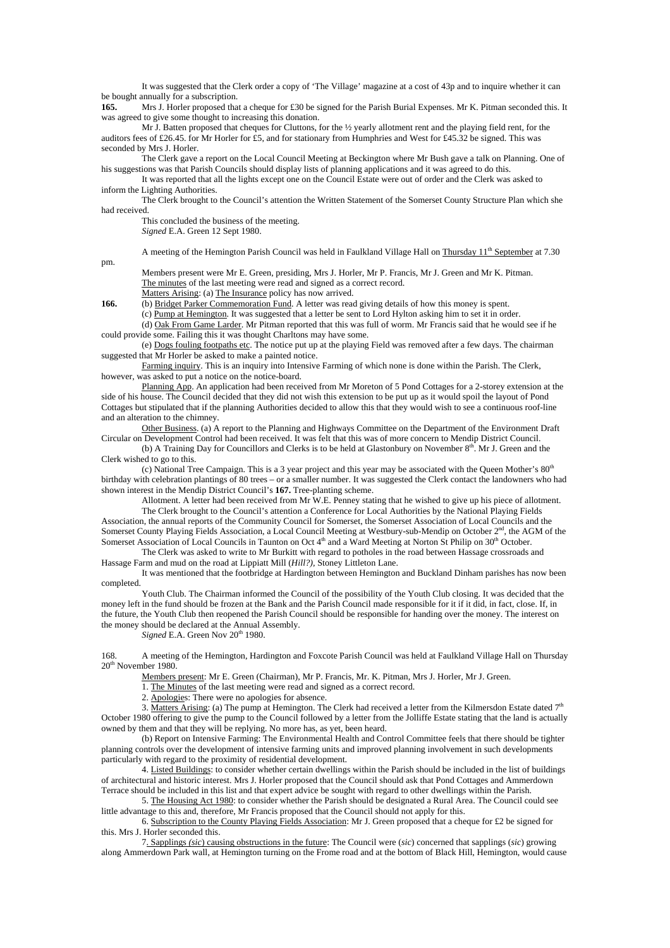It was suggested that the Clerk order a copy of 'The Village' magazine at a cost of 43p and to inquire whether it can be bought annually for a subscription.<br>165. Mrs J. Horler proposed that

**165.** Mrs J. Horler proposed that a cheque for £30 be signed for the Parish Burial Expenses. Mr K. Pitman seconded this. It was agreed to give some thought to increasing this donation.

 Mr J. Batten proposed that cheques for Cluttons, for the ½ yearly allotment rent and the playing field rent, for the auditors fees of £26.45. for Mr Horler for £5, and for stationary from Humphries and West for £45.32 be signed. This was seconded by Mrs J. Horler.

 The Clerk gave a report on the Local Council Meeting at Beckington where Mr Bush gave a talk on Planning. One of his suggestions was that Parish Councils should display lists of planning applications and it was agreed to do this.

 It was reported that all the lights except one on the Council Estate were out of order and the Clerk was asked to inform the Lighting Authorities.

 The Clerk brought to the Council's attention the Written Statement of the Somerset County Structure Plan which she had received.

 This concluded the business of the meeting. *Signed* E.A. Green 12 Sept 1980.

A meeting of the Hemington Parish Council was held in Faulkland Village Hall on Thursday 11<sup>th</sup> September at 7.30

 Members present were Mr E. Green, presiding, Mrs J. Horler, Mr P. Francis, Mr J. Green and Mr K. Pitman. The minutes of the last meeting were read and signed as a correct record.

Matters Arising: (a) The Insurance policy has now arrived.<br>
166. (b) Bridget Parker Commemoration Fund. A letter was read

**166.** (b) Bridget Parker Commemoration Fund. A letter was read giving details of how this money is spent.

(c) Pump at Hemington. It was suggested that a letter be sent to Lord Hylton asking him to set it in order.

 (d) Oak From Game Larder. Mr Pitman reported that this was full of worm. Mr Francis said that he would see if he could provide some. Failing this it was thought Charltons may have some.

 (e) Dogs fouling footpaths etc. The notice put up at the playing Field was removed after a few days. The chairman suggested that Mr Horler be asked to make a painted notice.

 Farming inquiry. This is an inquiry into Intensive Farming of which none is done within the Parish. The Clerk, however, was asked to put a notice on the notice-board.

 Planning App. An application had been received from Mr Moreton of 5 Pond Cottages for a 2-storey extension at the side of his house. The Council decided that they did not wish this extension to be put up as it would spoil the layout of Pond Cottages but stipulated that if the planning Authorities decided to allow this that they would wish to see a continuous roof-line and an alteration to the chimney.

 Other Business. (a) A report to the Planning and Highways Committee on the Department of the Environment Draft Circular on Development Control had been received. It was felt that this was of more concern to Mendip District Council.

(b) A Training Day for Councillors and Clerks is to be held at Glastonbury on November  $8<sup>th</sup>$ . Mr J. Green and the Clerk wished to go to this.

(c) National Tree Campaign. This is a 3 year project and this year may be associated with the Queen Mother's  $80<sup>th</sup>$ birthday with celebration plantings of 80 trees – or a smaller number. It was suggested the Clerk contact the landowners who had shown interest in the Mendip District Council's **167.** Tree-planting scheme.

Allotment. A letter had been received from Mr W.E. Penney stating that he wished to give up his piece of allotment.

 The Clerk brought to the Council's attention a Conference for Local Authorities by the National Playing Fields Association, the annual reports of the Community Council for Somerset, the Somerset Association of Local Councils and the Somerset County Playing Fields Association, a Local Council Meeting at Westbury-sub-Mendip on October  $2<sup>nd</sup>$ , the AGM of the Somerset Association of Local Councils in Taunton on Oct 4<sup>th</sup> and a Ward Meeting at Norton St Philip on 30<sup>th</sup> October.

 The Clerk was asked to write to Mr Burkitt with regard to potholes in the road between Hassage crossroads and Hassage Farm and mud on the road at Lippiatt Mill (*Hill?),* Stoney Littleton Lane.

 It was mentioned that the footbridge at Hardington between Hemington and Buckland Dinham parishes has now been completed.

 Youth Club. The Chairman informed the Council of the possibility of the Youth Club closing. It was decided that the money left in the fund should be frozen at the Bank and the Parish Council made responsible for it if it did, in fact, close. If, in the future, the Youth Club then reopened the Parish Council should be responsible for handing over the money. The interest on the money should be declared at the Annual Assembly.

*Signed* E.A. Green Nov 20<sup>th</sup> 1980.

168. A meeting of the Hemington, Hardington and Foxcote Parish Council was held at Faulkland Village Hall on Thursday 20<sup>th</sup> November 1980.

Members present: Mr E. Green (Chairman), Mr P. Francis, Mr. K. Pitman, Mrs J. Horler, Mr J. Green.

1. The Minutes of the last meeting were read and signed as a correct record.

2. Apologies: There were no apologies for absence.

3. Matters Arising: (a) The pump at Hemington. The Clerk had received a letter from the Kilmersdon Estate dated  $7<sup>th</sup>$ October 1980 offering to give the pump to the Council followed by a letter from the Jolliffe Estate stating that the land is actually owned by them and that they will be replying. No more has, as yet, been heard.

 (b) Report on Intensive Farming: The Environmental Health and Control Committee feels that there should be tighter planning controls over the development of intensive farming units and improved planning involvement in such developments particularly with regard to the proximity of residential development.

 4. Listed Buildings: to consider whether certain dwellings within the Parish should be included in the list of buildings of architectural and historic interest. Mrs J. Horler proposed that the Council should ask that Pond Cottages and Ammerdown Terrace should be included in this list and that expert advice be sought with regard to other dwellings within the Parish.

 5. The Housing Act 1980: to consider whether the Parish should be designated a Rural Area. The Council could see little advantage to this and, therefore, Mr Francis proposed that the Council should not apply for this.

 6. Subscription to the County Playing Fields Association: Mr J. Green proposed that a cheque for £2 be signed for this. Mrs J. Horler seconded this.

 7. Sapplings *(sic*) causing obstructions in the future: The Council were (*sic*) concerned that sapplings (*sic*) growing along Ammerdown Park wall, at Hemington turning on the Frome road and at the bottom of Black Hill, Hemington, would cause

pm.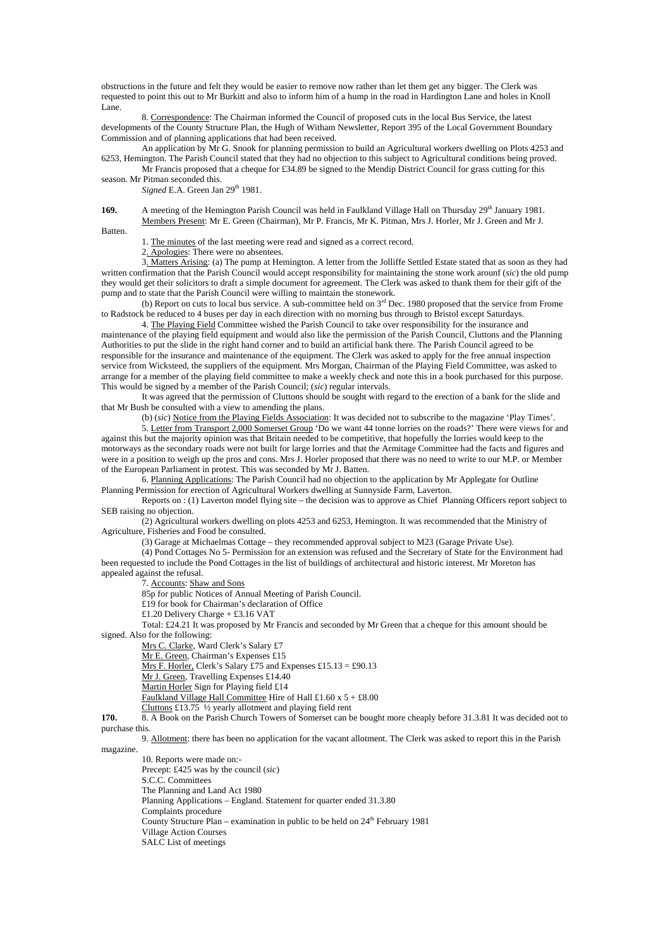obstructions in the future and felt they would be easier to remove now rather than let them get any bigger. The Clerk was requested to point this out to Mr Burkitt and also to inform him of a hump in the road in Hardington Lane and holes in Knoll Lane.

 8. Correspondence: The Chairman informed the Council of proposed cuts in the local Bus Service, the latest developments of the County Structure Plan, the Hugh of Witham Newsletter, Report 395 of the Local Government Boundary Commission and of planning applications that had been received.

 An application by Mr G. Snook for planning permission to build an Agricultural workers dwelling on Plots 4253 and 6253, Hemington. The Parish Council stated that they had no objection to this subject to Agricultural conditions being proved.

 Mr Francis proposed that a cheque for £34.89 be signed to the Mendip District Council for grass cutting for this season. Mr Pitman seconded this.

*Signed* E.A. Green Jan 29<sup>th</sup> 1981.

**169.** A meeting of the Hemington Parish Council was held in Faulkland Village Hall on Thursday 29<sup>th</sup> January 1981. Members Present: Mr E. Green (Chairman), Mr P. Francis, Mr K. Pitman, Mrs J. Horler, Mr J. Green and Mr J.

Batten.

1. The minutes of the last meeting were read and signed as a correct record.

2. Apologies: There were no absentees.

 3. Matters Arising: (a) The pump at Hemington. A letter from the Jolliffe Settled Estate stated that as soon as they had written confirmation that the Parish Council would accept responsibility for maintaining the stone work arounf (*sic*) the old pump they would get their solicitors to draft a simple document for agreement. The Clerk was asked to thank them for their gift of the pump and to state that the Parish Council were willing to maintain the stonework.

 (b) Report on cuts to local bus service. A sub-committee held on 3rd Dec. 1980 proposed that the service from Frome to Radstock be reduced to 4 buses per day in each direction with no morning bus through to Bristol except Saturdays.

 4. The Playing Field Committee wished the Parish Council to take over responsibility for the insurance and maintenance of the playing field equipment and would also like the permission of the Parish Council, Cluttons and the Planning Authorities to put the slide in the right hand corner and to build an artificial bank there. The Parish Council agreed to be responsible for the insurance and maintenance of the equipment. The Clerk was asked to apply for the free annual inspection service from Wicksteed, the suppliers of the equipment. Mrs Morgan, Chairman of the Playing Field Committee, was asked to arrange for a member of the playing field committee to make a weekly check and note this in a book purchased for this purpose. This would be signed by a member of the Parish Council; (*sic*) regular intervals.

 It was agreed that the permission of Cluttons should be sought with regard to the erection of a bank for the slide and that Mr Bush be consulted with a view to amending the plans.

(b) (*sic*) Notice from the Playing Fields Association: It was decided not to subscribe to the magazine 'Play Times'.

 5. Letter from Transport 2,000 Somerset Group 'Do we want 44 tonne lorries on the roads?' There were views for and against this but the majority opinion was that Britain needed to be competitive, that hopefully the lorries would keep to the motorways as the secondary roads were not built for large lorries and that the Armitage Committee had the facts and figures and were in a position to weigh up the pros and cons. Mrs J. Horler proposed that there was no need to write to our M.P. or Member of the European Parliament in protest. This was seconded by Mr J. Batten.

 6. Planning Applications: The Parish Council had no objection to the application by Mr Applegate for Outline Planning Permission for erection of Agricultural Workers dwelling at Sunnyside Farm, Laverton.

 Reports on : (1) Laverton model flying site – the decision was to approve as Chief Planning Officers report subject to SEB raising no objection.

 (2) Agricultural workers dwelling on plots 4253 and 6253, Hemington. It was recommended that the Ministry of Agriculture, Fisheries and Food be consulted.

(3) Garage at Michaelmas Cottage – they recommended approval subject to M23 (Garage Private Use).

 (4) Pond Cottages No 5- Permission for an extension was refused and the Secretary of State for the Environment had been requested to include the Pond Cottages in the list of buildings of architectural and historic interest. Mr Moreton has appealed against the refusal.

7. Accounts: Shaw and Sons

85p for public Notices of Annual Meeting of Parish Council.

£19 for book for Chairman's declaration of Office

£1.20 Delivery Charge + £3.16 VAT

 Total: £24.21 It was proposed by Mr Francis and seconded by Mr Green that a cheque for this amount should be signed. Also for the following:

Mrs C. Clarke, Ward Clerk's Salary £7

Mr E. Green, Chairman's Expenses £15

Mrs F. Horler, Clerk's Salary £75 and Expenses £15.13 = £90.13

Mr J. Green, Travelling Expenses £14.40

Martin Horler Sign for Playing field £14

Faulkland Village Hall Committee Hire of Hall £1.60 x 5 + £8.00

Cluttons £13.75 ½ yearly allotment and playing field rent

**170.** 8. A Book on the Parish Church Towers of Somerset can be bought more cheaply before 31.3.81 It was decided not to purchase this.

 9. Allotment: there has been no application for the vacant allotment. The Clerk was asked to report this in the Parish magazine.

 10. Reports were made on:- Precept: £425 was by the council (*sic*) S.C.C. Committees The Planning and Land Act 1980 Planning Applications – England. Statement for quarter ended 31.3.80 Complaints procedure County Structure Plan – examination in public to be held on  $24<sup>th</sup>$  February 1981 Village Action Courses SALC List of meetings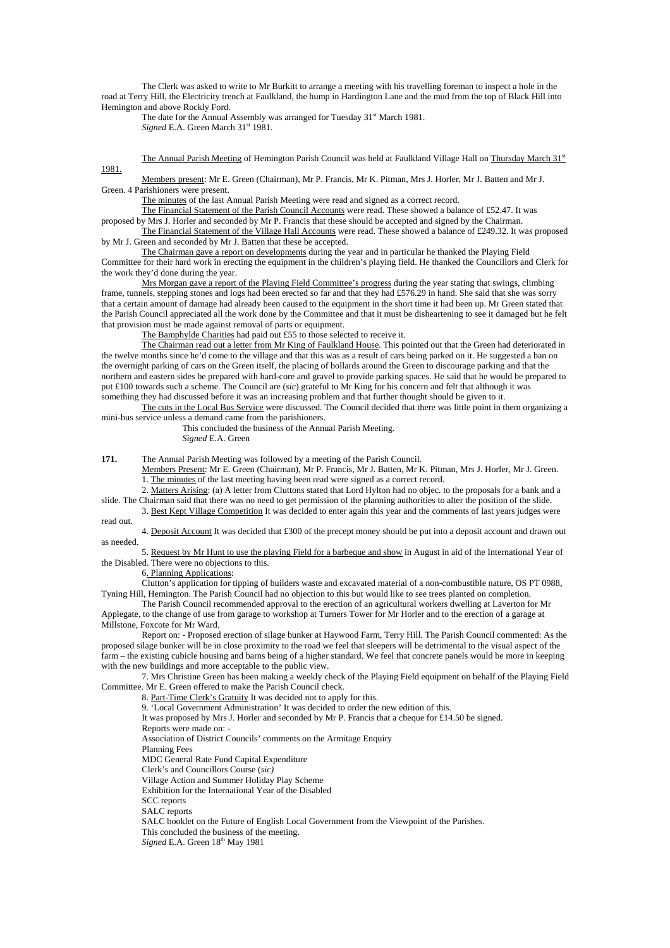The Clerk was asked to write to Mr Burkitt to arrange a meeting with his travelling foreman to inspect a hole in the road at Terry Hill, the Electricity trench at Faulkland, the hump in Hardington Lane and the mud from the top of Black Hill into Hemington and above Rockly Ford.

The date for the Annual Assembly was arranged for Tuesday 31<sup>st</sup> March 1981. Signed E.A. Green March 31<sup>st</sup> 1981.

The Annual Parish Meeting of Hemington Parish Council was held at Faulkland Village Hall on Thursday March 31st 1981.

 Members present: Mr E. Green (Chairman), Mr P. Francis, Mr K. Pitman, Mrs J. Horler, Mr J. Batten and Mr J. Green. 4 Parishioners were present.

The minutes of the last Annual Parish Meeting were read and signed as a correct record.

The Financial Statement of the Parish Council Accounts were read. These showed a balance of £52.47. It was

proposed by Mrs J. Horler and seconded by Mr P. Francis that these should be accepted and signed by the Chairman. The Financial Statement of the Village Hall Accounts were read. These showed a balance of £249.32. It was proposed by Mr J. Green and seconded by Mr J. Batten that these be accepted.

 The Chairman gave a report on developments during the year and in particular he thanked the Playing Field Committee for their hard work in erecting the equipment in the children's playing field. He thanked the Councillors and Clerk for the work they'd done during the year.

 Mrs Morgan gave a report of the Playing Field Committee's progress during the year stating that swings, climbing frame, tunnels, stepping stones and logs had been erected so far and that they had £576.29 in hand. She said that she was sorry that a certain amount of damage had already been caused to the equipment in the short time it had been up. Mr Green stated that the Parish Council appreciated all the work done by the Committee and that it must be disheartening to see it damaged but he felt that provision must be made against removal of parts or equipment.

The Bamphylde Charities had paid out £55 to those selected to receive it.

The Chairman read out a letter from Mr King of Faulkland House. This pointed out that the Green had deteriorated in the twelve months since he'd come to the village and that this was as a result of cars being parked on it. He suggested a ban on the overnight parking of cars on the Green itself, the placing of bollards around the Green to discourage parking and that the northern and eastern sides be prepared with hard-core and gravel to provide parking spaces. He said that he would be prepared to put £100 towards such a scheme. The Council are (*sic*) grateful to Mr King for his concern and felt that although it was something they had discussed before it was an increasing problem and that further thought should be given to it.

The cuts in the Local Bus Service were discussed. The Council decided that there was little point in them organizing a mini-bus service unless a demand came from the parishioners.

> This concluded the business of the Annual Parish Meeting. *Signed* E.A. Green

**171.** The Annual Parish Meeting was followed by a meeting of the Parish Council.

 Members Present: Mr E. Green (Chairman), Mr P. Francis, Mr J. Batten, Mr K. Pitman, Mrs J. Horler, Mr J. Green. 1. The minutes of the last meeting having been read were signed as a correct record.

2. Matters Arising: (a) A letter from Cluttons stated that Lord Hylton had no objec. to the proposals for a bank and a

slide. The Chairman said that there was no need to get permission of the planning authorities to alter the position of the slide.

3. Best Kept Village Competition It was decided to enter again this year and the comments of last years judges were read out.

 4. Deposit Account It was decided that £300 of the precept money should be put into a deposit account and drawn out as needed.

 5. Request by Mr Hunt to use the playing Field for a barbeque and show in August in aid of the International Year of the Disabled. There were no objections to this.

6. Planning Applications:

 Clutton's application for tipping of builders waste and excavated material of a non-combustible nature, OS PT 0988, Tyning Hill, Hemington. The Parish Council had no objection to this but would like to see trees planted on completion.

 The Parish Council recommended approval to the erection of an agricultural workers dwelling at Laverton for Mr Applegate, to the change of use from garage to workshop at Turners Tower for Mr Horler and to the erection of a garage at Millstone, Foxcote for Mr Ward.

 Report on: - Proposed erection of silage bunker at Haywood Farm, Terry Hill. The Parish Council commented: As the proposed silage bunker will be in close proximity to the road we feel that sleepers will be detrimental to the visual aspect of the farm – the existing cubicle housing and barns being of a higher standard. We feel that concrete panels would be more in keeping with the new buildings and more acceptable to the public view.

 7. Mrs Christine Green has been making a weekly check of the Playing Field equipment on behalf of the Playing Field Committee. Mr E. Green offered to make the Parish Council check.

8. Part-Time Clerk's Gratuity It was decided not to apply for this.

9. 'Local Government Administration' It was decided to order the new edition of this.

It was proposed by Mrs J. Horler and seconded by Mr P. Francis that a cheque for £14.50 be signed.

Reports were made on: -

Association of District Councils' comments on the Armitage Enquiry

Planning Fees

MDC General Rate Fund Capital Expenditure

Clerk's and Councillors Course (*sic)*

Village Action and Summer Holiday Play Scheme

Exhibition for the International Year of the Disabled

SCC reports

SALC reports

SALC booklet on the Future of English Local Government from the Viewpoint of the Parishes.

This concluded the business of the meeting.

*Signed* E.A. Green  $18^{th}$  May 1981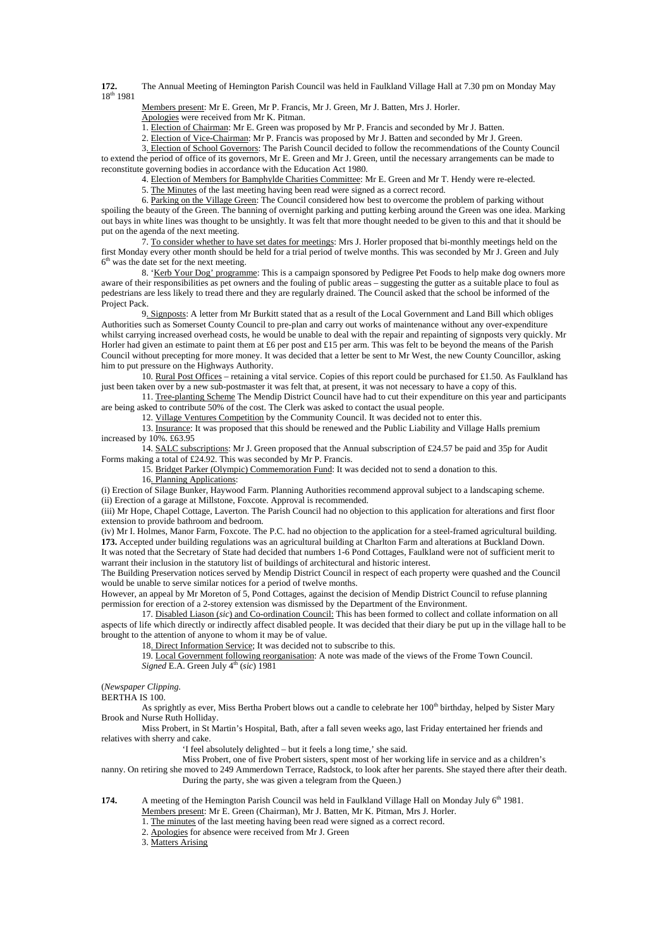**172.** The Annual Meeting of Hemington Parish Council was held in Faulkland Village Hall at 7.30 pm on Monday May  $18^{th}$  1981

Members present: Mr E. Green, Mr P. Francis, Mr J. Green, Mr J. Batten, Mrs J. Horler.

Apologies were received from Mr K. Pitman.

1. Election of Chairman: Mr E. Green was proposed by Mr P. Francis and seconded by Mr J. Batten.

2. Election of Vice-Chairman: Mr P. Francis was proposed by Mr J. Batten and seconded by Mr J. Green.

 3. Election of School Governors: The Parish Council decided to follow the recommendations of the County Council to extend the period of office of its governors, Mr E. Green and Mr J. Green, until the necessary arrangements can be made to reconstitute governing bodies in accordance with the Education Act 1980.

4. Election of Members for Bamphylde Charities Committee: Mr E. Green and Mr T. Hendy were re-elected.

5. The Minutes of the last meeting having been read were signed as a correct record.

6. Parking on the Village Green: The Council considered how best to overcome the problem of parking without

spoiling the beauty of the Green. The banning of overnight parking and putting kerbing around the Green was one idea. Marking out bays in white lines was thought to be unsightly. It was felt that more thought needed to be given to this and that it should be put on the agenda of the next meeting.

 7. To consider whether to have set dates for meetings: Mrs J. Horler proposed that bi-monthly meetings held on the first Monday every other month should be held for a trial period of twelve months. This was seconded by Mr J. Green and July  $6<sup>th</sup>$  was the date set for the next meeting.

 8. 'Kerb Your Dog' programme: This is a campaign sponsored by Pedigree Pet Foods to help make dog owners more aware of their responsibilities as pet owners and the fouling of public areas – suggesting the gutter as a suitable place to foul as pedestrians are less likely to tread there and they are regularly drained. The Council asked that the school be informed of the Project Pack.

 9. Signposts: A letter from Mr Burkitt stated that as a result of the Local Government and Land Bill which obliges Authorities such as Somerset County Council to pre-plan and carry out works of maintenance without any over-expenditure whilst carrying increased overhead costs, he would be unable to deal with the repair and repainting of signposts very quickly. Mr Horler had given an estimate to paint them at £6 per post and £15 per arm. This was felt to be beyond the means of the Parish Council without precepting for more money. It was decided that a letter be sent to Mr West, the new County Councillor, asking him to put pressure on the Highways Authority.

 10. Rural Post Offices – retaining a vital service. Copies of this report could be purchased for £1.50. As Faulkland has just been taken over by a new sub-postmaster it was felt that, at present, it was not necessary to have a copy of this.

 11. Tree-planting Scheme The Mendip District Council have had to cut their expenditure on this year and participants are being asked to contribute 50% of the cost. The Clerk was asked to contact the usual people.

12. Village Ventures Competition by the Community Council. It was decided not to enter this.

13. Insurance: It was proposed that this should be renewed and the Public Liability and Village Halls premium increased by 10%. £63.95

14. SALC subscriptions: Mr J. Green proposed that the Annual subscription of £24.57 be paid and 35p for Audit Forms making a total of £24.92. This was seconded by Mr P. Francis.

15. Bridget Parker (Olympic) Commemoration Fund: It was decided not to send a donation to this.

16. Planning Applications:

(i) Erection of Silage Bunker, Haywood Farm. Planning Authorities recommend approval subject to a landscaping scheme. (ii) Erection of a garage at Millstone, Foxcote. Approval is recommended.

(iii) Mr Hope, Chapel Cottage, Laverton. The Parish Council had no objection to this application for alterations and first floor extension to provide bathroom and bedroom.

(iv) Mr I. Holmes, Manor Farm, Foxcote. The P.C. had no objection to the application for a steel-framed agricultural building. **173.** Accepted under building regulations was an agricultural building at Charlton Farm and alterations at Buckland Down.

It was noted that the Secretary of State had decided that numbers 1-6 Pond Cottages, Faulkland were not of sufficient merit to warrant their inclusion in the statutory list of buildings of architectural and historic interest.

The Building Preservation notices served by Mendip District Council in respect of each property were quashed and the Council would be unable to serve similar notices for a period of twelve months.

However, an appeal by Mr Moreton of 5, Pond Cottages, against the decision of Mendip District Council to refuse planning permission for erection of a 2-storey extension was dismissed by the Department of the Environment.

 17. Disabled Liason (*sic*) and Co-ordination Council: This has been formed to collect and collate information on all aspects of life which directly or indirectly affect disabled people. It was decided that their diary be put up in the village hall to be brought to the attention of anyone to whom it may be of value.

18. Direct Information Service; It was decided not to subscribe to this.

 19. Local Government following reorganisation: A note was made of the views of the Frome Town Council. *Signed* E.A. Green July  $4<sup>th</sup>$  (*sic*) 1981

(*Newspaper Clipping.* 

BERTHA IS 100.

As sprightly as ever, Miss Bertha Probert blows out a candle to celebrate her 100<sup>th</sup> birthday, helped by Sister Mary Brook and Nurse Ruth Holliday.

Miss Probert, in St Martin's Hospital, Bath, after a fall seven weeks ago, last Friday entertained her friends and relatives with sherry and cake.

'I feel absolutely delighted – but it feels a long time,' she said.

Miss Probert, one of five Probert sisters, spent most of her working life in service and as a children's

nanny. On retiring she moved to 249 Ammerdown Terrace, Radstock, to look after her parents. She stayed there after their death. During the party, she was given a telegram from the Queen.)

**174.** A meeting of the Hemington Parish Council was held in Faulkland Village Hall on Monday July 6<sup>th</sup> 1981.

Members present: Mr E. Green (Chairman), Mr J. Batten, Mr K. Pitman, Mrs J. Horler.

1. The minutes of the last meeting having been read were signed as a correct record.

2. Apologies for absence were received from Mr J. Green

3. Matters Arising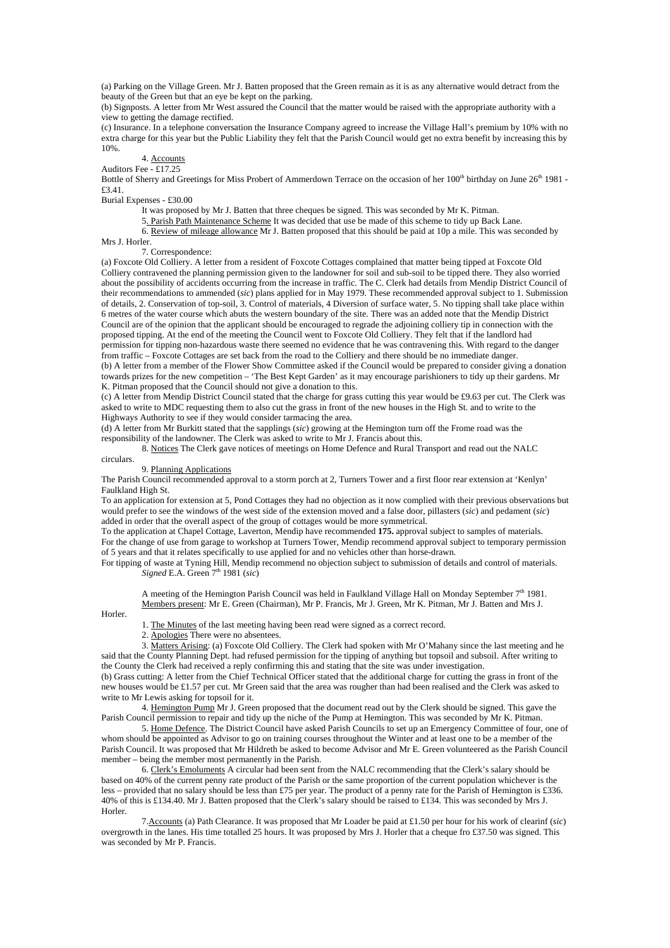(a) Parking on the Village Green. Mr J. Batten proposed that the Green remain as it is as any alternative would detract from the beauty of the Green but that an eye be kept on the parking.

(b) Signposts. A letter from Mr West assured the Council that the matter would be raised with the appropriate authority with a view to getting the damage rectified.

(c) Insurance. In a telephone conversation the Insurance Company agreed to increase the Village Hall's premium by 10% with no extra charge for this year but the Public Liability they felt that the Parish Council would get no extra benefit by increasing this by 10%.

4. Accounts

Auditors Fee - £17.25

Bottle of Sherry and Greetings for Miss Probert of Ammerdown Terrace on the occasion of her 100<sup>th</sup> birthday on June 26<sup>th</sup> 1981 -£3.41.

Burial Expenses - £30.00

It was proposed by Mr J. Batten that three cheques be signed. This was seconded by Mr K. Pitman.

5. Parish Path Maintenance Scheme It was decided that use be made of this scheme to tidy up Back Lane.

 6. Review of mileage allowance Mr J. Batten proposed that this should be paid at 10p a mile. This was seconded by Mrs J. Horler.

7. Correspondence:

(a) Foxcote Old Colliery. A letter from a resident of Foxcote Cottages complained that matter being tipped at Foxcote Old Colliery contravened the planning permission given to the landowner for soil and sub-soil to be tipped there. They also worried about the possibility of accidents occurring from the increase in traffic. The C. Clerk had details from Mendip District Council of their recommendations to ammended (*sic*) plans applied for in May 1979. These recommended approval subject to 1. Submission of details, 2. Conservation of top-soil, 3. Control of materials, 4 Diversion of surface water, 5. No tipping shall take place within 6 metres of the water course which abuts the western boundary of the site. There was an added note that the Mendip District Council are of the opinion that the applicant should be encouraged to regrade the adjoining colliery tip in connection with the proposed tipping. At the end of the meeting the Council went to Foxcote Old Colliery. They felt that if the landlord had permission for tipping non-hazardous waste there seemed no evidence that he was contravening this. With regard to the danger from traffic – Foxcote Cottages are set back from the road to the Colliery and there should be no immediate danger. (b) A letter from a member of the Flower Show Committee asked if the Council would be prepared to consider giving a donation towards prizes for the new competition – 'The Best Kept Garden' as it may encourage parishioners to tidy up their gardens. Mr K. Pitman proposed that the Council should not give a donation to this.

(c) A letter from Mendip District Council stated that the charge for grass cutting this year would be £9.63 per cut. The Clerk was asked to write to MDC requesting them to also cut the grass in front of the new houses in the High St. and to write to the Highways Authority to see if they would consider tarmacing the area.

(d) A letter from Mr Burkitt stated that the sapplings (*sic*) growing at the Hemington turn off the Frome road was the responsibility of the landowner. The Clerk was asked to write to Mr J. Francis about this.

 8. Notices The Clerk gave notices of meetings on Home Defence and Rural Transport and read out the NALC circulars.

# 9. Planning Applications

The Parish Council recommended approval to a storm porch at 2, Turners Tower and a first floor rear extension at 'Kenlyn' Faulkland High St.

To an application for extension at 5, Pond Cottages they had no objection as it now complied with their previous observations but would prefer to see the windows of the west side of the extension moved and a false door, pillasters (*sic*) and pedament (*sic*) added in order that the overall aspect of the group of cottages would be more symmetrical.

To the application at Chapel Cottage, Laverton, Mendip have recommended **175.** approval subject to samples of materials. For the change of use from garage to workshop at Turners Tower, Mendip recommend approval subject to temporary permission of 5 years and that it relates specifically to use applied for and no vehicles other than horse-drawn.

For tipping of waste at Tyning Hill, Mendip recommend no objection subject to submission of details and control of materials.  $Signed E.A. Green 7<sup>th</sup> 1981 (sic)$ 

 A meeting of the Hemington Parish Council was held in Faulkland Village Hall on Monday September 7th 1981. Members present: Mr E. Green (Chairman), Mr P. Francis, Mr J. Green, Mr K. Pitman, Mr J. Batten and Mrs J.

Horler.

1. The Minutes of the last meeting having been read were signed as a correct record.

2. Apologies There were no absentees.

 3. Matters Arising: (a) Foxcote Old Colliery. The Clerk had spoken with Mr O'Mahany since the last meeting and he said that the County Planning Dept. had refused permission for the tipping of anything but topsoil and subsoil. After writing to the County the Clerk had received a reply confirming this and stating that the site was under investigation.

(b) Grass cutting: A letter from the Chief Technical Officer stated that the additional charge for cutting the grass in front of the new houses would be £1.57 per cut. Mr Green said that the area was rougher than had been realised and the Clerk was asked to write to Mr Lewis asking for topsoil for it.

4. Hemington Pump Mr J. Green proposed that the document read out by the Clerk should be signed. This gave the Parish Council permission to repair and tidy up the niche of the Pump at Hemington. This was seconded by Mr K. Pitman.

5. Home Defence. The District Council have asked Parish Councils to set up an Emergency Committee of four, one of whom should be appointed as Advisor to go on training courses throughout the Winter and at least one to be a member of the Parish Council. It was proposed that Mr Hildreth be asked to become Advisor and Mr E. Green volunteered as the Parish Council member – being the member most permanently in the Parish.

6. Clerk's Emoluments A circular had been sent from the NALC recommending that the Clerk's salary should be based on 40% of the current penny rate product of the Parish or the same proportion of the current population whichever is the less – provided that no salary should be less than £75 per year. The product of a penny rate for the Parish of Hemington is £336. 40% of this is £134.40. Mr J. Batten proposed that the Clerk's salary should be raised to £134. This was seconded by Mrs J. Horler.

7.Accounts (a) Path Clearance. It was proposed that Mr Loader be paid at £1.50 per hour for his work of clearinf (*sic*) overgrowth in the lanes. His time totalled 25 hours. It was proposed by Mrs J. Horler that a cheque fro £37.50 was signed. This was seconded by Mr P. Francis.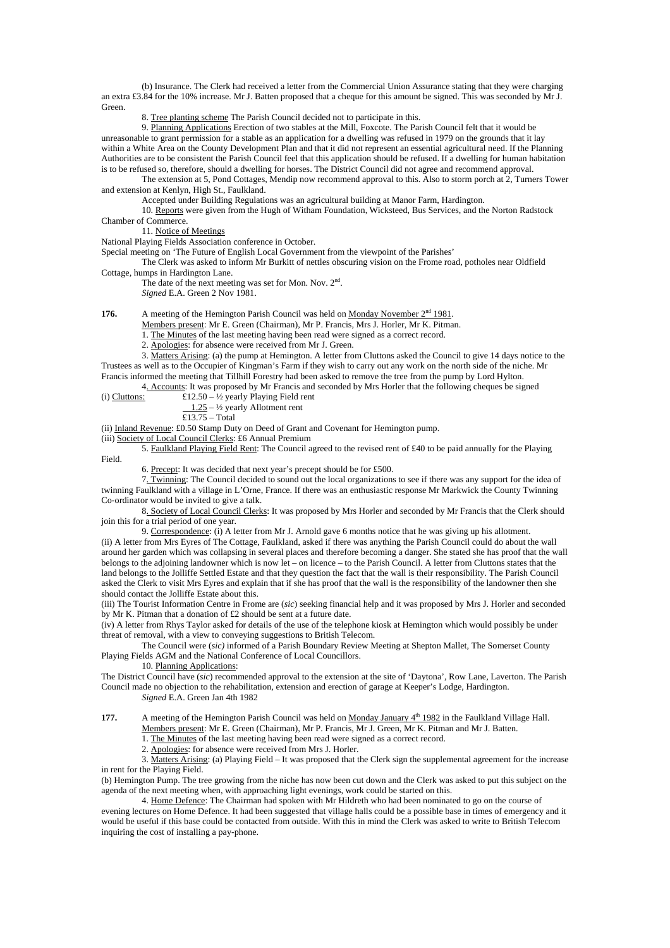(b) Insurance. The Clerk had received a letter from the Commercial Union Assurance stating that they were charging an extra £3.84 for the 10% increase. Mr J. Batten proposed that a cheque for this amount be signed. This was seconded by Mr J. **Green** 

8. Tree planting scheme The Parish Council decided not to participate in this.

9. Planning Applications Erection of two stables at the Mill, Foxcote. The Parish Council felt that it would be unreasonable to grant permission for a stable as an application for a dwelling was refused in 1979 on the grounds that it lay within a White Area on the County Development Plan and that it did not represent an essential agricultural need. If the Planning Authorities are to be consistent the Parish Council feel that this application should be refused. If a dwelling for human habitation is to be refused so, therefore, should a dwelling for horses. The District Council did not agree and recommend approval.

The extension at 5, Pond Cottages, Mendip now recommend approval to this. Also to storm porch at 2, Turners Tower and extension at Kenlyn, High St., Faulkland.

Accepted under Building Regulations was an agricultural building at Manor Farm, Hardington.

10. Reports were given from the Hugh of Witham Foundation, Wicksteed, Bus Services, and the Norton Radstock Chamber of Commerce.

11. Notice of Meetings

National Playing Fields Association conference in October.

Special meeting on 'The Future of English Local Government from the viewpoint of the Parishes'

 The Clerk was asked to inform Mr Burkitt of nettles obscuring vision on the Frome road, potholes near Oldfield Cottage, humps in Hardington Lane.

The date of the next meeting was set for Mon. Nov. 2<sup>nd</sup>.

*Signed* E.A. Green 2 Nov 1981.

**176.** A meeting of the Hemington Parish Council was held on <u>Monday November 2<sup>nd</sup> 1981</u>.

Members present: Mr E. Green (Chairman), Mr P. Francis, Mrs J. Horler, Mr K. Pitman.

1. The Minutes of the last meeting having been read were signed as a correct record.

2. Apologies: for absence were received from Mr J. Green.

 3. Matters Arising: (a) the pump at Hemington. A letter from Cluttons asked the Council to give 14 days notice to the Trustees as well as to the Occupier of Kingman's Farm if they wish to carry out any work on the north side of the niche. Mr Francis informed the meeting that Tillhill Forestry had been asked to remove the tree from the pump by Lord Hylton.

 4. Accounts: It was proposed by Mr Francis and seconded by Mrs Horler that the following cheques be signed (i) Cluttons:  $£12.50 - \frac{1}{2}$  yearly Playing Field rent

 $1.25 - \frac{1}{2}$  yearly Allotment rent

 $\overline{\text{\textsterling}13.75}$  – Total

(ii) Inland Revenue: £0.50 Stamp Duty on Deed of Grant and Covenant for Hemington pump.

(iii) Society of Local Council Clerks: £6 Annual Premium

5. Faulkland Playing Field Rent: The Council agreed to the revised rent of £40 to be paid annually for the Playing Field.

6. Precept: It was decided that next year's precept should be for £500.

7. Twinning: The Council decided to sound out the local organizations to see if there was any support for the idea of twinning Faulkland with a village in L'Orne, France. If there was an enthusiastic response Mr Markwick the County Twinning Co-ordinator would be invited to give a talk.

 8. Society of Local Council Clerks: It was proposed by Mrs Horler and seconded by Mr Francis that the Clerk should join this for a trial period of one year.

 9. Correspondence: (i) A letter from Mr J. Arnold gave 6 months notice that he was giving up his allotment. (ii) A letter from Mrs Eyres of The Cottage, Faulkland, asked if there was anything the Parish Council could do about the wall around her garden which was collapsing in several places and therefore becoming a danger. She stated she has proof that the wall belongs to the adjoining landowner which is now let – on licence – to the Parish Council. A letter from Cluttons states that the land belongs to the Jolliffe Settled Estate and that they question the fact that the wall is their responsibility. The Parish Council asked the Clerk to visit Mrs Eyres and explain that if she has proof that the wall is the responsibility of the landowner then she should contact the Jolliffe Estate about this.

(iii) The Tourist Information Centre in Frome are (*sic*) seeking financial help and it was proposed by Mrs J. Horler and seconded by Mr K. Pitman that a donation of £2 should be sent at a future date.

(iv) A letter from Rhys Taylor asked for details of the use of the telephone kiosk at Hemington which would possibly be under threat of removal, with a view to conveying suggestions to British Telecom.

 The Council were (*sic)* informed of a Parish Boundary Review Meeting at Shepton Mallet, The Somerset County Playing Fields AGM and the National Conference of Local Councillors.

10. Planning Applications:

The District Council have (*sic*) recommended approval to the extension at the site of 'Daytona', Row Lane, Laverton. The Parish Council made no objection to the rehabilitation, extension and erection of garage at Keeper's Lodge, Hardington. *Signed* E.A. Green Jan 4th 1982

**177.** A meeting of the Hemington Parish Council was held on Monday January  $4^{\text{th}}$  1982 in the Faulkland Village Hall. Members present: Mr E. Green (Chairman), Mr P. Francis, Mr J. Green, Mr K. Pitman and Mr J. Batten.

1. The Minutes of the last meeting having been read were signed as a correct record.

2. Apologies: for absence were received from Mrs J. Horler.

 3. Matters Arising: (a) Playing Field – It was proposed that the Clerk sign the supplemental agreement for the increase in rent for the Playing Field.

(b) Hemington Pump. The tree growing from the niche has now been cut down and the Clerk was asked to put this subject on the agenda of the next meeting when, with approaching light evenings, work could be started on this.

 4. Home Defence: The Chairman had spoken with Mr Hildreth who had been nominated to go on the course of evening lectures on Home Defence. It had been suggested that village halls could be a possible base in times of emergency and it would be useful if this base could be contacted from outside. With this in mind the Clerk was asked to write to British Telecom inquiring the cost of installing a pay-phone.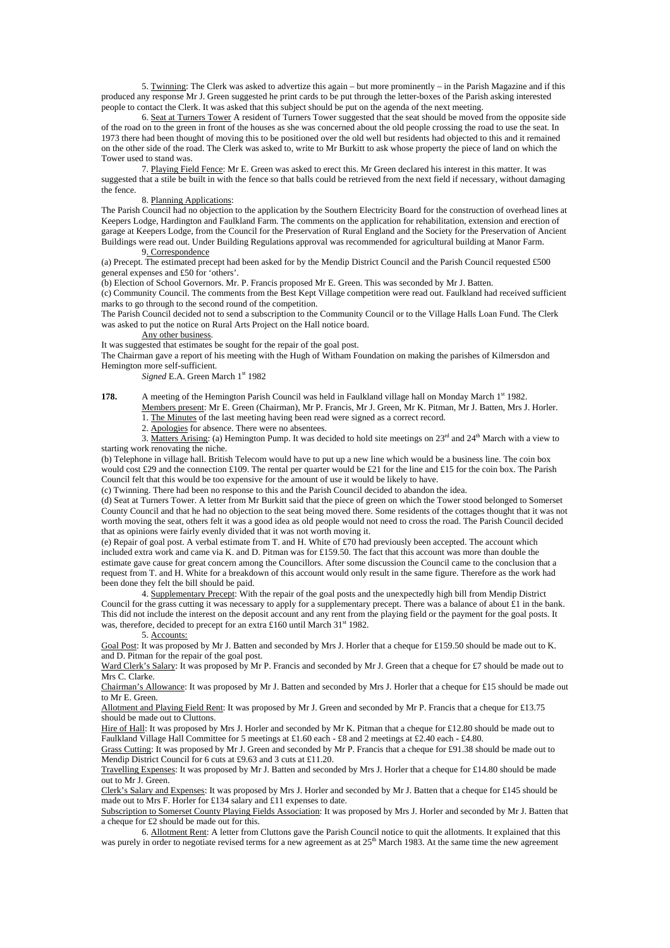5. Twinning: The Clerk was asked to advertize this again – but more prominently – in the Parish Magazine and if this produced any response Mr J. Green suggested he print cards to be put through the letter-boxes of the Parish asking interested people to contact the Clerk. It was asked that this subject should be put on the agenda of the next meeting.

 6. Seat at Turners Tower A resident of Turners Tower suggested that the seat should be moved from the opposite side of the road on to the green in front of the houses as she was concerned about the old people crossing the road to use the seat. In 1973 there had been thought of moving this to be positioned over the old well but residents had objected to this and it remained on the other side of the road. The Clerk was asked to, write to Mr Burkitt to ask whose property the piece of land on which the Tower used to stand was.

 7. Playing Field Fence: Mr E. Green was asked to erect this. Mr Green declared his interest in this matter. It was suggested that a stile be built in with the fence so that balls could be retrieved from the next field if necessary, without damaging the fence.

### 8. Planning Applications:

The Parish Council had no objection to the application by the Southern Electricity Board for the construction of overhead lines at Keepers Lodge, Hardington and Faulkland Farm. The comments on the application for rehabilitation, extension and erection of garage at Keepers Lodge, from the Council for the Preservation of Rural England and the Society for the Preservation of Ancient Buildings were read out. Under Building Regulations approval was recommended for agricultural building at Manor Farm. 9. Correspondence

(a) Precept. The estimated precept had been asked for by the Mendip District Council and the Parish Council requested £500 general expenses and £50 for 'others'.

(b) Election of School Governors. Mr. P. Francis proposed Mr E. Green. This was seconded by Mr J. Batten.

(c) Community Council. The comments from the Best Kept Village competition were read out. Faulkland had received sufficient marks to go through to the second round of the competition.

The Parish Council decided not to send a subscription to the Community Council or to the Village Halls Loan Fund. The Clerk was asked to put the notice on Rural Arts Project on the Hall notice board.

#### Any other business.

It was suggested that estimates be sought for the repair of the goal post.

The Chairman gave a report of his meeting with the Hugh of Witham Foundation on making the parishes of Kilmersdon and Hemington more self-sufficient.

*Signed* E.A. Green March 1<sup>st</sup> 1982

**178.** A meeting of the Hemington Parish Council was held in Faulkland village hall on Monday March 1<sup>st</sup> 1982.

 Members present: Mr E. Green (Chairman), Mr P. Francis, Mr J. Green, Mr K. Pitman, Mr J. Batten, Mrs J. Horler. 1. The Minutes of the last meeting having been read were signed as a correct record.

2. Apologies for absence. There were no absentees.

3. Matters Arising: (a) Hemington Pump. It was decided to hold site meetings on  $23<sup>rd</sup>$  and  $24<sup>th</sup>$  March with a view to starting work renovating the niche.

(b) Telephone in village hall. British Telecom would have to put up a new line which would be a business line. The coin box would cost £29 and the connection £109. The rental per quarter would be £21 for the line and £15 for the coin box. The Parish Council felt that this would be too expensive for the amount of use it would be likely to have.

(c) Twinning. There had been no response to this and the Parish Council decided to abandon the idea.

(d) Seat at Turners Tower. A letter from Mr Burkitt said that the piece of green on which the Tower stood belonged to Somerset County Council and that he had no objection to the seat being moved there. Some residents of the cottages thought that it was not worth moving the seat, others felt it was a good idea as old people would not need to cross the road. The Parish Council decided that as opinions were fairly evenly divided that it was not worth moving it.

(e) Repair of goal post. A verbal estimate from T. and H. White of £70 had previously been accepted. The account which included extra work and came via K. and D. Pitman was for £159.50. The fact that this account was more than double the estimate gave cause for great concern among the Councillors. After some discussion the Council came to the conclusion that a request from T. and H. White for a breakdown of this account would only result in the same figure. Therefore as the work had been done they felt the bill should be paid.

 4. Supplementary Precept: With the repair of the goal posts and the unexpectedly high bill from Mendip District Council for the grass cutting it was necessary to apply for a supplementary precept. There was a balance of about £1 in the bank. This did not include the interest on the deposit account and any rent from the playing field or the payment for the goal posts. It was, therefore, decided to precept for an extra £160 until March  $31<sup>st</sup> 1982$ .

### 5. Accounts:

Goal Post: It was proposed by Mr J. Batten and seconded by Mrs J. Horler that a cheque for £159.50 should be made out to K. and D. Pitman for the repair of the goal post.

Ward Clerk's Salary: It was proposed by Mr P. Francis and seconded by Mr J. Green that a cheque for £7 should be made out to Mrs C. Clarke.

Chairman's Allowance: It was proposed by Mr J. Batten and seconded by Mrs J. Horler that a cheque for £15 should be made out to Mr E. Green.

Allotment and Playing Field Rent: It was proposed by Mr J. Green and seconded by Mr P. Francis that a cheque for £13.75 should be made out to Cluttons.

Hire of Hall: It was proposed by Mrs J. Horler and seconded by Mr K. Pitman that a cheque for £12.80 should be made out to Faulkland Village Hall Committee for 5 meetings at £1.60 each - £8 and 2 meetings at £2.40 each - £4.80.

Grass Cutting: It was proposed by Mr J. Green and seconded by Mr P. Francis that a cheque for £91.38 should be made out to Mendip District Council for 6 cuts at £9.63 and 3 cuts at £11.20.

Travelling Expenses: It was proposed by Mr J. Batten and seconded by Mrs J. Horler that a cheque for £14.80 should be made out to Mr J. Green.

Clerk's Salary and Expenses: It was proposed by Mrs J. Horler and seconded by Mr J. Batten that a cheque for £145 should be made out to Mrs F. Horler for £134 salary and £11 expenses to date.

Subscription to Somerset County Playing Fields Association: It was proposed by Mrs J. Horler and seconded by Mr J. Batten that a cheque for £2 should be made out for this.

 6. Allotment Rent: A letter from Cluttons gave the Parish Council notice to quit the allotments. It explained that this was purely in order to negotiate revised terms for a new agreement as at  $25<sup>th</sup>$  March 1983. At the same time the new agreement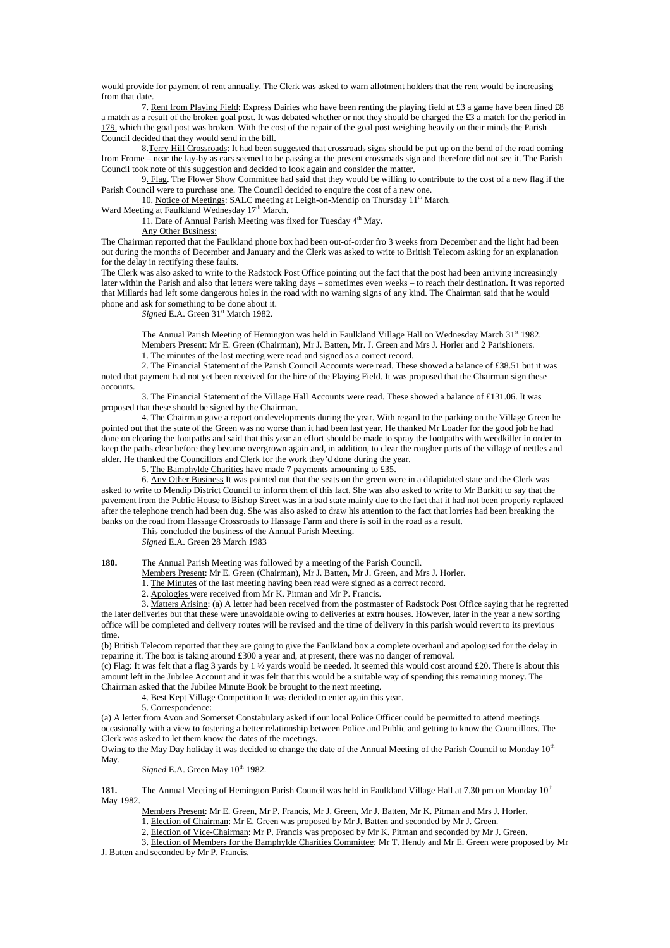would provide for payment of rent annually. The Clerk was asked to warn allotment holders that the rent would be increasing from that date.

 7. Rent from Playing Field: Express Dairies who have been renting the playing field at £3 a game have been fined £8 a match as a result of the broken goal post. It was debated whether or not they should be charged the £3 a match for the period in 179. which the goal post was broken. With the cost of the repair of the goal post weighing heavily on their minds the Parish Council decided that they would send in the bill.

 8.Terry Hill Crossroads: It had been suggested that crossroads signs should be put up on the bend of the road coming from Frome – near the lay-by as cars seemed to be passing at the present crossroads sign and therefore did not see it. The Parish Council took note of this suggestion and decided to look again and consider the matter.

 9. Flag. The Flower Show Committee had said that they would be willing to contribute to the cost of a new flag if the Parish Council were to purchase one. The Council decided to enquire the cost of a new one.

10. Notice of Meetings: SALC meeting at Leigh-on-Mendip on Thursday 11<sup>th</sup> March.

Ward Meeting at Faulkland Wednesday 17<sup>th</sup> March.

11. Date of Annual Parish Meeting was fixed for Tuesday 4<sup>th</sup> May.

Any Other Business:

The Chairman reported that the Faulkland phone box had been out-of-order fro 3 weeks from December and the light had been out during the months of December and January and the Clerk was asked to write to British Telecom asking for an explanation for the delay in rectifying these faults.

The Clerk was also asked to write to the Radstock Post Office pointing out the fact that the post had been arriving increasingly later within the Parish and also that letters were taking days – sometimes even weeks – to reach their destination. It was reported that Millards had left some dangerous holes in the road with no warning signs of any kind. The Chairman said that he would phone and ask for something to be done about it.

*Signed* E.A. Green 31<sup>st</sup> March 1982.

The Annual Parish Meeting of Hemington was held in Faulkland Village Hall on Wednesday March 31st 1982. Members Present: Mr E. Green (Chairman), Mr J. Batten, Mr. J. Green and Mrs J. Horler and 2 Parishioners. 1. The minutes of the last meeting were read and signed as a correct record.

 2. The Financial Statement of the Parish Council Accounts were read. These showed a balance of £38.51 but it was noted that payment had not yet been received for the hire of the Playing Field. It was proposed that the Chairman sign these accounts.

 3. The Financial Statement of the Village Hall Accounts were read. These showed a balance of £131.06. It was proposed that these should be signed by the Chairman.

 4. The Chairman gave a report on developments during the year. With regard to the parking on the Village Green he pointed out that the state of the Green was no worse than it had been last year. He thanked Mr Loader for the good job he had done on clearing the footpaths and said that this year an effort should be made to spray the footpaths with weedkiller in order to keep the paths clear before they became overgrown again and, in addition, to clear the rougher parts of the village of nettles and alder. He thanked the Councillors and Clerk for the work they'd done during the year.

5. The Bamphylde Charities have made 7 payments amounting to £35.

 6. Any Other Business It was pointed out that the seats on the green were in a dilapidated state and the Clerk was asked to write to Mendip District Council to inform them of this fact. She was also asked to write to Mr Burkitt to say that the pavement from the Public House to Bishop Street was in a bad state mainly due to the fact that it had not been properly replaced after the telephone trench had been dug. She was also asked to draw his attention to the fact that lorries had been breaking the banks on the road from Hassage Crossroads to Hassage Farm and there is soil in the road as a result.

This concluded the business of the Annual Parish Meeting.

*Signed* E.A. Green 28 March 1983

**180.** The Annual Parish Meeting was followed by a meeting of the Parish Council.

Members Present: Mr E. Green (Chairman), Mr J. Batten, Mr J. Green, and Mrs J. Horler.

1. The Minutes of the last meeting having been read were signed as a correct record.

2. Apologies were received from Mr K. Pitman and Mr P. Francis.

 3. Matters Arising: (a) A letter had been received from the postmaster of Radstock Post Office saying that he regretted the later deliveries but that these were unavoidable owing to deliveries at extra houses. However, later in the year a new sorting office will be completed and delivery routes will be revised and the time of delivery in this parish would revert to its previous time.

(b) British Telecom reported that they are going to give the Faulkland box a complete overhaul and apologised for the delay in repairing it. The box is taking around £300 a year and, at present, there was no danger of removal.

(c) Flag: It was felt that a flag 3 yards by 1  $\frac{1}{2}$  yards would be needed. It seemed this would cost around £20. There is about this amount left in the Jubilee Account and it was felt that this would be a suitable way of spending this remaining money. The Chairman asked that the Jubilee Minute Book be brought to the next meeting.

4. Best Kept Village Competition It was decided to enter again this year.

5. Correspondence:

(a) A letter from Avon and Somerset Constabulary asked if our local Police Officer could be permitted to attend meetings occasionally with a view to fostering a better relationship between Police and Public and getting to know the Councillors. The Clerk was asked to let them know the dates of the meetings.

Owing to the May Day holiday it was decided to change the date of the Annual Meeting of the Parish Council to Monday 10<sup>th</sup> May.

*Signed* E.A. Green May  $10^{th}$  1982.

**181.** The Annual Meeting of Hemington Parish Council was held in Faulkland Village Hall at 7.30 pm on Monday 10<sup>th</sup> May 1982.

 Members Present: Mr E. Green, Mr P. Francis, Mr J. Green, Mr J. Batten, Mr K. Pitman and Mrs J. Horler. 1. Election of Chairman: Mr E. Green was proposed by Mr J. Batten and seconded by Mr J. Green.

2. Election of Vice-Chairman: Mr P. Francis was proposed by Mr K. Pitman and seconded by Mr J. Green.

 3. Election of Members for the Bamphylde Charities Committee: Mr T. Hendy and Mr E. Green were proposed by Mr J. Batten and seconded by Mr P. Francis.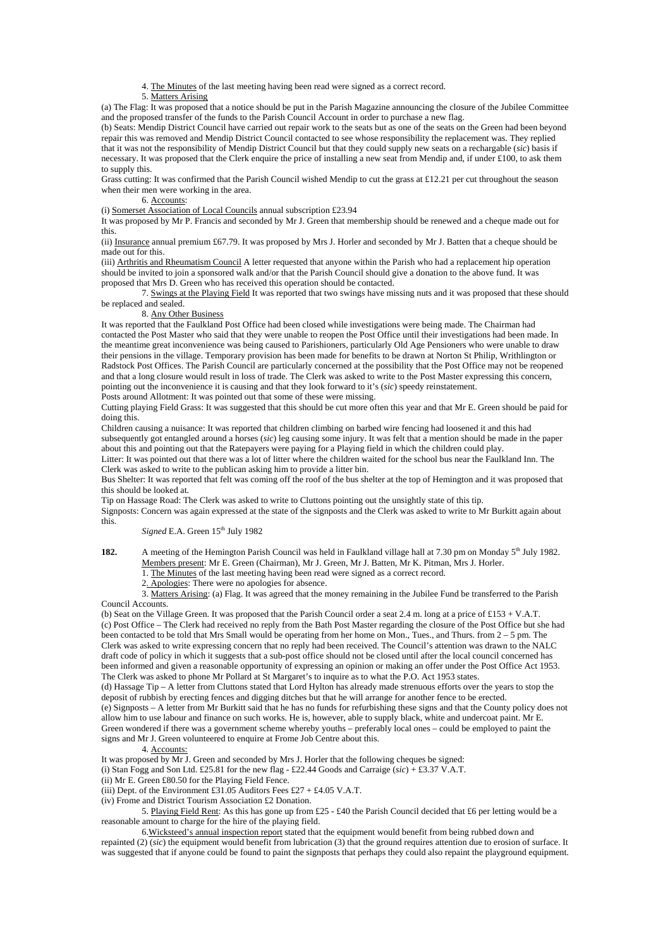4. The Minutes of the last meeting having been read were signed as a correct record.

### 5. Matters Arising

(a) The Flag: It was proposed that a notice should be put in the Parish Magazine announcing the closure of the Jubilee Committee and the proposed transfer of the funds to the Parish Council Account in order to purchase a new flag.

(b) Seats: Mendip District Council have carried out repair work to the seats but as one of the seats on the Green had been beyond repair this was removed and Mendip District Council contacted to see whose responsibility the replacement was. They replied that it was not the responsibility of Mendip District Council but that they could supply new seats on a rechargable (*sic*) basis if necessary. It was proposed that the Clerk enquire the price of installing a new seat from Mendip and, if under £100, to ask them to supply this.

Grass cutting: It was confirmed that the Parish Council wished Mendip to cut the grass at £12.21 per cut throughout the season when their men were working in the area.

6. Accounts:

(i) Somerset Association of Local Councils annual subscription £23.94

It was proposed by Mr P. Francis and seconded by Mr J. Green that membership should be renewed and a cheque made out for this.

(ii) Insurance annual premium £67.79. It was proposed by Mrs J. Horler and seconded by Mr J. Batten that a cheque should be made out for this.

(iii) Arthritis and Rheumatism Council A letter requested that anyone within the Parish who had a replacement hip operation should be invited to join a sponsored walk and/or that the Parish Council should give a donation to the above fund. It was proposed that Mrs D. Green who has received this operation should be contacted.

 7. Swings at the Playing Field It was reported that two swings have missing nuts and it was proposed that these should be replaced and sealed.

### 8. Any Other Business

It was reported that the Faulkland Post Office had been closed while investigations were being made. The Chairman had contacted the Post Master who said that they were unable to reopen the Post Office until their investigations had been made. In the meantime great inconvenience was being caused to Parishioners, particularly Old Age Pensioners who were unable to draw their pensions in the village. Temporary provision has been made for benefits to be drawn at Norton St Philip, Writhlington or Radstock Post Offices. The Parish Council are particularly concerned at the possibility that the Post Office may not be reopened and that a long closure would result in loss of trade. The Clerk was asked to write to the Post Master expressing this concern, pointing out the inconvenience it is causing and that they look forward to it's (*sic*) speedy reinstatement.

Posts around Allotment: It was pointed out that some of these were missing.

Cutting playing Field Grass: It was suggested that this should be cut more often this year and that Mr E. Green should be paid for doing this.

Children causing a nuisance: It was reported that children climbing on barbed wire fencing had loosened it and this had subsequently got entangled around a horses (*sic*) leg causing some injury. It was felt that a mention should be made in the paper about this and pointing out that the Ratepayers were paying for a Playing field in which the children could play.

Litter: It was pointed out that there was a lot of litter where the children waited for the school bus near the Faulkland Inn. The Clerk was asked to write to the publican asking him to provide a litter bin.

Bus Shelter: It was reported that felt was coming off the roof of the bus shelter at the top of Hemington and it was proposed that this should be looked at.

Tip on Hassage Road: The Clerk was asked to write to Cluttons pointing out the unsightly state of this tip.

Signposts: Concern was again expressed at the state of the signposts and the Clerk was asked to write to Mr Burkitt again about this.

*Signed* E.A. Green  $15<sup>th</sup>$  July 1982

**182.** A meeting of the Hemington Parish Council was held in Faulkland village hall at 7.30 pm on Monday 5<sup>th</sup> July 1982. Members present: Mr E. Green (Chairman), Mr J. Green, Mr J. Batten, Mr K. Pitman, Mrs J. Horler.

1. The Minutes of the last meeting having been read were signed as a correct record.

2. Apologies: There were no apologies for absence.

 3. Matters Arising: (a) Flag. It was agreed that the money remaining in the Jubilee Fund be transferred to the Parish Council Accounts.

(b) Seat on the Village Green. It was proposed that the Parish Council order a seat 2.4 m. long at a price of £153 + V.A.T. (c) Post Office – The Clerk had received no reply from the Bath Post Master regarding the closure of the Post Office but she had been contacted to be told that Mrs Small would be operating from her home on Mon., Tues., and Thurs. from 2 – 5 pm. The Clerk was asked to write expressing concern that no reply had been received. The Council's attention was drawn to the NALC draft code of policy in which it suggests that a sub-post office should not be closed until after the local council concerned has been informed and given a reasonable opportunity of expressing an opinion or making an offer under the Post Office Act 1953. The Clerk was asked to phone Mr Pollard at St Margaret's to inquire as to what the P.O. Act 1953 states.

(d) Hassage Tip – A letter from Cluttons stated that Lord Hylton has already made strenuous efforts over the years to stop the deposit of rubbish by erecting fences and digging ditches but that he will arrange for another fence to be erected. (e) Signposts – A letter from Mr Burkitt said that he has no funds for refurbishing these signs and that the County policy does not allow him to use labour and finance on such works. He is, however, able to supply black, white and undercoat paint. Mr E.

Green wondered if there was a government scheme whereby youths – preferably local ones – could be employed to paint the signs and Mr J. Green volunteered to enquire at Frome Job Centre about this.

### 4. Accounts:

It was proposed by Mr J. Green and seconded by Mrs J. Horler that the following cheques be signed: (i) Stan Fogg and Son Ltd. £25.81 for the new flag - £22.44 Goods and Carraige ( $\dot{s}ic$ ) + £3.37 V.A.T.

(ii) Mr E. Green £80.50 for the Playing Field Fence.

(iii) Dept. of the Environment £31.05 Auditors Fees £27 + £4.05 V.A.T.

(iv) Frome and District Tourism Association £2 Donation.

5. Playing Field Rent: As this has gone up from £25 - £40 the Parish Council decided that £6 per letting would be a reasonable amount to charge for the hire of the playing field.

 6.Wicksteed's annual inspection report stated that the equipment would benefit from being rubbed down and repainted (2) (*sic*) the equipment would benefit from lubrication (3) that the ground requires attention due to erosion of surface. It

was suggested that if anyone could be found to paint the signposts that perhaps they could also repaint the playground equipment.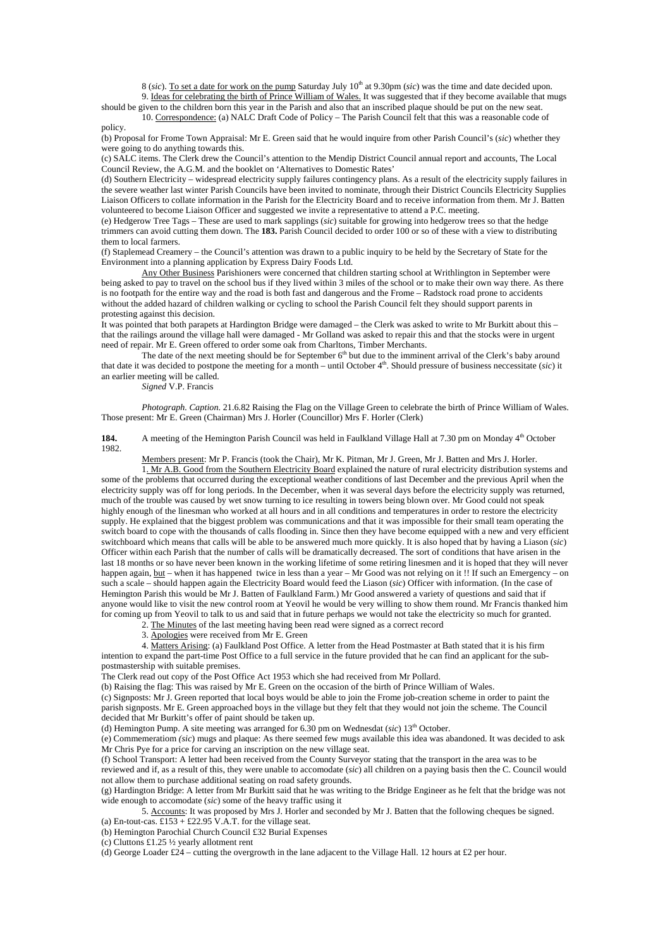8 (sic). To set a date for work on the pump Saturday July 10<sup>th</sup> at 9.30pm (sic) was the time and date decided upon. 9. Ideas for celebrating the birth of Prince William of Wales. It was suggested that if they become available that mugs

should be given to the children born this year in the Parish and also that an inscribed plaque should be put on the new seat. 10. Correspondence: (a) NALC Draft Code of Policy – The Parish Council felt that this was a reasonable code of

policy. (b) Proposal for Frome Town Appraisal: Mr E. Green said that he would inquire from other Parish Council's (*sic*) whether they were going to do anything towards this.

(c) SALC items. The Clerk drew the Council's attention to the Mendip District Council annual report and accounts, The Local Council Review, the A.G.M. and the booklet on 'Alternatives to Domestic Rates'

(d) Southern Electricity – widespread electricity supply failures contingency plans. As a result of the electricity supply failures in the severe weather last winter Parish Councils have been invited to nominate, through their District Councils Electricity Supplies Liaison Officers to collate information in the Parish for the Electricity Board and to receive information from them. Mr J. Batten volunteered to become Liaison Officer and suggested we invite a representative to attend a P.C. meeting.

(e) Hedgerow Tree Tags – These are used to mark sapplings (*sic*) suitable for growing into hedgerow trees so that the hedge trimmers can avoid cutting them down. The **183.** Parish Council decided to order 100 or so of these with a view to distributing them to local farmers.

(f) Staplemead Creamery – the Council's attention was drawn to a public inquiry to be held by the Secretary of State for the Environment into a planning application by Express Dairy Foods Ltd.

Any Other Business Parishioners were concerned that children starting school at Writhlington in September were being asked to pay to travel on the school bus if they lived within 3 miles of the school or to make their own way there. As there is no footpath for the entire way and the road is both fast and dangerous and the Frome – Radstock road prone to accidents without the added hazard of children walking or cycling to school the Parish Council felt they should support parents in protesting against this decision.

It was pointed that both parapets at Hardington Bridge were damaged – the Clerk was asked to write to Mr Burkitt about this – that the railings around the village hall were damaged - Mr Golland was asked to repair this and that the stocks were in urgent need of repair. Mr E. Green offered to order some oak from Charltons, Timber Merchants.

The date of the next meeting should be for September  $6<sup>th</sup>$  but due to the imminent arrival of the Clerk's baby around that date it was decided to postpone the meeting for a month – until October 4th. Should pressure of business neccessitate (*sic*) it an earlier meeting will be called.

*Signed* V.P. Francis

*Photograph. Caption*. 21.6.82 Raising the Flag on the Village Green to celebrate the birth of Prince William of Wales. Those present: Mr E. Green (Chairman) Mrs J. Horler (Councillor) Mrs F. Horler (Clerk)

**184.** A meeting of the Hemington Parish Council was held in Faulkland Village Hall at 7.30 pm on Monday 4<sup>th</sup> October 1982.

 Members present: Mr P. Francis (took the Chair), Mr K. Pitman, Mr J. Green, Mr J. Batten and Mrs J. Horler. 1. Mr A.B. Good from the Southern Electricity Board explained the nature of rural electricity distribution systems and

some of the problems that occurred during the exceptional weather conditions of last December and the previous April when the electricity supply was off for long periods. In the December, when it was several days before the electricity supply was returned, much of the trouble was caused by wet snow turning to ice resulting in towers being blown over. Mr Good could not speak highly enough of the linesman who worked at all hours and in all conditions and temperatures in order to restore the electricity supply. He explained that the biggest problem was communications and that it was impossible for their small team operating the switch board to cope with the thousands of calls flooding in. Since then they have become equipped with a new and very efficient switchboard which means that calls will be able to be answered much more quickly. It is also hoped that by having a Liason (*sic*) Officer within each Parish that the number of calls will be dramatically decreased. The sort of conditions that have arisen in the last 18 months or so have never been known in the working lifetime of some retiring linesmen and it is hoped that they will never happen again, but – when it has happened twice in less than a year – Mr Good was not relying on it !! If such an Emergency – on such a scale – should happen again the Electricity Board would feed the Liason (*sic*) Officer with information. (In the case of Hemington Parish this would be Mr J. Batten of Faulkland Farm.) Mr Good answered a variety of questions and said that if anyone would like to visit the new control room at Yeovil he would be very willing to show them round. Mr Francis thanked him for coming up from Yeovil to talk to us and said that in future perhaps we would not take the electricity so much for granted.

2. The Minutes of the last meeting having been read were signed as a correct record

3. Apologies were received from Mr E. Green

 4. Matters Arising: (a) Faulkland Post Office. A letter from the Head Postmaster at Bath stated that it is his firm intention to expand the part-time Post Office to a full service in the future provided that he can find an applicant for the subpostmastership with suitable premises.

The Clerk read out copy of the Post Office Act 1953 which she had received from Mr Pollard.

(b) Raising the flag: This was raised by Mr E. Green on the occasion of the birth of Prince William of Wales.

(c) Signposts: Mr J. Green reported that local boys would be able to join the Frome job-creation scheme in order to paint the parish signposts. Mr E. Green approached boys in the village but they felt that they would not join the scheme. The Council decided that Mr Burkitt's offer of paint should be taken up.

(d) Hemington Pump. A site meeting was arranged for 6.30 pm on Wednesdat (*sic*) 13<sup>th</sup> October.

(e) Commemeratiom *(sic*) mugs and plaque: As there seemed few mugs available this idea was abandoned. It was decided to ask Mr Chris Pye for a price for carving an inscription on the new village seat.

(f) School Transport: A letter had been received from the County Surveyor stating that the transport in the area was to be reviewed and if, as a result of this, they were unable to accomodate (*sic*) all children on a paying basis then the C. Council would not allow them to purchase additional seating on road safety grounds.

(g) Hardington Bridge: A letter from Mr Burkitt said that he was writing to the Bridge Engineer as he felt that the bridge was not wide enough to accomodate (*sic*) some of the heavy traffic using it

 5. Accounts: It was proposed by Mrs J. Horler and seconded by Mr J. Batten that the following cheques be signed. (a) En-tout-cas.  $£153 + £22.95$  V.A.T. for the village seat.

(b) Hemington Parochial Church Council £32 Burial Expenses

(c) Cluttons £1.25 ½ yearly allotment rent

(d) George Loader  $£24$  – cutting the overgrowth in the lane adjacent to the Village Hall. 12 hours at £2 per hour.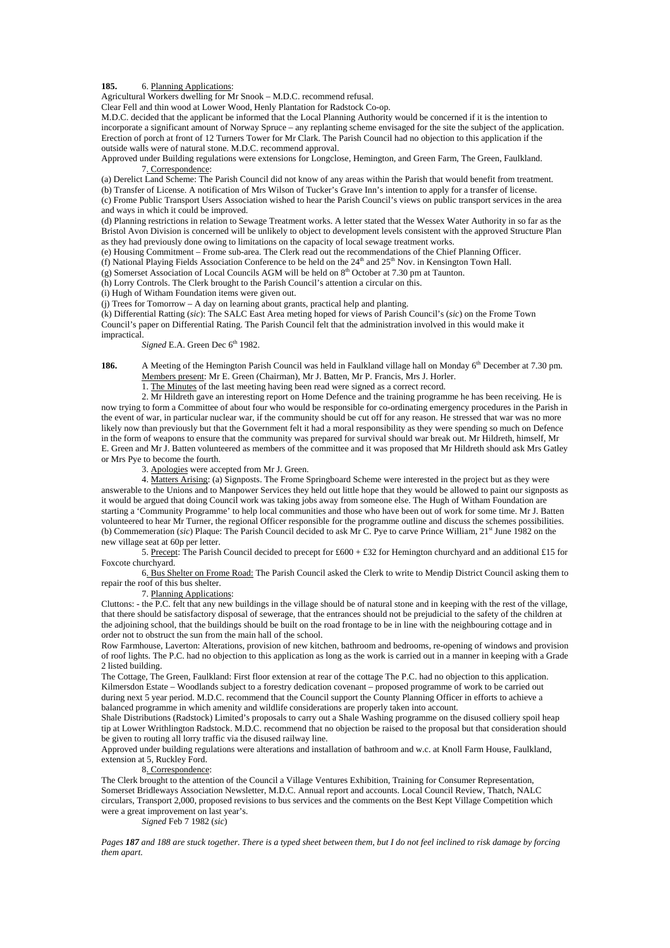# 185. 6. Planning Applications:

Agricultural Workers dwelling for Mr Snook – M.D.C. recommend refusal.

Clear Fell and thin wood at Lower Wood, Henly Plantation for Radstock Co-op.

M.D.C. decided that the applicant be informed that the Local Planning Authority would be concerned if it is the intention to incorporate a significant amount of Norway Spruce – any replanting scheme envisaged for the site the subject of the application. Erection of porch at front of 12 Turners Tower for Mr Clark. The Parish Council had no objection to this application if the outside walls were of natural stone. M.D.C. recommend approval.

Approved under Building regulations were extensions for Longclose, Hemington, and Green Farm, The Green, Faulkland. 7. Correspondence:

(a) Derelict Land Scheme: The Parish Council did not know of any areas within the Parish that would benefit from treatment. (b) Transfer of License. A notification of Mrs Wilson of Tucker's Grave Inn's intention to apply for a transfer of license.

(c) Frome Public Transport Users Association wished to hear the Parish Council's views on public transport services in the area and ways in which it could be improved.

(d) Planning restrictions in relation to Sewage Treatment works. A letter stated that the Wessex Water Authority in so far as the Bristol Avon Division is concerned will be unlikely to object to development levels consistent with the approved Structure Plan as they had previously done owing to limitations on the capacity of local sewage treatment works.

(e) Housing Commitment – Frome sub-area. The Clerk read out the recommendations of the Chief Planning Officer.

(f) National Playing Fields Association Conference to be held on the  $24<sup>th</sup>$  and  $25<sup>th</sup>$  Nov. in Kensington Town Hall.

(g) Somerset Association of Local Councils AGM will be held on 8<sup>th</sup> October at 7.30 pm at Taunton.

(h) Lorry Controls. The Clerk brought to the Parish Council's attention a circular on this.

(i) Hugh of Witham Foundation items were given out.

 $(i)$  Trees for Tomorrow – A day on learning about grants, practical help and planting.

(k) Differential Ratting (*sic*): The SALC East Area meting hoped for views of Parish Council's (*sic*) on the Frome Town Council's paper on Differential Rating. The Parish Council felt that the administration involved in this would make it impractical.

*Signed* E.A. Green Dec 6<sup>th</sup> 1982.

**186.** A Meeting of the Hemington Parish Council was held in Faulkland village hall on Monday 6<sup>th</sup> December at 7.30 pm. Members present: Mr E. Green (Chairman), Mr J. Batten, Mr P. Francis, Mrs J. Horler.

1. The Minutes of the last meeting having been read were signed as a correct record.

 2. Mr Hildreth gave an interesting report on Home Defence and the training programme he has been receiving. He is now trying to form a Committee of about four who would be responsible for co-ordinating emergency procedures in the Parish in the event of war, in particular nuclear war, if the community should be cut off for any reason. He stressed that war was no more likely now than previously but that the Government felt it had a moral responsibility as they were spending so much on Defence in the form of weapons to ensure that the community was prepared for survival should war break out. Mr Hildreth, himself, Mr E. Green and Mr J. Batten volunteered as members of the committee and it was proposed that Mr Hildreth should ask Mrs Gatley or Mrs Pye to become the fourth.

3. Apologies were accepted from Mr J. Green.

 4. Matters Arising: (a) Signposts. The Frome Springboard Scheme were interested in the project but as they were answerable to the Unions and to Manpower Services they held out little hope that they would be allowed to paint our signposts as it would be argued that doing Council work was taking jobs away from someone else. The Hugh of Witham Foundation are starting a 'Community Programme' to help local communities and those who have been out of work for some time. Mr J. Batten volunteered to hear Mr Turner, the regional Officer responsible for the programme outline and discuss the schemes possibilities. (b) Commemeration (*sic*) Plaque: The Parish Council decided to ask Mr C. Pye to carve Prince William, 21<sup>st</sup> June 1982 on the new village seat at 60p per letter.

5. Precept: The Parish Council decided to precept for £600 + £32 for Hemington churchyard and an additional £15 for Foxcote churchyard.

 6. Bus Shelter on Frome Road: The Parish Council asked the Clerk to write to Mendip District Council asking them to repair the roof of this bus shelter.

7. Planning Applications:

Cluttons: - the P.C. felt that any new buildings in the village should be of natural stone and in keeping with the rest of the village, that there should be satisfactory disposal of sewerage, that the entrances should not be prejudicial to the safety of the children at the adjoining school, that the buildings should be built on the road frontage to be in line with the neighbouring cottage and in order not to obstruct the sun from the main hall of the school.

Row Farmhouse, Laverton: Alterations, provision of new kitchen, bathroom and bedrooms, re-opening of windows and provision of roof lights. The P.C. had no objection to this application as long as the work is carried out in a manner in keeping with a Grade 2 listed building.

The Cottage, The Green, Faulkland: First floor extension at rear of the cottage The P.C. had no objection to this application. Kilmersdon Estate – Woodlands subject to a forestry dedication covenant – proposed programme of work to be carried out during next 5 year period. M.D.C. recommend that the Council support the County Planning Officer in efforts to achieve a balanced programme in which amenity and wildlife considerations are properly taken into account.

Shale Distributions (Radstock) Limited's proposals to carry out a Shale Washing programme on the disused colliery spoil heap tip at Lower Writhlington Radstock. M.D.C. recommend that no objection be raised to the proposal but that consideration should be given to routing all lorry traffic via the disused railway line.

Approved under building regulations were alterations and installation of bathroom and w.c. at Knoll Farm House, Faulkland, extension at 5, Ruckley Ford.

### 8. Correspondence:

The Clerk brought to the attention of the Council a Village Ventures Exhibition, Training for Consumer Representation, Somerset Bridleways Association Newsletter, M.D.C. Annual report and accounts. Local Council Review, Thatch, NALC circulars, Transport 2,000, proposed revisions to bus services and the comments on the Best Kept Village Competition which were a great improvement on last year's.

*Signed* Feb 7 1982 (*sic*)

*Pages 187 and 188 are stuck together. There is a typed sheet between them, but I do not feel inclined to risk damage by forcing them apart.*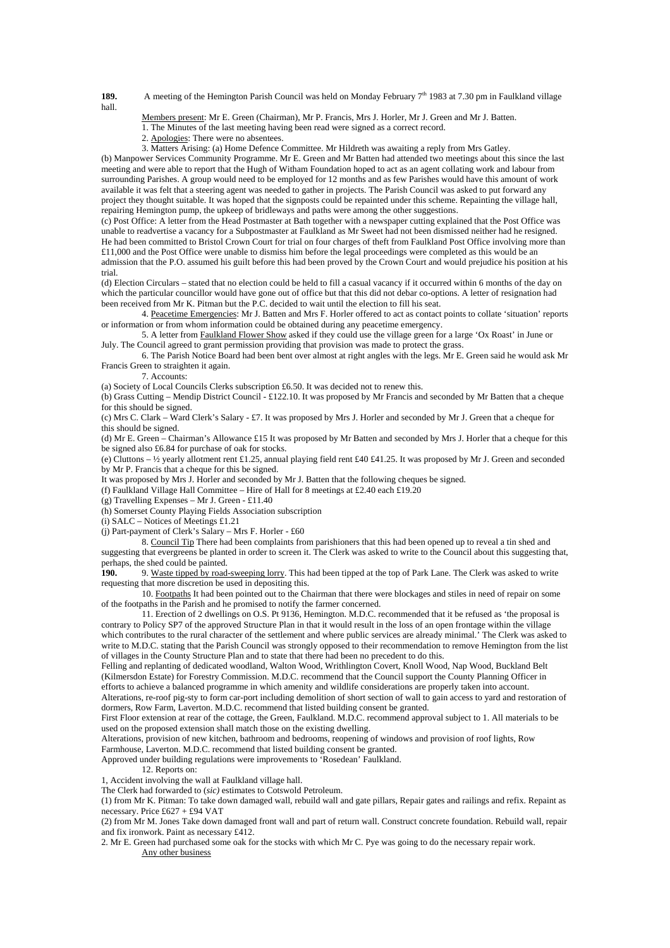**189.** A meeting of the Hemington Parish Council was held on Monday February 7<sup>th</sup> 1983 at 7.30 pm in Faulkland village hall.

Members present: Mr E. Green (Chairman), Mr P. Francis, Mrs J. Horler, Mr J. Green and Mr J. Batten.

- 1. The Minutes of the last meeting having been read were signed as a correct record.
- 2. Apologies: There were no absentees.

3. Matters Arising: (a) Home Defence Committee. Mr Hildreth was awaiting a reply from Mrs Gatley.

(b) Manpower Services Community Programme. Mr E. Green and Mr Batten had attended two meetings about this since the last meeting and were able to report that the Hugh of Witham Foundation hoped to act as an agent collating work and labour from surrounding Parishes. A group would need to be employed for 12 months and as few Parishes would have this amount of work available it was felt that a steering agent was needed to gather in projects. The Parish Council was asked to put forward any project they thought suitable. It was hoped that the signposts could be repainted under this scheme. Repainting the village hall, repairing Hemington pump, the upkeep of bridleways and paths were among the other suggestions.

(c) Post Office: A letter from the Head Postmaster at Bath together with a newspaper cutting explained that the Post Office was unable to readvertise a vacancy for a Subpostmaster at Faulkland as Mr Sweet had not been dismissed neither had he resigned. He had been committed to Bristol Crown Court for trial on four charges of theft from Faulkland Post Office involving more than £11,000 and the Post Office were unable to dismiss him before the legal proceedings were completed as this would be an admission that the P.O. assumed his guilt before this had been proved by the Crown Court and would prejudice his position at his trial.

(d) Election Circulars – stated that no election could be held to fill a casual vacancy if it occurred within 6 months of the day on which the particular councillor would have gone out of office but that this did not debar co-options. A letter of resignation had been received from Mr K. Pitman but the P.C. decided to wait until the election to fill his seat.

 4. Peacetime Emergencies: Mr J. Batten and Mrs F. Horler offered to act as contact points to collate 'situation' reports or information or from whom information could be obtained during any peacetime emergency.

 5. A letter from Faulkland Flower Show asked if they could use the village green for a large 'Ox Roast' in June or July. The Council agreed to grant permission providing that provision was made to protect the grass.

 6. The Parish Notice Board had been bent over almost at right angles with the legs. Mr E. Green said he would ask Mr Francis Green to straighten it again.

7. Accounts:

(a) Society of Local Councils Clerks subscription £6.50. It was decided not to renew this.

(b) Grass Cutting – Mendip District Council - £122.10. It was proposed by Mr Francis and seconded by Mr Batten that a cheque for this should be signed.

(c) Mrs C. Clark – Ward Clerk's Salary - £7. It was proposed by Mrs J. Horler and seconded by Mr J. Green that a cheque for this should be signed.

(d) Mr E. Green – Chairman's Allowance £15 It was proposed by Mr Batten and seconded by Mrs J. Horler that a cheque for this be signed also £6.84 for purchase of oak for stocks.

(e) Cluttons –  $\frac{1}{2}$  yearly allotment rent £1.25, annual playing field rent £40 £41.25. It was proposed by Mr J. Green and seconded by Mr P. Francis that a cheque for this be signed.

It was proposed by Mrs J. Horler and seconded by Mr J. Batten that the following cheques be signed.

(f) Faulkland Village Hall Committee – Hire of Hall for 8 meetings at £2.40 each £19.20

(g) Travelling Expenses – Mr J. Green - £11.40

(h) Somerset County Playing Fields Association subscription

(i) SALC – Notices of Meetings £1.21

(i) Part-payment of Clerk's Salary – Mrs F. Horler - £60

 8. Council Tip There had been complaints from parishioners that this had been opened up to reveal a tin shed and suggesting that evergreens be planted in order to screen it. The Clerk was asked to write to the Council about this suggesting that, perhaps, the shed could be painted.<br>190 9 Waste tipped by road.

9. Waste tipped by road-sweeping lorry. This had been tipped at the top of Park Lane. The Clerk was asked to write requesting that more discretion be used in depositing this.

 10. Footpaths It had been pointed out to the Chairman that there were blockages and stiles in need of repair on some of the footpaths in the Parish and he promised to notify the farmer concerned.

 11. Erection of 2 dwellings on O.S. Pt 9136, Hemington. M.D.C. recommended that it be refused as 'the proposal is contrary to Policy SP7 of the approved Structure Plan in that it would result in the loss of an open frontage within the village which contributes to the rural character of the settlement and where public services are already minimal.' The Clerk was asked to write to M.D.C. stating that the Parish Council was strongly opposed to their recommendation to remove Hemington from the list of villages in the County Structure Plan and to state that there had been no precedent to do this.

Felling and replanting of dedicated woodland, Walton Wood, Writhlington Covert, Knoll Wood, Nap Wood, Buckland Belt (Kilmersdon Estate) for Forestry Commission. M.D.C. recommend that the Council support the County Planning Officer in efforts to achieve a balanced programme in which amenity and wildlife considerations are properly taken into account.

Alterations, re-roof pig-sty to form car-port including demolition of short section of wall to gain access to yard and restoration of dormers, Row Farm, Laverton. M.D.C. recommend that listed building consent be granted.

First Floor extension at rear of the cottage, the Green, Faulkland. M.D.C. recommend approval subject to 1. All materials to be used on the proposed extension shall match those on the existing dwelling.

Alterations, provision of new kitchen, bathroom and bedrooms, reopening of windows and provision of roof lights, Row Farmhouse, Laverton. M.D.C. recommend that listed building consent be granted.

Approved under building regulations were improvements to 'Rosedean' Faulkland.

12. Reports on:

1, Accident involving the wall at Faulkland village hall.

The Clerk had forwarded to (*sic)* estimates to Cotswold Petroleum.

(1) from Mr K. Pitman: To take down damaged wall, rebuild wall and gate pillars, Repair gates and railings and refix. Repaint as necessary. Price £627 + £94 VAT

(2) from Mr M. Jones Take down damaged front wall and part of return wall. Construct concrete foundation. Rebuild wall, repair and fix ironwork. Paint as necessary £412.

2. Mr E. Green had purchased some oak for the stocks with which Mr C. Pye was going to do the necessary repair work. Any other business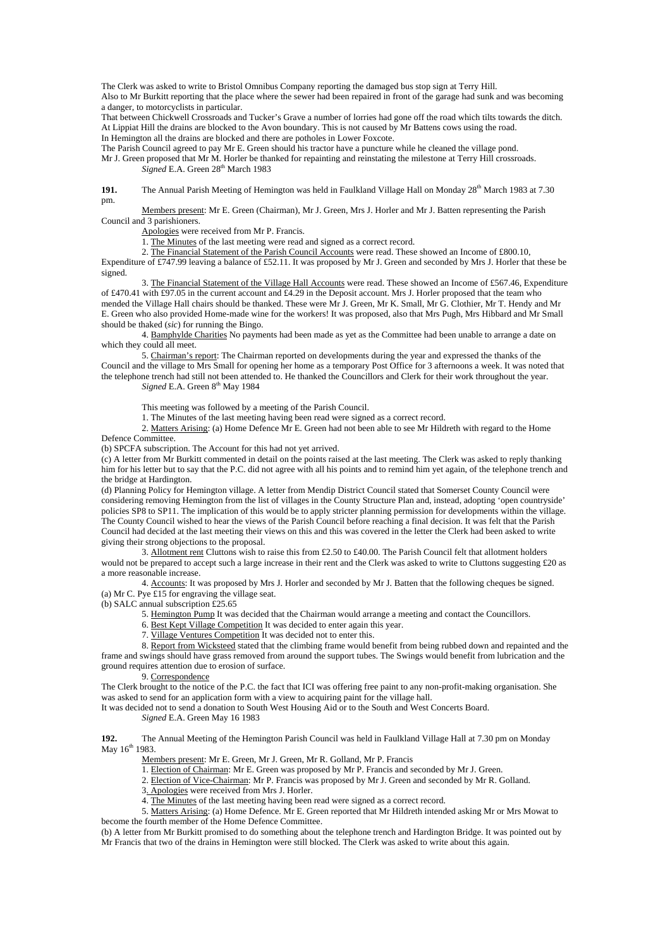The Clerk was asked to write to Bristol Omnibus Company reporting the damaged bus stop sign at Terry Hill. Also to Mr Burkitt reporting that the place where the sewer had been repaired in front of the garage had sunk and was becoming a danger, to motorcyclists in particular.

That between Chickwell Crossroads and Tucker's Grave a number of lorries had gone off the road which tilts towards the ditch. At Lippiat Hill the drains are blocked to the Avon boundary. This is not caused by Mr Battens cows using the road. In Hemington all the drains are blocked and there are potholes in Lower Foxcote.

The Parish Council agreed to pay Mr E. Green should his tractor have a puncture while he cleaned the village pond.

Mr J. Green proposed that Mr M. Horler be thanked for repainting and reinstating the milestone at Terry Hill crossroads. *Signed* E.A. Green 28<sup>th</sup> March 1983

**191.** The Annual Parish Meeting of Hemington was held in Faulkland Village Hall on Monday 28<sup>th</sup> March 1983 at 7.30 pm.

 Members present: Mr E. Green (Chairman), Mr J. Green, Mrs J. Horler and Mr J. Batten representing the Parish Council and 3 parishioners.

Apologies were received from Mr P. Francis.

1. The Minutes of the last meeting were read and signed as a correct record.

2. The Financial Statement of the Parish Council Accounts were read. These showed an Income of £800.10,

Expenditure of £747.99 leaving a balance of £52.11. It was proposed by Mr J. Green and seconded by Mrs J. Horler that these be signed.

 3. The Financial Statement of the Village Hall Accounts were read. These showed an Income of £567.46, Expenditure of £470.41 with £97.05 in the current account and £4.29 in the Deposit account. Mrs J. Horler proposed that the team who mended the Village Hall chairs should be thanked. These were Mr J. Green, Mr K. Small, Mr G. Clothier, Mr T. Hendy and Mr E. Green who also provided Home-made wine for the workers! It was proposed, also that Mrs Pugh, Mrs Hibbard and Mr Small should be thaked (*sic*) for running the Bingo.

 4. Bamphylde Charities No payments had been made as yet as the Committee had been unable to arrange a date on which they could all meet.

 5. Chairman's report: The Chairman reported on developments during the year and expressed the thanks of the Council and the village to Mrs Small for opening her home as a temporary Post Office for 3 afternoons a week. It was noted that the telephone trench had still not been attended to. He thanked the Councillors and Clerk for their work throughout the year. *Signed* E.A. Green  $8<sup>th</sup>$  May 1984

This meeting was followed by a meeting of the Parish Council.

1. The Minutes of the last meeting having been read were signed as a correct record.

2. Matters Arising: (a) Home Defence Mr E. Green had not been able to see Mr Hildreth with regard to the Home

Defence Committee.

(b) SPCFA subscription. The Account for this had not yet arrived.

(c) A letter from Mr Burkitt commented in detail on the points raised at the last meeting. The Clerk was asked to reply thanking him for his letter but to say that the P.C. did not agree with all his points and to remind him yet again, of the telephone trench and the bridge at Hardington.

(d) Planning Policy for Hemington village. A letter from Mendip District Council stated that Somerset County Council were considering removing Hemington from the list of villages in the County Structure Plan and, instead, adopting 'open countryside' policies SP8 to SP11. The implication of this would be to apply stricter planning permission for developments within the village. The County Council wished to hear the views of the Parish Council before reaching a final decision. It was felt that the Parish Council had decided at the last meeting their views on this and this was covered in the letter the Clerk had been asked to write giving their strong objections to the proposal.

 3. Allotment rent Cluttons wish to raise this from £2.50 to £40.00. The Parish Council felt that allotment holders would not be prepared to accept such a large increase in their rent and the Clerk was asked to write to Cluttons suggesting £20 as a more reasonable increase.

4. Accounts: It was proposed by Mrs J. Horler and seconded by Mr J. Batten that the following cheques be signed. (a) Mr C. Pye £15 for engraving the village seat.

 $(b)$  SALC annual subscription £25.65

- 5. Hemington Pump It was decided that the Chairman would arrange a meeting and contact the Councillors.
- 6. Best Kept Village Competition It was decided to enter again this year.
- 7. Village Ventures Competition It was decided not to enter this.

8. Report from Wicksteed stated that the climbing frame would benefit from being rubbed down and repainted and the frame and swings should have grass removed from around the support tubes. The Swings would benefit from lubrication and the ground requires attention due to erosion of surface.

9. Correspondence

The Clerk brought to the notice of the P.C. the fact that ICI was offering free paint to any non-profit-making organisation. She was asked to send for an application form with a view to acquiring paint for the village hall.

It was decided not to send a donation to South West Housing Aid or to the South and West Concerts Board.

*Signed* E.A. Green May 16 1983

**192.** The Annual Meeting of the Hemington Parish Council was held in Faulkland Village Hall at 7.30 pm on Monday May 16<sup>th</sup> 1983.

Members present: Mr E. Green, Mr J. Green, Mr R. Golland, Mr P. Francis

- 1. Election of Chairman: Mr E. Green was proposed by Mr P. Francis and seconded by Mr J. Green.
- 2. Election of Vice-Chairman: Mr P. Francis was proposed by Mr J. Green and seconded by Mr R. Golland.
- 3. Apologies were received from Mrs J. Horler.
- 4. The Minutes of the last meeting having been read were signed as a correct record.

 5. Matters Arising: (a) Home Defence. Mr E. Green reported that Mr Hildreth intended asking Mr or Mrs Mowat to become the fourth member of the Home Defence Committee.

(b) A letter from Mr Burkitt promised to do something about the telephone trench and Hardington Bridge. It was pointed out by Mr Francis that two of the drains in Hemington were still blocked. The Clerk was asked to write about this again.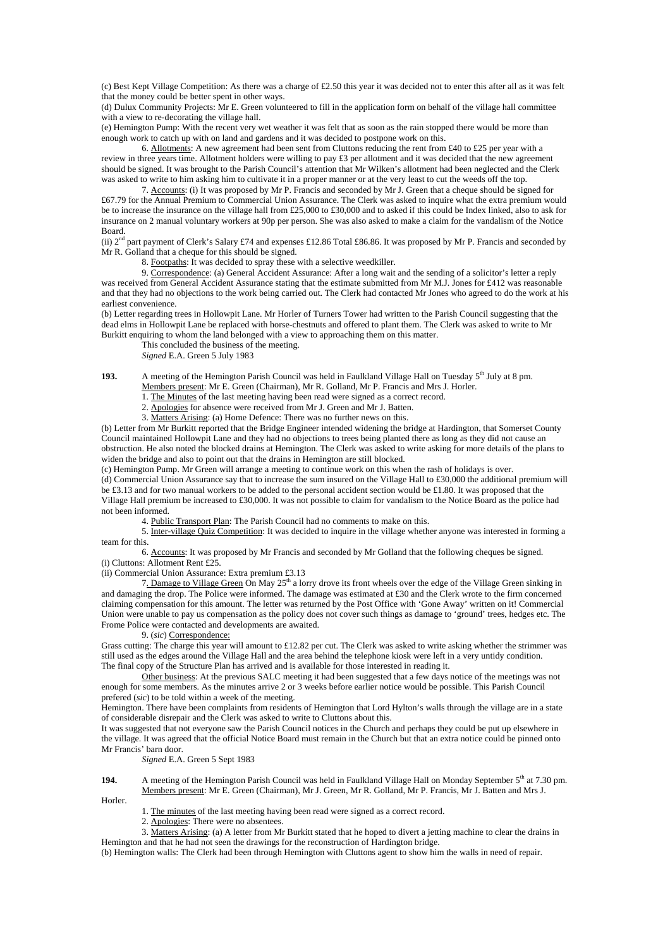(c) Best Kept Village Competition: As there was a charge of £2.50 this year it was decided not to enter this after all as it was felt that the money could be better spent in other ways.

(d) Dulux Community Projects: Mr E. Green volunteered to fill in the application form on behalf of the village hall committee with a view to re-decorating the village hall.

(e) Hemington Pump: With the recent very wet weather it was felt that as soon as the rain stopped there would be more than enough work to catch up with on land and gardens and it was decided to postpone work on this.

 6. Allotments: A new agreement had been sent from Cluttons reducing the rent from £40 to £25 per year with a review in three years time. Allotment holders were willing to pay £3 per allotment and it was decided that the new agreement should be signed. It was brought to the Parish Council's attention that Mr Wilken's allotment had been neglected and the Clerk was asked to write to him asking him to cultivate it in a proper manner or at the very least to cut the weeds off the top.

 7. Accounts: (i) It was proposed by Mr P. Francis and seconded by Mr J. Green that a cheque should be signed for £67.79 for the Annual Premium to Commercial Union Assurance. The Clerk was asked to inquire what the extra premium would be to increase the insurance on the village hall from £25,000 to £30,000 and to asked if this could be Index linked, also to ask for insurance on 2 manual voluntary workers at 90p per person. She was also asked to make a claim for the vandalism of the Notice Board.

(ii)  $2<sup>nd</sup>$  part payment of Clerk's Salary £74 and expenses £12.86 Total £86.86. It was proposed by Mr P. Francis and seconded by Mr R. Golland that a cheque for this should be signed.

8. Footpaths: It was decided to spray these with a selective weedkiller.

 9. Correspondence: (a) General Accident Assurance: After a long wait and the sending of a solicitor's letter a reply was received from General Accident Assurance stating that the estimate submitted from Mr M.J. Jones for £412 was reasonable and that they had no objections to the work being carried out. The Clerk had contacted Mr Jones who agreed to do the work at his earliest convenience.

(b) Letter regarding trees in Hollowpit Lane. Mr Horler of Turners Tower had written to the Parish Council suggesting that the dead elms in Hollowpit Lane be replaced with horse-chestnuts and offered to plant them. The Clerk was asked to write to Mr Burkitt enquiring to whom the land belonged with a view to approaching them on this matter.

This concluded the business of the meeting.

*Signed* E.A. Green 5 July 1983

**193.** A meeting of the Hemington Parish Council was held in Faulkland Village Hall on Tuesday 5<sup>th</sup> July at 8 pm. Members present: Mr E. Green (Chairman), Mr R. Golland, Mr P. Francis and Mrs J. Horler.

1. The Minutes of the last meeting having been read were signed as a correct record.

2. Apologies for absence were received from Mr J. Green and Mr J. Batten.

3. Matters Arising: (a) Home Defence: There was no further news on this.

(b) Letter from Mr Burkitt reported that the Bridge Engineer intended widening the bridge at Hardington, that Somerset County Council maintained Hollowpit Lane and they had no objections to trees being planted there as long as they did not cause an obstruction. He also noted the blocked drains at Hemington. The Clerk was asked to write asking for more details of the plans to widen the bridge and also to point out that the drains in Hemington are still blocked.

(c) Hemington Pump. Mr Green will arrange a meeting to continue work on this when the rash of holidays is over. (d) Commercial Union Assurance say that to increase the sum insured on the Village Hall to £30,000 the additional premium will be £3.13 and for two manual workers to be added to the personal accident section would be £1.80. It was proposed that the Village Hall premium be increased to £30,000. It was not possible to claim for vandalism to the Notice Board as the police had not been informed.

4. Public Transport Plan: The Parish Council had no comments to make on this.

 5. Inter-village Quiz Competition: It was decided to inquire in the village whether anyone was interested in forming a team for this.

 6. Accounts: It was proposed by Mr Francis and seconded by Mr Golland that the following cheques be signed. (i) Cluttons: Allotment Rent £25.

(ii) Commercial Union Assurance: Extra premium £3.13

7. Damage to Village Green On May 25<sup>th</sup> a lorry drove its front wheels over the edge of the Village Green sinking in and damaging the drop. The Police were informed. The damage was estimated at £30 and the Clerk wrote to the firm concerned claiming compensation for this amount. The letter was returned by the Post Office with 'Gone Away' written on it! Commercial Union were unable to pay us compensation as the policy does not cover such things as damage to 'ground' trees, hedges etc. The Frome Police were contacted and developments are awaited.

### 9. (*sic*) Correspondence:

Grass cutting: The charge this year will amount to £12.82 per cut. The Clerk was asked to write asking whether the strimmer was still used as the edges around the Village Hall and the area behind the telephone kiosk were left in a very untidy condition. The final copy of the Structure Plan has arrived and is available for those interested in reading it.

 Other business: At the previous SALC meeting it had been suggested that a few days notice of the meetings was not enough for some members. As the minutes arrive 2 or 3 weeks before earlier notice would be possible. This Parish Council prefered (*sic*) to be told within a week of the meeting.

Hemington. There have been complaints from residents of Hemington that Lord Hylton's walls through the village are in a state of considerable disrepair and the Clerk was asked to write to Cluttons about this.

It was suggested that not everyone saw the Parish Council notices in the Church and perhaps they could be put up elsewhere in the village. It was agreed that the official Notice Board must remain in the Church but that an extra notice could be pinned onto Mr Francis' barn door.

*Signed* E.A. Green 5 Sept 1983

### **194.** A meeting of the Hemington Parish Council was held in Faulkland Village Hall on Monday September 5<sup>th</sup> at 7.30 pm. Members present: Mr E. Green (Chairman), Mr J. Green, Mr R. Golland, Mr P. Francis, Mr J. Batten and Mrs J.

Horler.

1. The minutes of the last meeting having been read were signed as a correct record.

2. Apologies: There were no absentees.

 3. Matters Arising: (a) A letter from Mr Burkitt stated that he hoped to divert a jetting machine to clear the drains in Hemington and that he had not seen the drawings for the reconstruction of Hardington bridge.

(b) Hemington walls: The Clerk had been through Hemington with Cluttons agent to show him the walls in need of repair.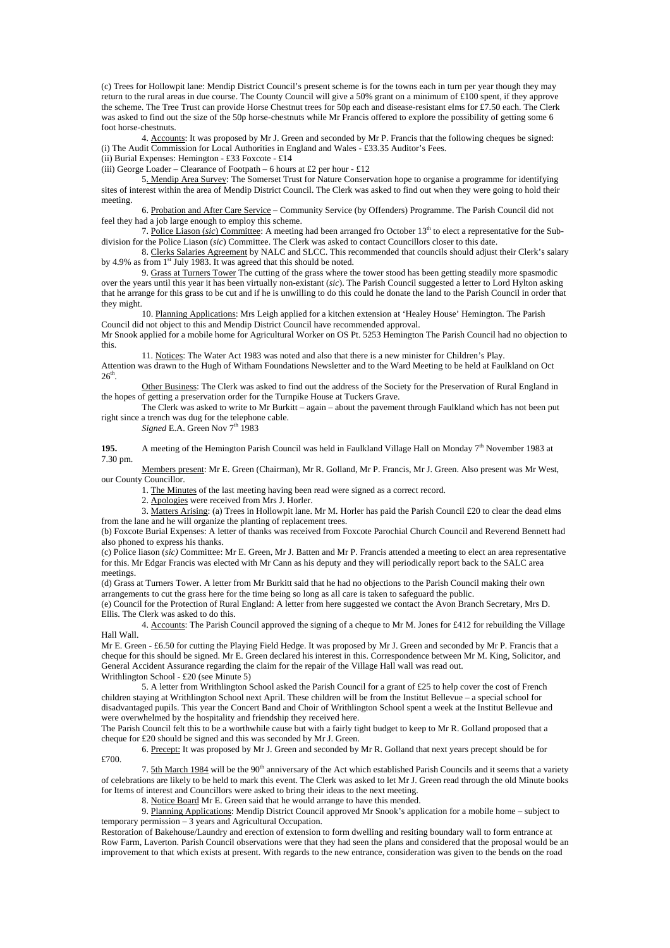(c) Trees for Hollowpit lane: Mendip District Council's present scheme is for the towns each in turn per year though they may return to the rural areas in due course. The County Council will give a 50% grant on a minimum of £100 spent, if they approve the scheme. The Tree Trust can provide Horse Chestnut trees for 50p each and disease-resistant elms for £7.50 each. The Clerk was asked to find out the size of the 50p horse-chestnuts while Mr Francis offered to explore the possibility of getting some 6 foot horse-chestnuts.

 4. Accounts: It was proposed by Mr J. Green and seconded by Mr P. Francis that the following cheques be signed: (i) The Audit Commission for Local Authorities in England and Wales - £33.35 Auditor's Fees.

(ii) Burial Expenses: Hemington - £33 Foxcote - £14

(iii) George Loader – Clearance of Footpath – 6 hours at £2 per hour - £12

 5. Mendip Area Survey: The Somerset Trust for Nature Conservation hope to organise a programme for identifying sites of interest within the area of Mendip District Council. The Clerk was asked to find out when they were going to hold their meeting.

 6. Probation and After Care Service – Community Service (by Offenders) Programme. The Parish Council did not feel they had a job large enough to employ this scheme.

 7. Police Liason (*sic*) Committee: A meeting had been arranged fro October 13th to elect a representative for the Subdivision for the Police Liason (*sic*) Committee. The Clerk was asked to contact Councillors closer to this date.

 8. Clerks Salaries Agreement by NALC and SLCC. This recommended that councils should adjust their Clerk's salary by 4.9% as from  $1<sup>st</sup>$  July 1983. It was agreed that this should be noted.

9. Grass at Turners Tower The cutting of the grass where the tower stood has been getting steadily more spasmodic over the years until this year it has been virtually non-existant (*sic*). The Parish Council suggested a letter to Lord Hylton asking that he arrange for this grass to be cut and if he is unwilling to do this could he donate the land to the Parish Council in order that they might.

 10. Planning Applications: Mrs Leigh applied for a kitchen extension at 'Healey House' Hemington. The Parish Council did not object to this and Mendip District Council have recommended approval.

Mr Snook applied for a mobile home for Agricultural Worker on OS Pt. 5253 Hemington The Parish Council had no objection to this.

 11. Notices: The Water Act 1983 was noted and also that there is a new minister for Children's Play. Attention was drawn to the Hugh of Witham Foundations Newsletter and to the Ward Meeting to be held at Faulkland on Oct  $26<sup>th</sup>$ 

 Other Business: The Clerk was asked to find out the address of the Society for the Preservation of Rural England in the hopes of getting a preservation order for the Turnpike House at Tuckers Grave.

The Clerk was asked to write to Mr Burkitt – again – about the pavement through Faulkland which has not been put right since a trench was dug for the telephone cable.

Signed E.A. Green Nov 7<sup>th</sup> 1983

**195.** A meeting of the Hemington Parish Council was held in Faulkland Village Hall on Monday 7<sup>th</sup> November 1983 at 7.30 pm.

 Members present: Mr E. Green (Chairman), Mr R. Golland, Mr P. Francis, Mr J. Green. Also present was Mr West, our County Councillor.

1. The Minutes of the last meeting having been read were signed as a correct record.

2. Apologies were received from Mrs J. Horler.

 3. Matters Arising: (a) Trees in Hollowpit lane. Mr M. Horler has paid the Parish Council £20 to clear the dead elms from the lane and he will organize the planting of replacement trees.

(b) Foxcote Burial Expenses: A letter of thanks was received from Foxcote Parochial Church Council and Reverend Bennett had also phoned to express his thanks.

(c) Police liason (*sic)* Committee: Mr E. Green, Mr J. Batten and Mr P. Francis attended a meeting to elect an area representative for this. Mr Edgar Francis was elected with Mr Cann as his deputy and they will periodically report back to the SALC area meetings.

(d) Grass at Turners Tower. A letter from Mr Burkitt said that he had no objections to the Parish Council making their own arrangements to cut the grass here for the time being so long as all care is taken to safeguard the public. (e) Council for the Protection of Rural England: A letter from here suggested we contact the Avon Branch Secretary, Mrs D.

Ellis. The Clerk was asked to do this.

4. Accounts: The Parish Council approved the signing of a cheque to Mr M. Jones for £412 for rebuilding the Village Hall Wall.

Mr E. Green - £6.50 for cutting the Playing Field Hedge. It was proposed by Mr J. Green and seconded by Mr P. Francis that a cheque for this should be signed. Mr E. Green declared his interest in this. Correspondence between Mr M. King, Solicitor, and General Accident Assurance regarding the claim for the repair of the Village Hall wall was read out. Writhlington School - £20 (see Minute 5)

 5. A letter from Writhlington School asked the Parish Council for a grant of £25 to help cover the cost of French children staying at Writhlington School next April. These children will be from the Institut Bellevue – a special school for disadvantaged pupils. This year the Concert Band and Choir of Writhlington School spent a week at the Institut Bellevue and were overwhelmed by the hospitality and friendship they received here.

The Parish Council felt this to be a worthwhile cause but with a fairly tight budget to keep to Mr R. Golland proposed that a cheque for £20 should be signed and this was seconded by Mr J. Green.

 6. Precept: It was proposed by Mr J. Green and seconded by Mr R. Golland that next years precept should be for £700.

7. 5th March 1984 will be the 90<sup>th</sup> anniversary of the Act which established Parish Councils and it seems that a variety of celebrations are likely to be held to mark this event. The Clerk was asked to let Mr J. Green read through the old Minute books for Items of interest and Councillors were asked to bring their ideas to the next meeting.

8. Notice Board Mr E. Green said that he would arrange to have this mended.

 9. Planning Applications: Mendip District Council approved Mr Snook's application for a mobile home – subject to temporary permission – 3 years and Agricultural Occupation.

Restoration of Bakehouse/Laundry and erection of extension to form dwelling and resiting boundary wall to form entrance at Row Farm, Laverton. Parish Council observations were that they had seen the plans and considered that the proposal would be an improvement to that which exists at present. With regards to the new entrance, consideration was given to the bends on the road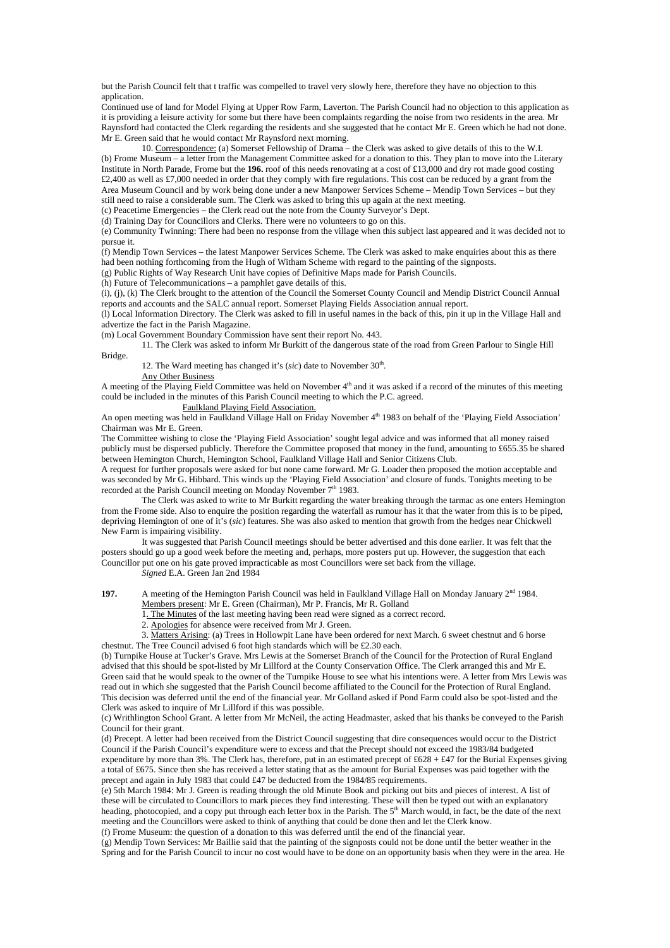but the Parish Council felt that t traffic was compelled to travel very slowly here, therefore they have no objection to this application.

Continued use of land for Model Flying at Upper Row Farm, Laverton. The Parish Council had no objection to this application as it is providing a leisure activity for some but there have been complaints regarding the noise from two residents in the area. Mr Raynsford had contacted the Clerk regarding the residents and she suggested that he contact Mr E. Green which he had not done. Mr E. Green said that he would contact Mr Raynsford next morning.

 10. Correspondence: (a) Somerset Fellowship of Drama – the Clerk was asked to give details of this to the W.I. (b) Frome Museum – a letter from the Management Committee asked for a donation to this. They plan to move into the Literary Institute in North Parade, Frome but the **196.** roof of this needs renovating at a cost of £13,000 and dry rot made good costing £2,400 as well as £7,000 needed in order that they comply with fire regulations. This cost can be reduced by a grant from the Area Museum Council and by work being done under a new Manpower Services Scheme – Mendip Town Services – but they still need to raise a considerable sum. The Clerk was asked to bring this up again at the next meeting.

(c) Peacetime Emergencies – the Clerk read out the note from the County Surveyor's Dept. (d) Training Day for Councillors and Clerks. There were no volunteers to go on this.

(e) Community Twinning: There had been no response from the village when this subject last appeared and it was decided not to pursue it.

(f) Mendip Town Services – the latest Manpower Services Scheme. The Clerk was asked to make enquiries about this as there had been nothing forthcoming from the Hugh of Witham Scheme with regard to the painting of the signposts.

(g) Public Rights of Way Research Unit have copies of Definitive Maps made for Parish Councils. (h) Future of Telecommunications – a pamphlet gave details of this.

(i), (j), (k) The Clerk brought to the attention of the Council the Somerset County Council and Mendip District Council Annual reports and accounts and the SALC annual report. Somerset Playing Fields Association annual report.

(l) Local Information Directory. The Clerk was asked to fill in useful names in the back of this, pin it up in the Village Hall and advertize the fact in the Parish Magazine.

(m) Local Government Boundary Commission have sent their report No. 443.

 11. The Clerk was asked to inform Mr Burkitt of the dangerous state of the road from Green Parlour to Single Hill Bridge.

12. The Ward meeting has changed it's  $(sic)$  date to November 30<sup>th</sup>.

Any Other Business

A meeting of the Playing Field Committee was held on November 4<sup>th</sup> and it was asked if a record of the minutes of this meeting could be included in the minutes of this Parish Council meeting to which the P.C. agreed.

Faulkland Playing Field Association.

An open meeting was held in Faulkland Village Hall on Friday November  $4<sup>th</sup>$  1983 on behalf of the 'Playing Field Association' Chairman was Mr E. Green.

The Committee wishing to close the 'Playing Field Association' sought legal advice and was informed that all money raised publicly must be dispersed publicly. Therefore the Committee proposed that money in the fund, amounting to £655.35 be shared between Hemington Church, Hemington School, Faulkland Village Hall and Senior Citizens Club.

A request for further proposals were asked for but none came forward. Mr G. Loader then proposed the motion acceptable and was seconded by Mr G. Hibbard. This winds up the 'Playing Field Association' and closure of funds. Tonights meeting to be recorded at the Parish Council meeting on Monday November 7<sup>th</sup> 1983.

 The Clerk was asked to write to Mr Burkitt regarding the water breaking through the tarmac as one enters Hemington from the Frome side. Also to enquire the position regarding the waterfall as rumour has it that the water from this is to be piped, depriving Hemington of one of it's (*sic*) features. She was also asked to mention that growth from the hedges near Chickwell New Farm is impairing visibility.

 It was suggested that Parish Council meetings should be better advertised and this done earlier. It was felt that the posters should go up a good week before the meeting and, perhaps, more posters put up. However, the suggestion that each Councillor put one on his gate proved impracticable as most Councillors were set back from the village. *Signed* E.A. Green Jan 2nd 1984

**197.** A meeting of the Hemington Parish Council was held in Faulkland Village Hall on Monday January 2<sup>nd</sup> 1984.

Members present: Mr E. Green (Chairman), Mr P. Francis, Mr R. Golland

1. The Minutes of the last meeting having been read were signed as a correct record.

2. Apologies for absence were received from Mr J. Green.

 3. Matters Arising: (a) Trees in Hollowpit Lane have been ordered for next March. 6 sweet chestnut and 6 horse chestnut. The Tree Council advised 6 foot high standards which will be £2.30 each.

(b) Turnpike House at Tucker's Grave. Mrs Lewis at the Somerset Branch of the Council for the Protection of Rural England advised that this should be spot-listed by Mr Lillford at the County Conservation Office. The Clerk arranged this and Mr E. Green said that he would speak to the owner of the Turnpike House to see what his intentions were. A letter from Mrs Lewis was read out in which she suggested that the Parish Council become affiliated to the Council for the Protection of Rural England. This decision was deferred until the end of the financial year. Mr Golland asked if Pond Farm could also be spot-listed and the Clerk was asked to inquire of Mr Lillford if this was possible.

(c) Writhlington School Grant. A letter from Mr McNeil, the acting Headmaster, asked that his thanks be conveyed to the Parish Council for their grant.

(d) Precept. A letter had been received from the District Council suggesting that dire consequences would occur to the District Council if the Parish Council's expenditure were to excess and that the Precept should not exceed the 1983/84 budgeted expenditure by more than 3%. The Clerk has, therefore, put in an estimated precept of £628 + £47 for the Burial Expenses giving a total of £675. Since then she has received a letter stating that as the amount for Burial Expenses was paid together with the precept and again in July 1983 that could £47 be deducted from the 1984/85 requirements.

(e) 5th March 1984: Mr J. Green is reading through the old Minute Book and picking out bits and pieces of interest. A list of these will be circulated to Councillors to mark pieces they find interesting. These will then be typed out with an explanatory heading, photocopied, and a copy put through each letter box in the Parish. The 5<sup>th</sup> March would, in fact, be the date of the next meeting and the Councillors were asked to think of anything that could be done then and let the Clerk know. (f) Frome Museum: the question of a donation to this was deferred until the end of the financial year.

(g) Mendip Town Services: Mr Baillie said that the painting of the signposts could not be done until the better weather in the Spring and for the Parish Council to incur no cost would have to be done on an opportunity basis when they were in the area. He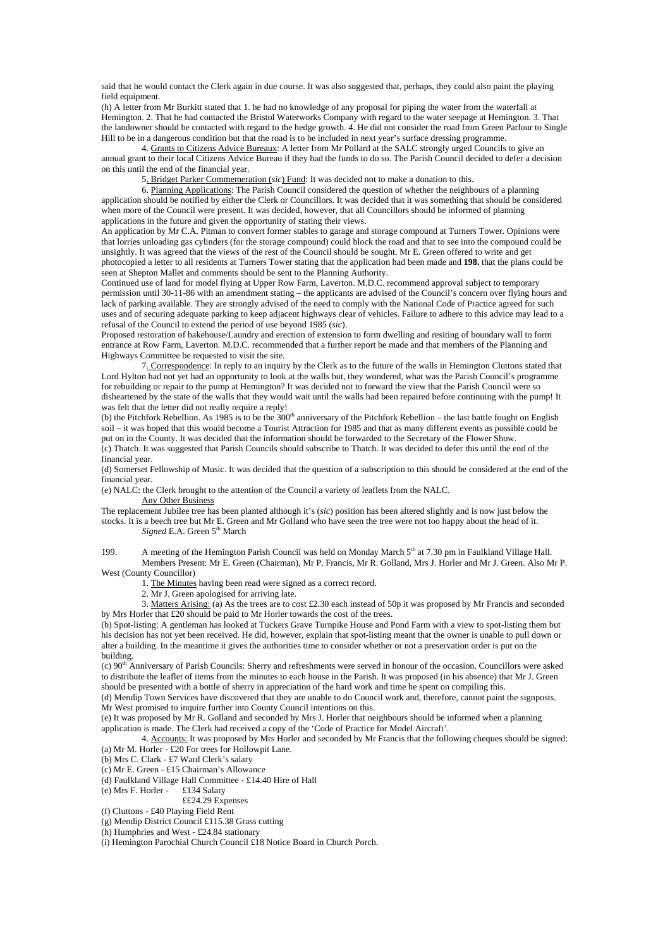said that he would contact the Clerk again in due course. It was also suggested that, perhaps, they could also paint the playing field equipment.

(h) A letter from Mr Burkitt stated that 1. he had no knowledge of any proposal for piping the water from the waterfall at Hemington. 2. That he had contacted the Bristol Waterworks Company with regard to the water seepage at Hemington. 3. That the landowner should be contacted with regard to the hedge growth. 4. He did not consider the road from Green Parlour to Single Hill to be in a dangerous condition but that the road is to be included in next year's surface dressing programme.

 4. Grants to Citizens Advice Bureaux: A letter from Mr Pollard at the SALC strongly urged Councils to give an annual grant to their local Citizens Advice Bureau if they had the funds to do so. The Parish Council decided to defer a decision on this until the end of the financial year.

5. Bridget Parker Commemeration (*sic*) Fund: It was decided not to make a donation to this.

 6. Planning Applications: The Parish Council considered the question of whether the neighbours of a planning application should be notified by either the Clerk or Councillors. It was decided that it was something that should be considered when more of the Council were present. It was decided, however, that all Councillors should be informed of planning applications in the future and given the opportunity of stating their views.

An application by Mr C.A. Pitman to convert former stables to garage and storage compound at Turners Tower. Opinions were that lorries unloading gas cylinders (for the storage compound) could block the road and that to see into the compound could be unsightly. It was agreed that the views of the rest of the Council should be sought. Mr E. Green offered to write and get photocopied a letter to all residents at Turners Tower stating that the application had been made and **198.** that the plans could be seen at Shepton Mallet and comments should be sent to the Planning Authority.

Continued use of land for model flying at Upper Row Farm, Laverton. M.D.C. recommend approval subject to temporary permission until 30-11-86 with an amendment stating – the applicants are advised of the Council's concern over flying hours and lack of parking available. They are strongly advised of the need to comply with the National Code of Practice agreed for such uses and of securing adequate parking to keep adjacent highways clear of vehicles. Failure to adhere to this advice may lead to a refusal of the Council to extend the period of use beyond 1985 (*sic*).

Proposed restoration of bakehouse/Laundry and erection of extension to form dwelling and resiting of boundary wall to form entrance at Row Farm, Laverton. M.D.C. recommended that a further report be made and that members of the Planning and Highways Committee be requested to visit the site.

 7. Correspondence: In reply to an inquiry by the Clerk as to the future of the walls in Hemington Cluttons stated that Lord Hylton had not yet had an opportunity to look at the walls but, they wondered, what was the Parish Council's programme for rebuilding or repair to the pump at Hemington? It was decided not to forward the view that the Parish Council were so disheartened by the state of the walls that they would wait until the walls had been repaired before continuing with the pump! It was felt that the letter did not really require a reply!

(b) the Pitchfork Rebellion. As 1985 is to be the  $300<sup>th</sup>$  anniversary of the Pitchfork Rebellion – the last battle fought on English soil – it was hoped that this would become a Tourist Attraction for 1985 and that as many different events as possible could be put on in the County. It was decided that the information should be forwarded to the Secretary of the Flower Show. (c) Thatch. It was suggested that Parish Councils should subscribe to Thatch. It was decided to defer this until the end of the financial year.

(d) Somerset Fellowship of Music. It was decided that the question of a subscription to this should be considered at the end of the financial year.

(e) NALC: the Clerk brought to the attention of the Council a variety of leaflets from the NALC. Any Other Business

The replacement Jubilee tree has been planted although it's (*sic*) position has been altered slightly and is now just below the stocks. It is a beech tree but Mr E. Green and Mr Golland who have seen the tree were not too happy about the head of it. *Signed* E.A. Green 5<sup>th</sup> March

199. A meeting of the Hemington Parish Council was held on Monday March  $5<sup>th</sup>$  at 7.30 pm in Faulkland Village Hall. Members Present: Mr E. Green (Chairman), Mr P. Francis, Mr R. Golland, Mrs J. Horler and Mr J. Green. Also Mr P. West (County Councillor)

1. The Minutes having been read were signed as a correct record.

2. Mr J. Green apologised for arriving late.

3. Matters Arising: (a) As the trees are to cost £2.30 each instead of 50p it was proposed by Mr Francis and seconded by Mrs Horler that £20 should be paid to Mr Horler towards the cost of the trees.

(b) Spot-listing: A gentleman has looked at Tuckers Grave Turnpike House and Pond Farm with a view to spot-listing them but his decision has not yet been received. He did, however, explain that spot-listing meant that the owner is unable to pull down or alter a building. In the meantime it gives the authorities time to consider whether or not a preservation order is put on the building.

(c) 90th Anniversary of Parish Councils: Sherry and refreshments were served in honour of the occasion. Councillors were asked to distribute the leaflet of items from the minutes to each house in the Parish. It was proposed (in his absence) that Mr J. Green should be presented with a bottle of sherry in appreciation of the hard work and time he spent on compiling this.

(d) Mendip Town Services have discovered that they are unable to do Council work and, therefore, cannot paint the signposts. Mr West promised to inquire further into County Council intentions on this.

(e) It was proposed by Mr R. Golland and seconded by Mrs J. Horler that neighbours should be informed when a planning application is made. The Clerk had received a copy of the 'Code of Practice for Model Aircraft'.

 4. Accounts: It was proposed by Mrs Horler and seconded by Mr Francis that the following cheques should be signed: (a) Mr M. Horler - £20 For trees for Hollowpit Lane.

(b) Mrs C. Clark - £7 Ward Clerk's salary

(c) Mr E. Green - £15 Chairman's Allowance

(d) Faulkland Village Hall Committee - £14.40 Hire of Hall

(e) Mrs F. Horler - £134 Salary ££24.29 Expenses

(f) Cluttons - £40 Playing Field Rent

(g) Mendip District Council £115.38 Grass cutting

(h) Humphries and West - £24.84 stationary

(i) Hemington Parochial Church Council £18 Notice Board in Church Porch.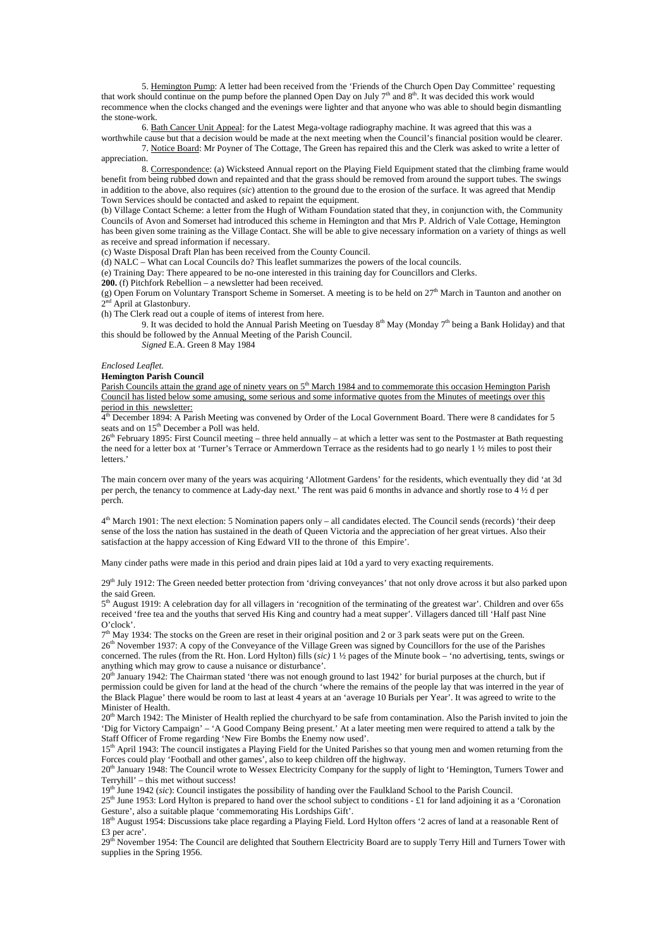5. Hemington Pump: A letter had been received from the 'Friends of the Church Open Day Committee' requesting that work should continue on the pump before the planned Open Day on July  $7<sup>th</sup>$  and  $8<sup>th</sup>$ . It was decided this work would recommence when the clocks changed and the evenings were lighter and that anyone who was able to should begin dismantling the stone-work.

6. Bath Cancer Unit Appeal: for the Latest Mega-voltage radiography machine. It was agreed that this was a

worthwhile cause but that a decision would be made at the next meeting when the Council's financial position would be clearer. 7. Notice Board: Mr Poyner of The Cottage, The Green has repaired this and the Clerk was asked to write a letter of appreciation.

 8. Correspondence: (a) Wicksteed Annual report on the Playing Field Equipment stated that the climbing frame would benefit from being rubbed down and repainted and that the grass should be removed from around the support tubes. The swings in addition to the above, also requires (*sic*) attention to the ground due to the erosion of the surface. It was agreed that Mendip Town Services should be contacted and asked to repaint the equipment.

(b) Village Contact Scheme: a letter from the Hugh of Witham Foundation stated that they, in conjunction with, the Community Councils of Avon and Somerset had introduced this scheme in Hemington and that Mrs P. Aldrich of Vale Cottage, Hemington has been given some training as the Village Contact. She will be able to give necessary information on a variety of things as well as receive and spread information if necessary.

(c) Waste Disposal Draft Plan has been received from the County Council.

(d) NALC – What can Local Councils do? This leaflet summarizes the powers of the local councils.

(e) Training Day: There appeared to be no-one interested in this training day for Councillors and Clerks.

**200.** (f) Pitchfork Rebellion – a newsletter had been received.

(g) Open Forum on Voluntary Transport Scheme in Somerset. A meeting is to be held on  $27<sup>th</sup>$  March in Taunton and another on  $2<sup>nd</sup>$  April at Glastonbury.

(h) The Clerk read out a couple of items of interest from here.

9. It was decided to hold the Annual Parish Meeting on Tuesday  $8<sup>th</sup>$  May (Monday 7<sup>th</sup> being a Bank Holiday) and that this should be followed by the Annual Meeting of the Parish Council.

*Signed* E.A. Green 8 May 1984

#### *Enclosed Leaflet.*

**Hemington Parish Council** 

Parish Councils attain the grand age of ninety years on 5<sup>th</sup> March 1984 and to commemorate this occasion Hemington Parish Council has listed below some amusing, some serious and some informative quotes from the Minutes of meetings over this period in this newsletter:

 $4<sup>th</sup>$  December 1894: A Parish Meeting was convened by Order of the Local Government Board. There were 8 candidates for 5 seats and on 15<sup>th</sup> December a Poll was held.

26<sup>th</sup> February 1895: First Council meeting – three held annually – at which a letter was sent to the Postmaster at Bath requesting the need for a letter box at 'Turner's Terrace or Ammerdown Terrace as the residents had to go nearly 1 ½ miles to post their letters.'

The main concern over many of the years was acquiring 'Allotment Gardens' for the residents, which eventually they did 'at 3d per perch, the tenancy to commence at Lady-day next.' The rent was paid 6 months in advance and shortly rose to 4 ½ d per perch.

4<sup>th</sup> March 1901: The next election: 5 Nomination papers only – all candidates elected. The Council sends (records) 'their deep sense of the loss the nation has sustained in the death of Queen Victoria and the appreciation of her great virtues. Also their satisfaction at the happy accession of King Edward VII to the throne of this Empire'.

Many cinder paths were made in this period and drain pipes laid at 10d a yard to very exacting requirements.

29th July 1912: The Green needed better protection from 'driving conveyances' that not only drove across it but also parked upon the said Green.

 $5<sup>th</sup>$  August 1919: A celebration day for all villagers in 'recognition of the terminating of the greatest war'. Children and over 65s received 'free tea and the youths that served His King and country had a meat supper'. Villagers danced till 'Half past Nine O'clock'.

 $7<sup>th</sup>$  May 1934: The stocks on the Green are reset in their original position and 2 or 3 park seats were put on the Green. 26th November 1937: A copy of the Conveyance of the Village Green was signed by Councillors for the use of the Parishes concerned. The rules (from the Rt. Hon. Lord Hylton) fills (*sic)* 1 ½ pages of the Minute book – 'no advertising, tents, swings or anything which may grow to cause a nuisance or disturbance'.

 $20^{th}$  January 1942: The Chairman stated 'there was not enough ground to last 1942' for burial purposes at the church, but if permission could be given for land at the head of the church 'where the remains of the people lay that was interred in the year of the Black Plague' there would be room to last at least 4 years at an 'average 10 Burials per Year'. It was agreed to write to the Minister of Health.

20<sup>th</sup> March 1942: The Minister of Health replied the churchyard to be safe from contamination. Also the Parish invited to join the 'Dig for Victory Campaign' – 'A Good Company Being present.' At a later meeting men were required to attend a talk by the Staff Officer of Frome regarding 'New Fire Bombs the Enemy now used'.

15th April 1943: The council instigates a Playing Field for the United Parishes so that young men and women returning from the Forces could play 'Football and other games', also to keep children off the highway.

20th January 1948: The Council wrote to Wessex Electricity Company for the supply of light to 'Hemington, Turners Tower and Terryhill' – this met without success!

19th June 1942 (*sic*): Council instigates the possibility of handing over the Faulkland School to the Parish Council.

 $25<sup>th</sup>$  June 1953: Lord Hylton is prepared to hand over the school subject to conditions - £1 for land adjoining it as a 'Coronation Gesture', also a suitable plaque 'commemorating His Lordships Gift'.

18<sup>th</sup> August 1954: Discussions take place regarding a Playing Field. Lord Hylton offers '2 acres of land at a reasonable Rent of £3 per acre'.

29<sup>th</sup> November 1954: The Council are delighted that Southern Electricity Board are to supply Terry Hill and Turners Tower with supplies in the Spring 1956.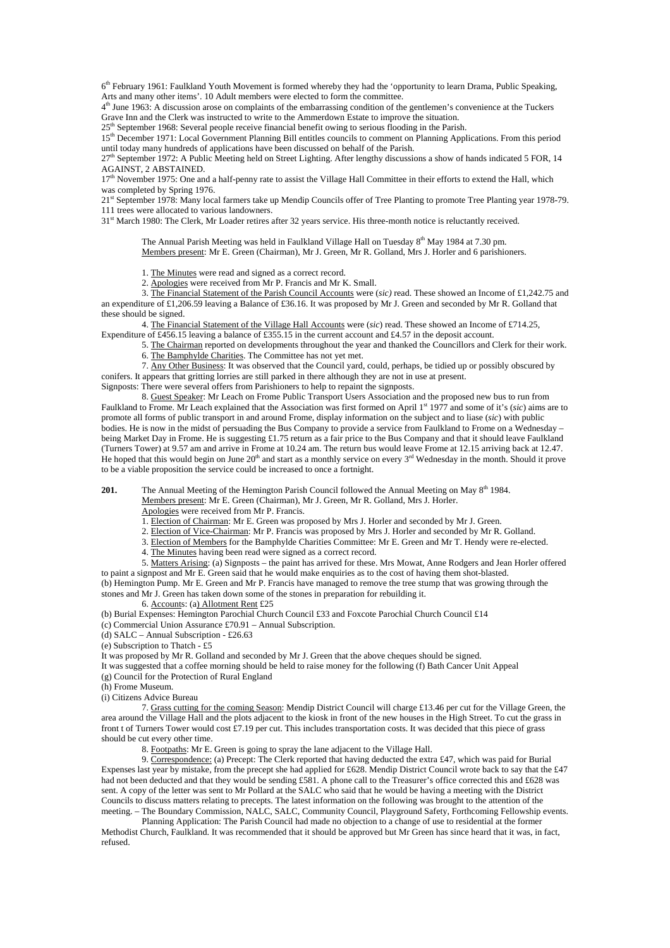6th February 1961: Faulkland Youth Movement is formed whereby they had the 'opportunity to learn Drama, Public Speaking, Arts and many other items'. 10 Adult members were elected to form the committee.

 $4<sup>th</sup>$  June 1963: A discussion arose on complaints of the embarrassing condition of the gentlemen's convenience at the Tuckers Grave Inn and the Clerk was instructed to write to the Ammerdown Estate to improve the situation.

25<sup>th</sup> September 1968: Several people receive financial benefit owing to serious flooding in the Parish.

15th December 1971: Local Government Planning Bill entitles councils to comment on Planning Applications. From this period until today many hundreds of applications have been discussed on behalf of the Parish.

27th September 1972: A Public Meeting held on Street Lighting. After lengthy discussions a show of hands indicated 5 FOR, 14 AGAINST, 2 ABSTAINED.

17<sup>th</sup> November 1975: One and a half-penny rate to assist the Village Hall Committee in their efforts to extend the Hall, which was completed by Spring 1976.

21<sup>st</sup> September 1978: Many local farmers take up Mendip Councils offer of Tree Planting to promote Tree Planting year 1978-79. 111 trees were allocated to various landowners.

31st March 1980: The Clerk, Mr Loader retires after 32 years service. His three-month notice is reluctantly received.

The Annual Parish Meeting was held in Faulkland Village Hall on Tuesday  $8<sup>th</sup>$  May 1984 at 7.30 pm. Members present: Mr E. Green (Chairman), Mr J. Green, Mr R. Golland, Mrs J. Horler and 6 parishioners.

1. The Minutes were read and signed as a correct record.

2. Apologies were received from Mr P. Francis and Mr K. Small.

 3. The Financial Statement of the Parish Council Accounts were (*sic)* read. These showed an Income of £1,242.75 and an expenditure of £1,206.59 leaving a Balance of £36.16. It was proposed by Mr J. Green and seconded by Mr R. Golland that these should be signed.

 4. The Financial Statement of the Village Hall Accounts were (*sic*) read. These showed an Income of £714.25, Expenditure of £456.15 leaving a balance of £355.15 in the current account and £4.57 in the deposit account.

 5. The Chairman reported on developments throughout the year and thanked the Councillors and Clerk for their work. 6. The Bamphylde Charities. The Committee has not yet met.

 7. Any Other Business: It was observed that the Council yard, could, perhaps, be tidied up or possibly obscured by conifers. It appears that gritting lorries are still parked in there although they are not in use at present.

Signposts: There were several offers from Parishioners to help to repaint the signposts.

 8. Guest Speaker: Mr Leach on Frome Public Transport Users Association and the proposed new bus to run from Faulkland to Frome. Mr Leach explained that the Association was first formed on April 1st 1977 and some of it's (*sic*) aims are to promote all forms of public transport in and around Frome, display information on the subject and to liase (*sic*) with public bodies. He is now in the midst of persuading the Bus Company to provide a service from Faulkland to Frome on a Wednesday being Market Day in Frome. He is suggesting £1.75 return as a fair price to the Bus Company and that it should leave Faulkland (Turners Tower) at 9.57 am and arrive in Frome at 10.24 am. The return bus would leave Frome at 12.15 arriving back at 12.47. He hoped that this would begin on June  $20<sup>th</sup>$  and start as a monthly service on every  $3<sup>rd</sup>$  Wednesday in the month. Should it prove to be a viable proposition the service could be increased to once a fortnight.

**201.** The Annual Meeting of the Hemington Parish Council followed the Annual Meeting on May 8<sup>th</sup> 1984.

Members present: Mr E. Green (Chairman), Mr J. Green, Mr R. Golland, Mrs J. Horler.

Apologies were received from Mr P. Francis.

1. Election of Chairman: Mr E. Green was proposed by Mrs J. Horler and seconded by Mr J. Green.

2. Election of Vice-Chairman: Mr P. Francis was proposed by Mrs J. Horler and seconded by Mr R. Golland.

3. Election of Members for the Bamphylde Charities Committee: Mr E. Green and Mr T. Hendy were re-elected.

4. The Minutes having been read were signed as a correct record.

5. Matters Arising: (a) Signposts – the paint has arrived for these. Mrs Mowat, Anne Rodgers and Jean Horler offered

to paint a signpost and Mr E. Green said that he would make enquiries as to the cost of having them shot-blasted. (b) Hemington Pump. Mr E. Green and Mr P. Francis have managed to remove the tree stump that was growing through the stones and Mr J. Green has taken down some of the stones in preparation for rebuilding it.

6. Accounts: (a) Allotment Rent £25

(b) Burial Expenses: Hemington Parochial Church Council £33 and Foxcote Parochial Church Council £14

- (c) Commercial Union Assurance £70.91 Annual Subscription.
- (d) SALC Annual Subscription £26.63

 $(e)$  Subscription to Thatch - £5

It was proposed by Mr R. Golland and seconded by Mr J. Green that the above cheques should be signed.

It was suggested that a coffee morning should be held to raise money for the following (f) Bath Cancer Unit Appeal

(g) Council for the Protection of Rural England

(h) Frome Museum.

(i) Citizens Advice Bureau

 7. Grass cutting for the coming Season: Mendip District Council will charge £13.46 per cut for the Village Green, the area around the Village Hall and the plots adjacent to the kiosk in front of the new houses in the High Street. To cut the grass in front t of Turners Tower would cost  $\pounds$ 7.19 per cut. This includes transportation costs. It was decided that this piece of grass should be cut every other time.

8. Footpaths: Mr E. Green is going to spray the lane adjacent to the Village Hall.

 9. Correspondence: (a) Precept: The Clerk reported that having deducted the extra £47, which was paid for Burial Expenses last year by mistake, from the precept she had applied for £628. Mendip District Council wrote back to say that the £47 had not been deducted and that they would be sending £581. A phone call to the Treasurer's office corrected this and £628 was sent. A copy of the letter was sent to Mr Pollard at the SALC who said that he would be having a meeting with the District Councils to discuss matters relating to precepts. The latest information on the following was brought to the attention of the meeting. – The Boundary Commission, NALC, SALC, Community Council, Playground Safety, Forthcoming Fellowship events.

 Planning Application: The Parish Council had made no objection to a change of use to residential at the former Methodist Church, Faulkland. It was recommended that it should be approved but Mr Green has since heard that it was, in fact, refused.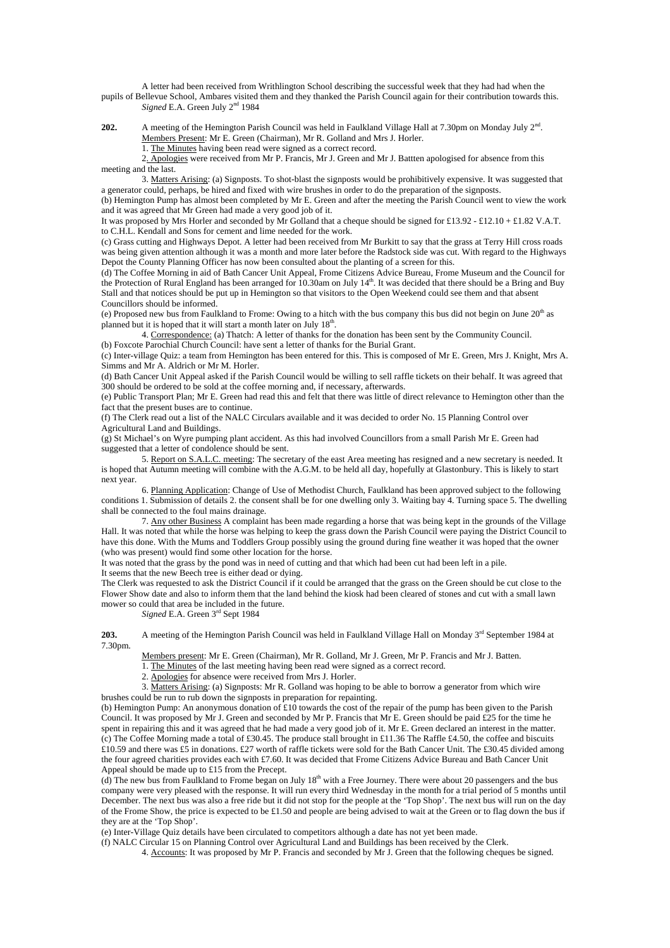A letter had been received from Writhlington School describing the successful week that they had had when the pupils of Bellevue School, Ambares visited them and they thanked the Parish Council again for their contribution towards this. *Signed* E.A. Green July 2<sup>nd</sup> 1984

**202.** A meeting of the Hemington Parish Council was held in Faulkland Village Hall at 7.30pm on Monday July 2<sup>nd</sup>. Members Present: Mr E. Green (Chairman), Mr R. Golland and Mrs J. Horler. 1. The Minutes having been read were signed as a correct record.

 2. Apologies were received from Mr P. Francis, Mr J. Green and Mr J. Battten apologised for absence from this meeting and the last.

 3. Matters Arising: (a) Signposts. To shot-blast the signposts would be prohibitively expensive. It was suggested that a generator could, perhaps, be hired and fixed with wire brushes in order to do the preparation of the signposts.

(b) Hemington Pump has almost been completed by Mr E. Green and after the meeting the Parish Council went to view the work and it was agreed that Mr Green had made a very good job of it.

It was proposed by Mrs Horler and seconded by Mr Golland that a cheque should be signed for £13.92 - £12.10 + £1.82 V.A.T. to C.H.L. Kendall and Sons for cement and lime needed for the work.

(c) Grass cutting and Highways Depot. A letter had been received from Mr Burkitt to say that the grass at Terry Hill cross roads was being given attention although it was a month and more later before the Radstock side was cut. With regard to the Highways Depot the County Planning Officer has now been consulted about the planting of a screen for this.

(d) The Coffee Morning in aid of Bath Cancer Unit Appeal, Frome Citizens Advice Bureau, Frome Museum and the Council for the Protection of Rural England has been arranged for 10.30am on July  $14<sup>th</sup>$ . It was decided that there should be a Bring and Buy Stall and that notices should be put up in Hemington so that visitors to the Open Weekend could see them and that absent Councillors should be informed.

(e) Proposed new bus from Faulkland to Frome: Owing to a hitch with the bus company this bus did not begin on June 20th as planned but it is hoped that it will start a month later on July 18<sup>th</sup>.

 4. Correspondence: (a) Thatch: A letter of thanks for the donation has been sent by the Community Council. (b) Foxcote Parochial Church Council: have sent a letter of thanks for the Burial Grant.

(c) Inter-village Quiz: a team from Hemington has been entered for this. This is composed of Mr E. Green, Mrs J. Knight, Mrs A. Simms and Mr A. Aldrich or Mr M. Horler.

(d) Bath Cancer Unit Appeal asked if the Parish Council would be willing to sell raffle tickets on their behalf. It was agreed that 300 should be ordered to be sold at the coffee morning and, if necessary, afterwards.

(e) Public Transport Plan; Mr E. Green had read this and felt that there was little of direct relevance to Hemington other than the fact that the present buses are to continue.

(f) The Clerk read out a list of the NALC Circulars available and it was decided to order No. 15 Planning Control over Agricultural Land and Buildings.

(g) St Michael's on Wyre pumping plant accident. As this had involved Councillors from a small Parish Mr E. Green had suggested that a letter of condolence should be sent.

 5. Report on S.A.L.C. meeting: The secretary of the east Area meeting has resigned and a new secretary is needed. It is hoped that Autumn meeting will combine with the A.G.M. to be held all day, hopefully at Glastonbury. This is likely to start next year.

 6. Planning Application: Change of Use of Methodist Church, Faulkland has been approved subject to the following conditions 1. Submission of details 2. the consent shall be for one dwelling only 3. Waiting bay 4. Turning space 5. The dwelling shall be connected to the foul mains drainage.

 7. Any other Business A complaint has been made regarding a horse that was being kept in the grounds of the Village Hall. It was noted that while the horse was helping to keep the grass down the Parish Council were paying the District Council to have this done. With the Mums and Toddlers Group possibly using the ground during fine weather it was hoped that the owner (who was present) would find some other location for the horse.

It was noted that the grass by the pond was in need of cutting and that which had been cut had been left in a pile. It seems that the new Beech tree is either dead or dying.

The Clerk was requested to ask the District Council if it could be arranged that the grass on the Green should be cut close to the Flower Show date and also to inform them that the land behind the kiosk had been cleared of stones and cut with a small lawn mower so could that area be included in the future.

*Signed* E.A. Green 3rd Sept 1984

203. A meeting of the Hemington Parish Council was held in Faulkland Village Hall on Monday 3<sup>rd</sup> September 1984 at 7.30pm.

Members present: Mr E. Green (Chairman), Mr R. Golland, Mr J. Green, Mr P. Francis and Mr J. Batten.

1. The Minutes of the last meeting having been read were signed as a correct record.

2. Apologies for absence were received from Mrs J. Horler.

 3. Matters Arising: (a) Signposts: Mr R. Golland was hoping to be able to borrow a generator from which wire brushes could be run to rub down the signposts in preparation for repainting.

(b) Hemington Pump: An anonymous donation of £10 towards the cost of the repair of the pump has been given to the Parish Council. It was proposed by Mr J. Green and seconded by Mr P. Francis that Mr E. Green should be paid £25 for the time he spent in repairing this and it was agreed that he had made a very good job of it. Mr E. Green declared an interest in the matter. (c) The Coffee Morning made a total of £30.45. The produce stall brought in £11.36 The Raffle £4.50, the coffee and biscuits £10.59 and there was £5 in donations. £27 worth of raffle tickets were sold for the Bath Cancer Unit. The £30.45 divided among the four agreed charities provides each with £7.60. It was decided that Frome Citizens Advice Bureau and Bath Cancer Unit Appeal should be made up to £15 from the Precept.

(d) The new bus from Faulkland to Frome began on July  $18<sup>th</sup>$  with a Free Journey. There were about 20 passengers and the bus company were very pleased with the response. It will run every third Wednesday in the month for a trial period of 5 months until December. The next bus was also a free ride but it did not stop for the people at the 'Top Shop'. The next bus will run on the day of the Frome Show, the price is expected to be £1.50 and people are being advised to wait at the Green or to flag down the bus if they are at the 'Top Shop'.

(e) Inter-Village Quiz details have been circulated to competitors although a date has not yet been made.

(f) NALC Circular 15 on Planning Control over Agricultural Land and Buildings has been received by the Clerk.

4. Accounts: It was proposed by Mr P. Francis and seconded by Mr J. Green that the following cheques be signed.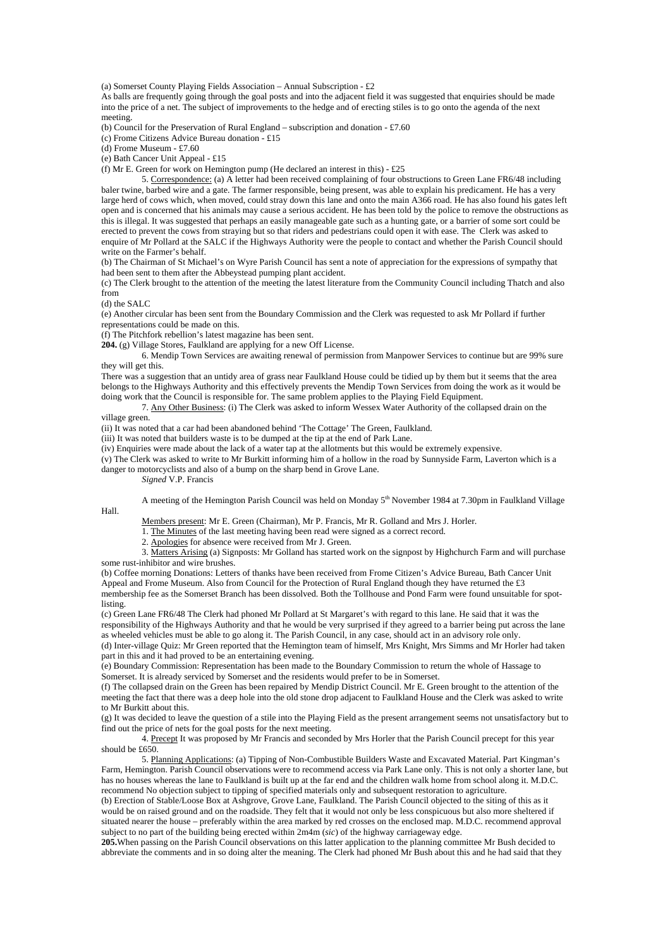(a) Somerset County Playing Fields Association – Annual Subscription - £2

As balls are frequently going through the goal posts and into the adjacent field it was suggested that enquiries should be made into the price of a net. The subject of improvements to the hedge and of erecting stiles is to go onto the agenda of the next meeting.

(b) Council for the Preservation of Rural England – subscription and donation - £7.60

(c) Frome Citizens Advice Bureau donation - £15

(d) Frome Museum - £7.60

(e) Bath Cancer Unit Appeal - £15

(f) Mr E. Green for work on Hemington pump (He declared an interest in this)  $-£25$ 

 5. Correspondence: (a) A letter had been received complaining of four obstructions to Green Lane FR6/48 including baler twine, barbed wire and a gate. The farmer responsible, being present, was able to explain his predicament. He has a very large herd of cows which, when moved, could stray down this lane and onto the main A366 road. He has also found his gates left open and is concerned that his animals may cause a serious accident. He has been told by the police to remove the obstructions as this is illegal. It was suggested that perhaps an easily manageable gate such as a hunting gate, or a barrier of some sort could be erected to prevent the cows from straying but so that riders and pedestrians could open it with ease. The Clerk was asked to enquire of Mr Pollard at the SALC if the Highways Authority were the people to contact and whether the Parish Council should write on the Farmer's behalf.

(b) The Chairman of St Michael's on Wyre Parish Council has sent a note of appreciation for the expressions of sympathy that had been sent to them after the Abbeystead pumping plant accident.

(c) The Clerk brought to the attention of the meeting the latest literature from the Community Council including Thatch and also from

(d) the SALC

Hall.

(e) Another circular has been sent from the Boundary Commission and the Clerk was requested to ask Mr Pollard if further representations could be made on this.

(f) The Pitchfork rebellion's latest magazine has been sent.

**204.** (g) Village Stores, Faulkland are applying for a new Off License.

 6. Mendip Town Services are awaiting renewal of permission from Manpower Services to continue but are 99% sure they will get this.

There was a suggestion that an untidy area of grass near Faulkland House could be tidied up by them but it seems that the area belongs to the Highways Authority and this effectively prevents the Mendip Town Services from doing the work as it would be doing work that the Council is responsible for. The same problem applies to the Playing Field Equipment.

 7. Any Other Business: (i) The Clerk was asked to inform Wessex Water Authority of the collapsed drain on the village green.

(ii) It was noted that a car had been abandoned behind 'The Cottage' The Green, Faulkland.

(iii) It was noted that builders waste is to be dumped at the tip at the end of Park Lane.

(iv) Enquiries were made about the lack of a water tap at the allotments but this would be extremely expensive.

(v) The Clerk was asked to write to Mr Burkitt informing him of a hollow in the road by Sunnyside Farm, Laverton which is a danger to motorcyclists and also of a bump on the sharp bend in Grove Lane.

*Signed* V.P. Francis

A meeting of the Hemington Parish Council was held on Monday 5<sup>th</sup> November 1984 at 7.30pm in Faulkland Village

Members present: Mr E. Green (Chairman), Mr P. Francis, Mr R. Golland and Mrs J. Horler.

1. The Minutes of the last meeting having been read were signed as a correct record.

2. Apologies for absence were received from Mr J. Green.

 3. Matters Arising (a) Signposts: Mr Golland has started work on the signpost by Highchurch Farm and will purchase some rust-inhibitor and wire brushes.

(b) Coffee morning Donations: Letters of thanks have been received from Frome Citizen's Advice Bureau, Bath Cancer Unit Appeal and Frome Museum. Also from Council for the Protection of Rural England though they have returned the £3 membership fee as the Somerset Branch has been dissolved. Both the Tollhouse and Pond Farm were found unsuitable for spotlisting.

(c) Green Lane FR6/48 The Clerk had phoned Mr Pollard at St Margaret's with regard to this lane. He said that it was the responsibility of the Highways Authority and that he would be very surprised if they agreed to a barrier being put across the lane as wheeled vehicles must be able to go along it. The Parish Council, in any case, should act in an advisory role only.

(d) Inter-village Quiz: Mr Green reported that the Hemington team of himself, Mrs Knight, Mrs Simms and Mr Horler had taken part in this and it had proved to be an entertaining evening.

(e) Boundary Commission: Representation has been made to the Boundary Commission to return the whole of Hassage to Somerset. It is already serviced by Somerset and the residents would prefer to be in Somerset.

(f) The collapsed drain on the Green has been repaired by Mendip District Council. Mr E. Green brought to the attention of the meeting the fact that there was a deep hole into the old stone drop adjacent to Faulkland House and the Clerk was asked to write to Mr Burkitt about this.

(g) It was decided to leave the question of a stile into the Playing Field as the present arrangement seems not unsatisfactory but to find out the price of nets for the goal posts for the next meeting.

 4. Precept It was proposed by Mr Francis and seconded by Mrs Horler that the Parish Council precept for this year should be £650.

 5. Planning Applications: (a) Tipping of Non-Combustible Builders Waste and Excavated Material. Part Kingman's Farm, Hemington. Parish Council observations were to recommend access via Park Lane only. This is not only a shorter lane, but has no houses whereas the lane to Faulkland is built up at the far end and the children walk home from school along it. M.D.C. recommend No objection subject to tipping of specified materials only and subsequent restoration to agriculture.

(b) Erection of Stable/Loose Box at Ashgrove, Grove Lane, Faulkland. The Parish Council objected to the siting of this as it would be on raised ground and on the roadside. They felt that it would not only be less conspicuous but also more sheltered if situated nearer the house – preferably within the area marked by red crosses on the enclosed map. M.D.C. recommend approval subject to no part of the building being erected within 2m4m (*sic*) of the highway carriageway edge.

**205.**When passing on the Parish Council observations on this latter application to the planning committee Mr Bush decided to abbreviate the comments and in so doing alter the meaning. The Clerk had phoned Mr Bush about this and he had said that they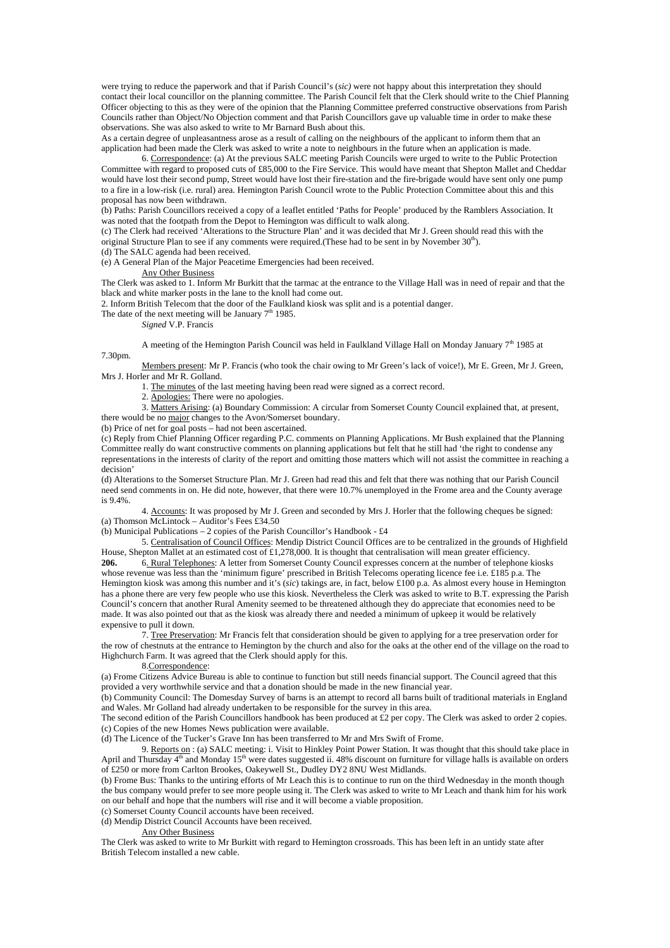were trying to reduce the paperwork and that if Parish Council's (*sic)* were not happy about this interpretation they should contact their local councillor on the planning committee. The Parish Council felt that the Clerk should write to the Chief Planning Officer objecting to this as they were of the opinion that the Planning Committee preferred constructive observations from Parish Councils rather than Object/No Objection comment and that Parish Councillors gave up valuable time in order to make these observations. She was also asked to write to Mr Barnard Bush about this.

As a certain degree of unpleasantness arose as a result of calling on the neighbours of the applicant to inform them that an application had been made the Clerk was asked to write a note to neighbours in the future when an application is made.

 6. Correspondence: (a) At the previous SALC meeting Parish Councils were urged to write to the Public Protection Committee with regard to proposed cuts of £85,000 to the Fire Service. This would have meant that Shepton Mallet and Cheddar would have lost their second pump, Street would have lost their fire-station and the fire-brigade would have sent only one pump to a fire in a low-risk (i.e. rural) area. Hemington Parish Council wrote to the Public Protection Committee about this and this proposal has now been withdrawn.

(b) Paths: Parish Councillors received a copy of a leaflet entitled 'Paths for People' produced by the Ramblers Association. It was noted that the footpath from the Depot to Hemington was difficult to walk along.

(c) The Clerk had received 'Alterations to the Structure Plan' and it was decided that Mr J. Green should read this with the original Structure Plan to see if any comments were required.(These had to be sent in by November 30<sup>th</sup>).

(d) The SALC agenda had been received.

(e) A General Plan of the Major Peacetime Emergencies had been received.

### Any Other Business

The Clerk was asked to 1. Inform Mr Burkitt that the tarmac at the entrance to the Village Hall was in need of repair and that the black and white marker posts in the lane to the knoll had come out.

2. Inform British Telecom that the door of the Faulkland kiosk was split and is a potential danger.

The date of the next meeting will be January  $7<sup>th</sup>$  1985.

*Signed* V.P. Francis

A meeting of the Hemington Parish Council was held in Faulkland Village Hall on Monday January  $7<sup>th</sup>$  1985 at 7.30pm.

Members present: Mr P. Francis (who took the chair owing to Mr Green's lack of voice!), Mr E. Green, Mr J. Green, Mrs J. Horler and Mr R. Golland.

1. The minutes of the last meeting having been read were signed as a correct record.

2. Apologies: There were no apologies.

 3. Matters Arising: (a) Boundary Commission: A circular from Somerset County Council explained that, at present, there would be no major changes to the Avon/Somerset boundary.

(b) Price of net for goal posts – had not been ascertained.

(c) Reply from Chief Planning Officer regarding P.C. comments on Planning Applications. Mr Bush explained that the Planning Committee really do want constructive comments on planning applications but felt that he still had 'the right to condense any representations in the interests of clarity of the report and omitting those matters which will not assist the committee in reaching a decision'

(d) Alterations to the Somerset Structure Plan. Mr J. Green had read this and felt that there was nothing that our Parish Council need send comments in on. He did note, however, that there were 10.7% unemployed in the Frome area and the County average is 9.4%.

 4. Accounts: It was proposed by Mr J. Green and seconded by Mrs J. Horler that the following cheques be signed: (a) Thomson McLintock – Auditor's Fees £34.50

(b) Municipal Publications – 2 copies of the Parish Councillor's Handbook - £4

5. Centralisation of Council Offices: Mendip District Council Offices are to be centralized in the grounds of Highfield House, Shepton Mallet at an estimated cost of £1,278,000. It is thought that centralisation will mean greater efficiency.

**206.** 6. Rural Telephones: A letter from Somerset County Council expresses concern at the number of telephone kiosks whose revenue was less than the 'minimum figure' prescribed in British Telecoms operating licence fee i.e. £185 p.a. The Hemington kiosk was among this number and it's (*sic*) takings are, in fact, below £100 p.a. As almost every house in Hemington has a phone there are very few people who use this kiosk. Nevertheless the Clerk was asked to write to B.T. expressing the Parish Council's concern that another Rural Amenity seemed to be threatened although they do appreciate that economies need to be made. It was also pointed out that as the kiosk was already there and needed a minimum of upkeep it would be relatively expensive to pull it down.

7. Tree Preservation: Mr Francis felt that consideration should be given to applying for a tree preservation order for the row of chestnuts at the entrance to Hemington by the church and also for the oaks at the other end of the village on the road to Highchurch Farm. It was agreed that the Clerk should apply for this.

### 8.Correspondence:

(a) Frome Citizens Advice Bureau is able to continue to function but still needs financial support. The Council agreed that this provided a very worthwhile service and that a donation should be made in the new financial year.

(b) Community Council: The Domesday Survey of barns is an attempt to record all barns built of traditional materials in England and Wales. Mr Golland had already undertaken to be responsible for the survey in this area.

The second edition of the Parish Councillors handbook has been produced at  $\pounds 2$  per copy. The Clerk was asked to order 2 copies. (c) Copies of the new Homes News publication were available.

(d) The Licence of the Tucker's Grave Inn has been transferred to Mr and Mrs Swift of Frome.

 9. Reports on : (a) SALC meeting: i. Visit to Hinkley Point Power Station. It was thought that this should take place in April and Thursday 4<sup>th</sup> and Monday 15<sup>th</sup> were dates suggested ii. 48% discount on furniture for village halls is available on orders of £250 or more from Carlton Brookes, Oakeywell St., Dudley DY2 8NU West Midlands.

(b) Frome Bus: Thanks to the untiring efforts of Mr Leach this is to continue to run on the third Wednesday in the month though the bus company would prefer to see more people using it. The Clerk was asked to write to Mr Leach and thank him for his work on our behalf and hope that the numbers will rise and it will become a viable proposition.

(c) Somerset County Council accounts have been received.

(d) Mendip District Council Accounts have been received.

Any Other Business

The Clerk was asked to write to Mr Burkitt with regard to Hemington crossroads. This has been left in an untidy state after British Telecom installed a new cable.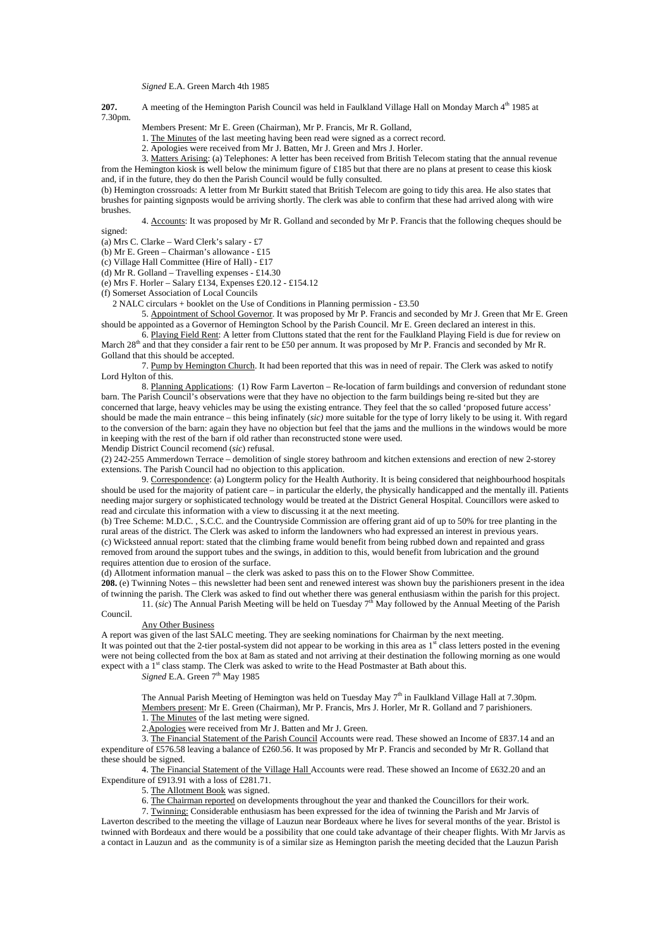*Signed* E.A. Green March 4th 1985

**207.** A meeting of the Hemington Parish Council was held in Faulkland Village Hall on Monday March 4<sup>th</sup> 1985 at 7.30pm.

Members Present: Mr E. Green (Chairman), Mr P. Francis, Mr R. Golland,

1. The Minutes of the last meeting having been read were signed as a correct record.

2. Apologies were received from Mr J. Batten, Mr J. Green and Mrs J. Horler.

3. Matters Arising: (a) Telephones: A letter has been received from British Telecom stating that the annual revenue from the Hemington kiosk is well below the minimum figure of £185 but that there are no plans at present to cease this kiosk and, if in the future, they do then the Parish Council would be fully consulted.

(b) Hemington crossroads: A letter from Mr Burkitt stated that British Telecom are going to tidy this area. He also states that brushes for painting signposts would be arriving shortly. The clerk was able to confirm that these had arrived along with wire brushes.

 4. Accounts: It was proposed by Mr R. Golland and seconded by Mr P. Francis that the following cheques should be signed:

(a) Mrs C. Clarke – Ward Clerk's salary - £7

(b) Mr E. Green – Chairman's allowance - £15

(c) Village Hall Committee (Hire of Hall) - £17

(d) Mr R. Golland – Travelling expenses - £14.30

(e) Mrs F. Horler – Salary £134, Expenses £20.12 - £154.12

(f) Somerset Association of Local Councils

2 NALC circulars + booklet on the Use of Conditions in Planning permission - £3.50

 5. Appointment of School Governor. It was proposed by Mr P. Francis and seconded by Mr J. Green that Mr E. Green should be appointed as a Governor of Hemington School by the Parish Council. Mr E. Green declared an interest in this.

 6. Playing Field Rent: A letter from Cluttons stated that the rent for the Faulkland Playing Field is due for review on March 28<sup>th</sup> and that they consider a fair rent to be £50 per annum. It was proposed by Mr P. Francis and seconded by Mr R. Golland that this should be accepted.

 7. Pump by Hemington Church. It had been reported that this was in need of repair. The Clerk was asked to notify Lord Hylton of this.

 8. Planning Applications: (1) Row Farm Laverton – Re-location of farm buildings and conversion of redundant stone barn. The Parish Council's observations were that they have no objection to the farm buildings being re-sited but they are concerned that large, heavy vehicles may be using the existing entrance. They feel that the so called 'proposed future access' should be made the main entrance – this being infinately (*sic)* more suitable for the type of lorry likely to be using it. With regard to the conversion of the barn: again they have no objection but feel that the jams and the mullions in the windows would be more in keeping with the rest of the barn if old rather than reconstructed stone were used.

Mendip District Council recomend (*sic*) refusal.

(2) 242-255 Ammerdown Terrace – demolition of single storey bathroom and kitchen extensions and erection of new 2-storey extensions. The Parish Council had no objection to this application.

 9. Correspondence: (a) Longterm policy for the Health Authority. It is being considered that neighbourhood hospitals should be used for the majority of patient care – in particular the elderly, the physically handicapped and the mentally ill. Patients needing major surgery or sophisticated technology would be treated at the District General Hospital. Councillors were asked to read and circulate this information with a view to discussing it at the next meeting.

(b) Tree Scheme: M.D.C. , S.C.C. and the Countryside Commission are offering grant aid of up to 50% for tree planting in the rural areas of the district. The Clerk was asked to inform the landowners who had expressed an interest in previous years. (c) Wicksteed annual report: stated that the climbing frame would benefit from being rubbed down and repainted and grass removed from around the support tubes and the swings, in addition to this, would benefit from lubrication and the ground requires attention due to erosion of the surface.

(d) Allotment information manual – the clerk was asked to pass this on to the Flower Show Committee.

**208.** (e) Twinning Notes – this newsletter had been sent and renewed interest was shown buy the parishioners present in the idea of twinning the parish. The Clerk was asked to find out whether there was general enthusiasm within the parish for this project. 11. (*sic*) The Annual Parish Meeting will be held on Tuesday  $7<sup>th</sup>$  May followed by the Annual Meeting of the Parish

### Council.

#### Any Other Business

A report was given of the last SALC meeting. They are seeking nominations for Chairman by the next meeting. It was pointed out that the 2-tier postal-system did not appear to be working in this area as 1<sup>st</sup> class letters posted in the evening were not being collected from the box at 8am as stated and not arriving at their destination the following morning as one would expect with a 1<sup>st</sup> class stamp. The Clerk was asked to write to the Head Postmaster at Bath about this.

*Signed E.A. Green* 7<sup>th</sup> May 1985

The Annual Parish Meeting of Hemington was held on Tuesday May 7<sup>th</sup> in Faulkland Village Hall at 7.30pm. Members present: Mr E. Green (Chairman), Mr P. Francis, Mrs J. Horler, Mr R. Golland and 7 parishioners. 1. The Minutes of the last meting were signed.

2.Apologies were received from Mr J. Batten and Mr J. Green.

 3. The Financial Statement of the Parish Council Accounts were read. These showed an Income of £837.14 and an expenditure of £576.58 leaving a balance of £260.56. It was proposed by Mr P. Francis and seconded by Mr R. Golland that these should be signed.

 4. The Financial Statement of the Village Hall Accounts were read. These showed an Income of £632.20 and an Expenditure of £913.91 with a loss of £281.71.

5. The Allotment Book was signed.

6. The Chairman reported on developments throughout the year and thanked the Councillors for their work.

 7. Twinning: Considerable enthusiasm has been expressed for the idea of twinning the Parish and Mr Jarvis of Laverton described to the meeting the village of Lauzun near Bordeaux where he lives for several months of the year. Bristol is twinned with Bordeaux and there would be a possibility that one could take advantage of their cheaper flights. With Mr Jarvis as a contact in Lauzun and as the community is of a similar size as Hemington parish the meeting decided that the Lauzun Parish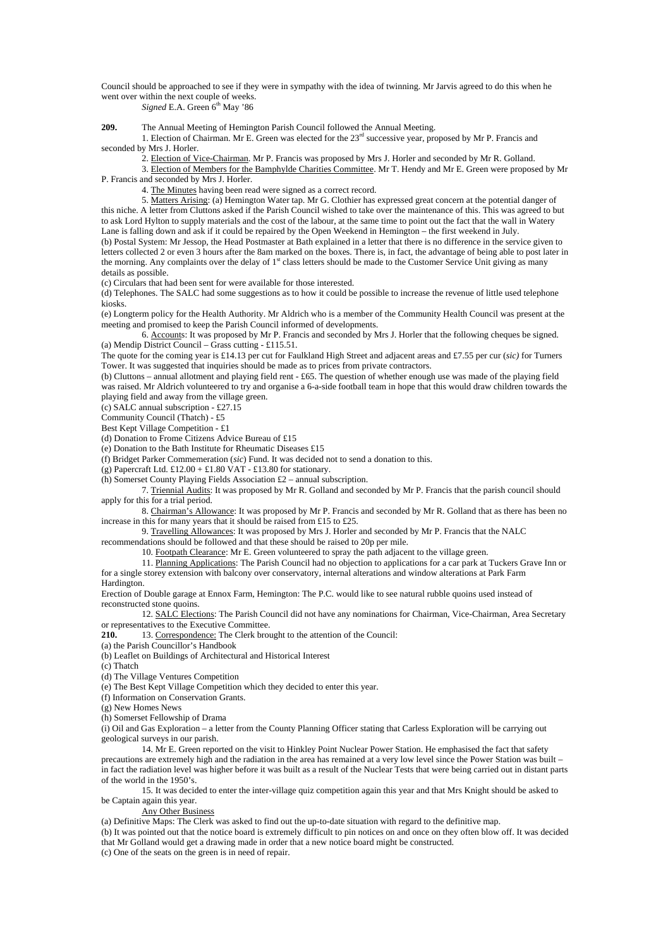Council should be approached to see if they were in sympathy with the idea of twinning. Mr Jarvis agreed to do this when he went over within the next couple of weeks.

*Signed* E.A. Green 6<sup>th</sup> May '86

**209.** The Annual Meeting of Hemington Parish Council followed the Annual Meeting.

 1. Election of Chairman. Mr E. Green was elected for the 23rd successive year, proposed by Mr P. Francis and seconded by Mrs J. Horler.

2. Election of Vice-Chairman. Mr P. Francis was proposed by Mrs J. Horler and seconded by Mr R. Golland.

 3. Election of Members for the Bamphylde Charities Committee. Mr T. Hendy and Mr E. Green were proposed by Mr P. Francis and seconded by Mrs J. Horler.

4. The Minutes having been read were signed as a correct record.

 5. Matters Arising: (a) Hemington Water tap. Mr G. Clothier has expressed great concern at the potential danger of this niche. A letter from Cluttons asked if the Parish Council wished to take over the maintenance of this. This was agreed to but to ask Lord Hylton to supply materials and the cost of the labour, at the same time to point out the fact that the wall in Watery Lane is falling down and ask if it could be repaired by the Open Weekend in Hemington – the first weekend in July. (b) Postal System: Mr Jessop, the Head Postmaster at Bath explained in a letter that there is no difference in the service given to letters collected 2 or even 3 hours after the 8am marked on the boxes. There is, in fact, the advantage of being able to post later in the morning. Any complaints over the delay of 1<sup>st</sup> class letters should be made to the Customer Service Unit giving as many details as possible.

(c) Circulars that had been sent for were available for those interested.

(d) Telephones. The SALC had some suggestions as to how it could be possible to increase the revenue of little used telephone kiosks.

(e) Longterm policy for the Health Authority. Mr Aldrich who is a member of the Community Health Council was present at the meeting and promised to keep the Parish Council informed of developments.

 6. Accounts: It was proposed by Mr P. Francis and seconded by Mrs J. Horler that the following cheques be signed. (a) Mendip District Council – Grass cutting - £115.51.

The quote for the coming year is £14.13 per cut for Faulkland High Street and adjacent areas and £7.55 per cur (*sic)* for Turners Tower. It was suggested that inquiries should be made as to prices from private contractors.

(b) Cluttons – annual allotment and playing field rent - £65. The question of whether enough use was made of the playing field was raised. Mr Aldrich volunteered to try and organise a 6-a-side football team in hope that this would draw children towards the playing field and away from the village green.

(c) SALC annual subscription - £27.15

Community Council (Thatch) - £5

Best Kept Village Competition - £1

(d) Donation to Frome Citizens Advice Bureau of £15

(e) Donation to the Bath Institute for Rheumatic Diseases £15

(f) Bridget Parker Commemeration (*sic*) Fund. It was decided not to send a donation to this.

(g) Papercraft Ltd.  $£12.00 + £1.80$  VAT - £13.80 for stationary.

(h) Somerset County Playing Fields Association £2 – annual subscription.

 7. Triennial Audits: It was proposed by Mr R. Golland and seconded by Mr P. Francis that the parish council should apply for this for a trial period.

 8. Chairman's Allowance: It was proposed by Mr P. Francis and seconded by Mr R. Golland that as there has been no increase in this for many years that it should be raised from £15 to £25.

9. Travelling Allowances: It was proposed by Mrs J. Horler and seconded by Mr P. Francis that the NALC

recommendations should be followed and that these should be raised to 20p per mile.

10. Footpath Clearance: Mr E. Green volunteered to spray the path adjacent to the village green.

11. Planning Applications: The Parish Council had no objection to applications for a car park at Tuckers Grave Inn or for a single storey extension with balcony over conservatory, internal alterations and window alterations at Park Farm

Hardington.

Erection of Double garage at Ennox Farm, Hemington: The P.C. would like to see natural rubble quoins used instead of reconstructed stone quoins.

 12. SALC Elections: The Parish Council did not have any nominations for Chairman, Vice-Chairman, Area Secretary or representatives to the Executive Committee.

**210.** 13. Correspondence: The Clerk brought to the attention of the Council:

(a) the Parish Councillor's Handbook

(b) Leaflet on Buildings of Architectural and Historical Interest

(c) Thatch

(d) The Village Ventures Competition

(e) The Best Kept Village Competition which they decided to enter this year.

(f) Information on Conservation Grants.

(g) New Homes News

(h) Somerset Fellowship of Drama

(i) Oil and Gas Exploration – a letter from the County Planning Officer stating that Carless Exploration will be carrying out geological surveys in our parish.

 14. Mr E. Green reported on the visit to Hinkley Point Nuclear Power Station. He emphasised the fact that safety precautions are extremely high and the radiation in the area has remained at a very low level since the Power Station was built – in fact the radiation level was higher before it was built as a result of the Nuclear Tests that were being carried out in distant parts of the world in the 1950's.

 15. It was decided to enter the inter-village quiz competition again this year and that Mrs Knight should be asked to be Captain again this year.

Any Other Business

(a) Definitive Maps: The Clerk was asked to find out the up-to-date situation with regard to the definitive map.

(b) It was pointed out that the notice board is extremely difficult to pin notices on and once on they often blow off. It was decided that Mr Golland would get a drawing made in order that a new notice board might be constructed.

(c) One of the seats on the green is in need of repair.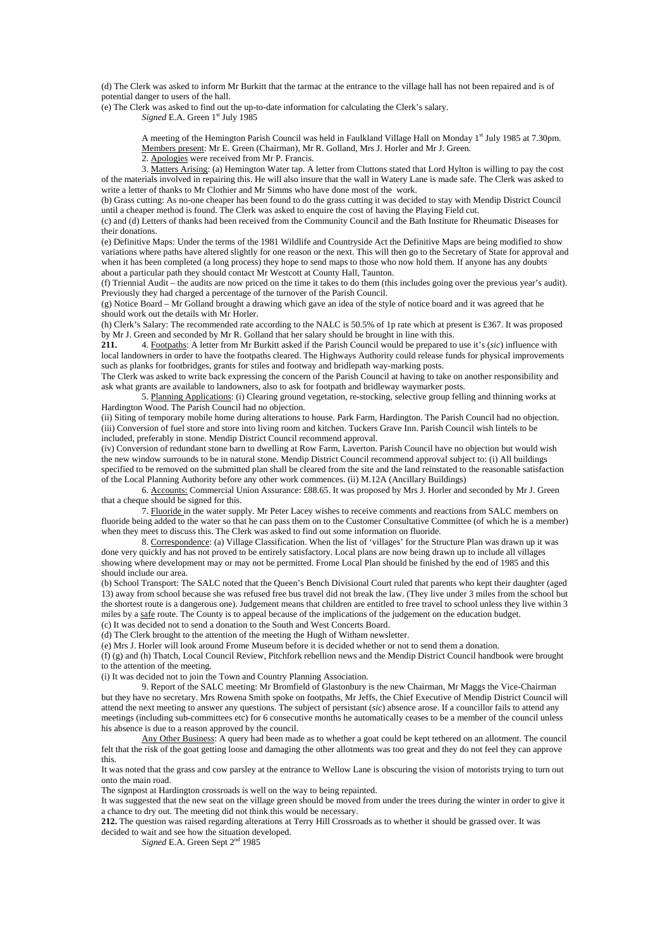(d) The Clerk was asked to inform Mr Burkitt that the tarmac at the entrance to the village hall has not been repaired and is of potential danger to users of the hall.

(e) The Clerk was asked to find out the up-to-date information for calculating the Clerk's salary. *Signed* E.A. Green 1<sup>st</sup> July 1985

> A meeting of the Hemington Parish Council was held in Faulkland Village Hall on Monday 1st July 1985 at 7.30pm. Members present: Mr E. Green (Chairman), Mr R. Golland, Mrs J. Horler and Mr J. Green.

2. Apologies were received from Mr P. Francis.

 3. Matters Arising: (a) Hemington Water tap. A letter from Cluttons stated that Lord Hylton is willing to pay the cost of the materials involved in repairing this. He will also insure that the wall in Watery Lane is made safe. The Clerk was asked to write a letter of thanks to Mr Clothier and Mr Simms who have done most of the work.

(b) Grass cutting: As no-one cheaper has been found to do the grass cutting it was decided to stay with Mendip District Council until a cheaper method is found. The Clerk was asked to enquire the cost of having the Playing Field cut.

(c) and (d) Letters of thanks had been received from the Community Council and the Bath Institute for Rheumatic Diseases for their donations.

(e) Definitive Maps: Under the terms of the 1981 Wildlife and Countryside Act the Definitive Maps are being modified to show variations where paths have altered slightly for one reason or the next. This will then go to the Secretary of State for approval and when it has been completed (a long process) they hope to send maps to those who now hold them. If anyone has any doubts about a particular path they should contact Mr Westcott at County Hall, Taunton.

(f) Triennial Audit – the audits are now priced on the time it takes to do them (this includes going over the previous year's audit). Previously they had charged a percentage of the turnover of the Parish Council.

(g) Notice Board – Mr Golland brought a drawing which gave an idea of the style of notice board and it was agreed that he should work out the details with Mr Horler.

(h) Clerk's Salary: The recommended rate according to the NALC is 50.5% of 1p rate which at present is £367. It was proposed by Mr J. Green and seconded by Mr R. Golland that her salary should be brought in line with this.<br>211. 4 Footpaths: A letter from Mr Burkitt asked if the Parish Council would be prepared to

**211.** 4. Footpaths: A letter from Mr Burkitt asked if the Parish Council would be prepared to use it's (*sic*) influence with local landowners in order to have the footpaths cleared. The Highways Authority could release funds for physical improvements such as planks for footbridges, grants for stiles and footway and bridlepath way-marking posts.

The Clerk was asked to write back expressing the concern of the Parish Council at having to take on another responsibility and ask what grants are available to landowners, also to ask for footpath and bridleway waymarker posts.

 5. Planning Applications: (i) Clearing ground vegetation, re-stocking, selective group felling and thinning works at Hardington Wood. The Parish Council had no objection.

(ii) Siting of temporary mobile home during alterations to house. Park Farm, Hardington. The Parish Council had no objection. (iii) Conversion of fuel store and store into living room and kitchen. Tuckers Grave Inn. Parish Council wish lintels to be included, preferably in stone. Mendip District Council recommend approval.

(iv) Conversion of redundant stone barn to dwelling at Row Farm, Laverton. Parish Council have no objection but would wish the new window surrounds to be in natural stone. Mendip District Council recommend approval subject to: (i) All buildings specified to be removed on the submitted plan shall be cleared from the site and the land reinstated to the reasonable satisfaction of the Local Planning Authority before any other work commences. (ii) M.12A (Ancillary Buildings)

 6. Accounts: Commercial Union Assurance: £88.65. It was proposed by Mrs J. Horler and seconded by Mr J. Green that a cheque should be signed for this.

 7. Fluoride in the water supply. Mr Peter Lacey wishes to receive comments and reactions from SALC members on fluoride being added to the water so that he can pass them on to the Customer Consultative Committee (of which he is a member) when they meet to discuss this. The Clerk was asked to find out some information on fluoride.

 8. Correspondence: (a) Village Classification. When the list of 'villages' for the Structure Plan was drawn up it was done very quickly and has not proved to be entirely satisfactory. Local plans are now being drawn up to include all villages showing where development may or may not be permitted. Frome Local Plan should be finished by the end of 1985 and this should include our area.

(b) School Transport: The SALC noted that the Queen's Bench Divisional Court ruled that parents who kept their daughter (aged 13) away from school because she was refused free bus travel did not break the law. (They live under 3 miles from the school but the shortest route is a dangerous one). Judgement means that children are entitled to free travel to school unless they live within 3 miles by a safe route. The County is to appeal because of the implications of the judgement on the education budget.

(c) It was decided not to send a donation to the South and West Concerts Board.

(d) The Clerk brought to the attention of the meeting the Hugh of Witham newsletter.

(e) Mrs J. Horler will look around Frome Museum before it is decided whether or not to send them a donation.

(f) (g) and (h) Thatch, Local Council Review, Pitchfork rebellion news and the Mendip District Council handbook were brought to the attention of the meeting.

(i) It was decided not to join the Town and Country Planning Association.

 9. Report of the SALC meeting: Mr Bromfield of Glastonbury is the new Chairman, Mr Maggs the Vice-Chairman but they have no secretary. Mrs Rowena Smith spoke on footpaths, Mr Jeffs, the Chief Executive of Mendip District Council will attend the next meeting to answer any questions. The subject of persistant (*sic*) absence arose. If a councillor fails to attend any meetings (including sub-committees etc) for 6 consecutive months he automatically ceases to be a member of the council unless his absence is due to a reason approved by the council.

 Any Other Business: A query had been made as to whether a goat could be kept tethered on an allotment. The council felt that the risk of the goat getting loose and damaging the other allotments was too great and they do not feel they can approve this.

It was noted that the grass and cow parsley at the entrance to Wellow Lane is obscuring the vision of motorists trying to turn out onto the main road.

The signpost at Hardington crossroads is well on the way to being repainted.

It was suggested that the new seat on the village green should be moved from under the trees during the winter in order to give it a chance to dry out. The meeting did not think this would be necessary.

**212.** The question was raised regarding alterations at Terry Hill Crossroads as to whether it should be grassed over. It was decided to wait and see how the situation developed.

*Signed* E.A. Green Sept 2nd 1985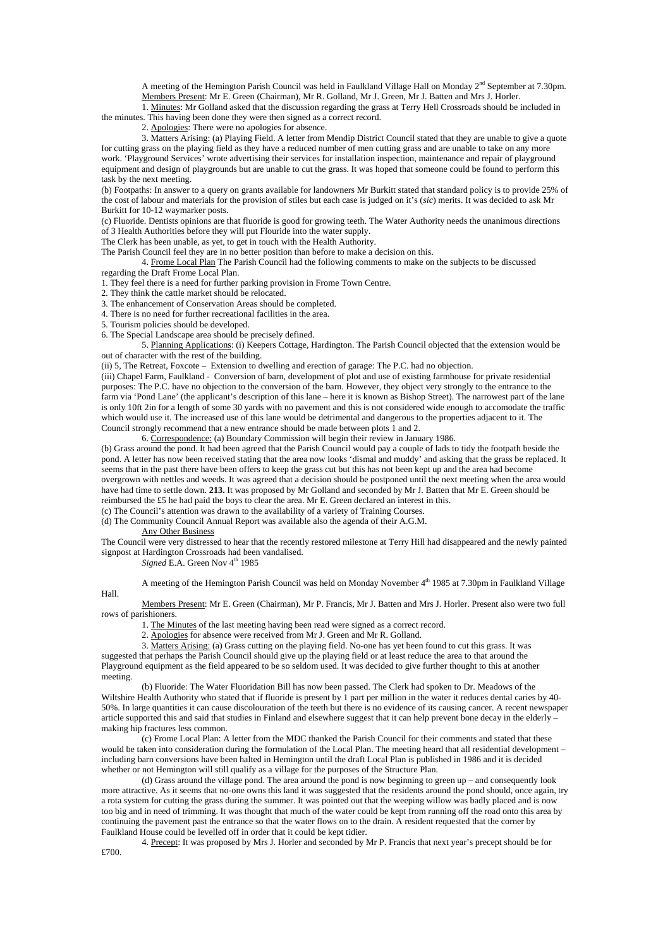A meeting of the Hemington Parish Council was held in Faulkland Village Hall on Monday 2<sup>nd</sup> September at 7.30pm. Members Present: Mr E. Green (Chairman), Mr R. Golland, Mr J. Green, Mr J. Batten and Mrs J. Horler.

 1. Minutes: Mr Golland asked that the discussion regarding the grass at Terry Hell Crossroads should be included in the minutes. This having been done they were then signed as a correct record.

2. Apologies: There were no apologies for absence.

 3. Matters Arising: (a) Playing Field. A letter from Mendip District Council stated that they are unable to give a quote for cutting grass on the playing field as they have a reduced number of men cutting grass and are unable to take on any more work. 'Playground Services' wrote advertising their services for installation inspection, maintenance and repair of playground equipment and design of playgrounds but are unable to cut the grass. It was hoped that someone could be found to perform this task by the next meeting.

(b) Footpaths: In answer to a query on grants available for landowners Mr Burkitt stated that standard policy is to provide 25% of the cost of labour and materials for the provision of stiles but each case is judged on it's (*sic*) merits. It was decided to ask Mr Burkitt for 10-12 waymarker posts.

(c) Fluoride. Dentists opinions are that fluoride is good for growing teeth. The Water Authority needs the unanimous directions of 3 Health Authorities before they will put Flouride into the water supply.

The Clerk has been unable, as yet, to get in touch with the Health Authority.

The Parish Council feel they are in no better position than before to make a decision on this.

 4. Frome Local Plan The Parish Council had the following comments to make on the subjects to be discussed regarding the Draft Frome Local Plan.

1. They feel there is a need for further parking provision in Frome Town Centre.

2. They think the cattle market should be relocated.

3. The enhancement of Conservation Areas should be completed.

4. There is no need for further recreational facilities in the area.

5. Tourism policies should be developed.

6. The Special Landscape area should be precisely defined.

 5. Planning Applications: (i) Keepers Cottage, Hardington. The Parish Council objected that the extension would be out of character with the rest of the building.

(ii) 5, The Retreat, Foxcote – Extension to dwelling and erection of garage: The P.C. had no objection.

(iii) Chapel Farm, Faulkland - Conversion of barn, development of plot and use of existing farmhouse for private residential purposes: The P.C. have no objection to the conversion of the barn. However, they object very strongly to the entrance to the farm via 'Pond Lane' (the applicant's description of this lane – here it is known as Bishop Street). The narrowest part of the lane is only 10ft 2in for a length of some 30 yards with no pavement and this is not considered wide enough to accomodate the traffic which would use it. The increased use of this lane would be detrimental and dangerous to the properties adjacent to it. The Council strongly recommend that a new entrance should be made between plots 1 and 2.

6. Correspondence: (a) Boundary Commission will begin their review in January 1986.

(b) Grass around the pond. It had been agreed that the Parish Council would pay a couple of lads to tidy the footpath beside the pond. A letter has now been received stating that the area now looks 'dismal and muddy' and asking that the grass be replaced. It seems that in the past there have been offers to keep the grass cut but this has not been kept up and the area had become overgrown with nettles and weeds. It was agreed that a decision should be postponed until the next meeting when the area would have had time to settle down. **213.** It was proposed by Mr Golland and seconded by Mr J. Batten that Mr E. Green should be reimbursed the £5 he had paid the boys to clear the area. Mr E. Green declared an interest in this.

(c) The Council's attention was drawn to the availability of a variety of Training Courses.

(d) The Community Council Annual Report was available also the agenda of their A.G.M.

Any Other Business

The Council were very distressed to hear that the recently restored milestone at Terry Hill had disappeared and the newly painted signpost at Hardington Crossroads had been vandalised.

*Signed* E.A. Green Nov  $4<sup>th</sup>$  1985

A meeting of the Hemington Parish Council was held on Monday November 4th 1985 at 7.30pm in Faulkland Village

Members Present: Mr E. Green (Chairman), Mr P. Francis, Mr J. Batten and Mrs J. Horler. Present also were two full rows of parishioners.

1. The Minutes of the last meeting having been read were signed as a correct record.

2. Apologies for absence were received from Mr J. Green and Mr R. Golland.

3. Matters Arising: (a) Grass cutting on the playing field. No-one has yet been found to cut this grass. It was

suggested that perhaps the Parish Council should give up the playing field or at least reduce the area to that around the Playground equipment as the field appeared to be so seldom used. It was decided to give further thought to this at another meeting.

(b) Fluoride: The Water Fluoridation Bill has now been passed. The Clerk had spoken to Dr. Meadows of the Wiltshire Health Authority who stated that if fluoride is present by 1 part per million in the water it reduces dental caries by 40-50%. In large quantities it can cause discolouration of the teeth but there is no evidence of its causing cancer. A recent newspaper article supported this and said that studies in Finland and elsewhere suggest that it can help prevent bone decay in the elderly – making hip fractures less common.

(c) Frome Local Plan: A letter from the MDC thanked the Parish Council for their comments and stated that these would be taken into consideration during the formulation of the Local Plan. The meeting heard that all residential development – including barn conversions have been halted in Hemington until the draft Local Plan is published in 1986 and it is decided whether or not Hemington will still qualify as a village for the purposes of the Structure Plan.

(d) Grass around the village pond. The area around the pond is now beginning to green up – and consequently look more attractive. As it seems that no-one owns this land it was suggested that the residents around the pond should, once again, try a rota system for cutting the grass during the summer. It was pointed out that the weeping willow was badly placed and is now too big and in need of trimming. It was thought that much of the water could be kept from running off the road onto this area by continuing the pavement past the entrance so that the water flows on to the drain. A resident requested that the corner by Faulkland House could be levelled off in order that it could be kept tidier.

4. Precept: It was proposed by Mrs J. Horler and seconded by Mr P. Francis that next year's precept should be for

Hall.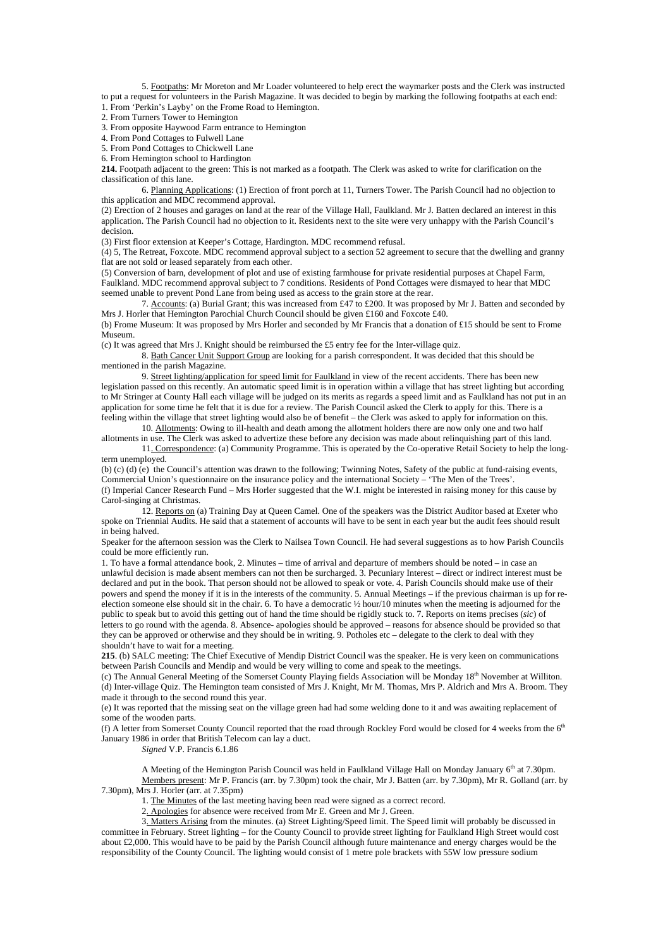5. Footpaths: Mr Moreton and Mr Loader volunteered to help erect the waymarker posts and the Clerk was instructed to put a request for volunteers in the Parish Magazine. It was decided to begin by marking the following footpaths at each end: 1. From 'Perkin's Layby' on the Frome Road to Hemington.

2. From Turners Tower to Hemington

3. From opposite Haywood Farm entrance to Hemington

4. From Pond Cottages to Fulwell Lane

5. From Pond Cottages to Chickwell Lane

6. From Hemington school to Hardington

**214.** Footpath adjacent to the green: This is not marked as a footpath. The Clerk was asked to write for clarification on the classification of this lane.

 6. Planning Applications: (1) Erection of front porch at 11, Turners Tower. The Parish Council had no objection to this application and MDC recommend approval.

(2) Erection of 2 houses and garages on land at the rear of the Village Hall, Faulkland. Mr J. Batten declared an interest in this application. The Parish Council had no objection to it. Residents next to the site were very unhappy with the Parish Council's decision.

(3) First floor extension at Keeper's Cottage, Hardington. MDC recommend refusal.

(4) 5, The Retreat, Foxcote. MDC recommend approval subject to a section 52 agreement to secure that the dwelling and granny flat are not sold or leased separately from each other.

(5) Conversion of barn, development of plot and use of existing farmhouse for private residential purposes at Chapel Farm, Faulkland. MDC recommend approval subject to 7 conditions. Residents of Pond Cottages were dismayed to hear that MDC seemed unable to prevent Pond Lane from being used as access to the grain store at the rear.

 7. Accounts: (a) Burial Grant; this was increased from £47 to £200. It was proposed by Mr J. Batten and seconded by Mrs J. Horler that Hemington Parochial Church Council should be given £160 and Foxcote £40.

(b) Frome Museum: It was proposed by Mrs Horler and seconded by Mr Francis that a donation of £15 should be sent to Frome Museum.

(c) It was agreed that Mrs J. Knight should be reimbursed the £5 entry fee for the Inter-village quiz.

 8. Bath Cancer Unit Support Group are looking for a parish correspondent. It was decided that this should be mentioned in the parish Magazine.

 9. Street lighting/application for speed limit for Faulkland in view of the recent accidents. There has been new legislation passed on this recently. An automatic speed limit is in operation within a village that has street lighting but according to Mr Stringer at County Hall each village will be judged on its merits as regards a speed limit and as Faulkland has not put in an application for some time he felt that it is due for a review. The Parish Council asked the Clerk to apply for this. There is a feeling within the village that street lighting would also be of benefit – the Clerk was asked to apply for information on this.

 10. Allotments: Owing to ill-health and death among the allotment holders there are now only one and two half allotments in use. The Clerk was asked to advertize these before any decision was made about relinquishing part of this land.

 11. Correspondence: (a) Community Programme. This is operated by the Co-operative Retail Society to help the longterm unemployed.

(b) (c) (d) (e) the Council's attention was drawn to the following; Twinning Notes, Safety of the public at fund-raising events, Commercial Union's questionnaire on the insurance policy and the international Society – 'The Men of the Trees'. (f) Imperial Cancer Research Fund – Mrs Horler suggested that the W.I. might be interested in raising money for this cause by Carol-singing at Christmas.

12. Reports on (a) Training Day at Queen Camel. One of the speakers was the District Auditor based at Exeter who spoke on Triennial Audits. He said that a statement of accounts will have to be sent in each year but the audit fees should result in being halved.

Speaker for the afternoon session was the Clerk to Nailsea Town Council. He had several suggestions as to how Parish Councils could be more efficiently run.

1. To have a formal attendance book, 2. Minutes – time of arrival and departure of members should be noted – in case an unlawful decision is made absent members can not then be surcharged. 3. Pecuniary Interest – direct or indirect interest must be declared and put in the book. That person should not be allowed to speak or vote. 4. Parish Councils should make use of their powers and spend the money if it is in the interests of the community. 5. Annual Meetings – if the previous chairman is up for reelection someone else should sit in the chair. 6. To have a democratic  $\frac{1}{2}$  hour/10 minutes when the meeting is adjourned for the public to speak but to avoid this getting out of hand the time should be rigidly stuck to. 7. Reports on items precises (*sic*) of letters to go round with the agenda. 8. Absence- apologies should be approved – reasons for absence should be provided so that they can be approved or otherwise and they should be in writing. 9. Potholes etc – delegate to the clerk to deal with they shouldn't have to wait for a meeting.

**215**. (b) SALC meeting: The Chief Executive of Mendip District Council was the speaker. He is very keen on communications between Parish Councils and Mendip and would be very willing to come and speak to the meetings.

(c) The Annual General Meeting of the Somerset County Playing fields Association will be Monday 18th November at Williton. (d) Inter-village Quiz. The Hemington team consisted of Mrs J. Knight, Mr M. Thomas, Mrs P. Aldrich and Mrs A. Broom. They made it through to the second round this year.

(e) It was reported that the missing seat on the village green had had some welding done to it and was awaiting replacement of some of the wooden parts.

(f) A letter from Somerset County Council reported that the road through Rockley Ford would be closed for 4 weeks from the  $6<sup>th</sup>$ January 1986 in order that British Telecom can lay a duct.

*Signed* V.P. Francis 6.1.86

A Meeting of the Hemington Parish Council was held in Faulkland Village Hall on Monday January 6<sup>th</sup> at 7.30pm. Members present: Mr P. Francis (arr. by 7.30pm) took the chair, Mr J. Batten (arr. by 7.30pm), Mr R. Golland (arr. by 7.30pm), Mrs J. Horler (arr. at 7.35pm)

1. The Minutes of the last meeting having been read were signed as a correct record.

2. Apologies for absence were received from Mr E. Green and Mr J. Green.

 3. Matters Arising from the minutes. (a) Street Lighting/Speed limit. The Speed limit will probably be discussed in committee in February. Street lighting – for the County Council to provide street lighting for Faulkland High Street would cost about £2,000. This would have to be paid by the Parish Council although future maintenance and energy charges would be the responsibility of the County Council. The lighting would consist of 1 metre pole brackets with 55W low pressure sodium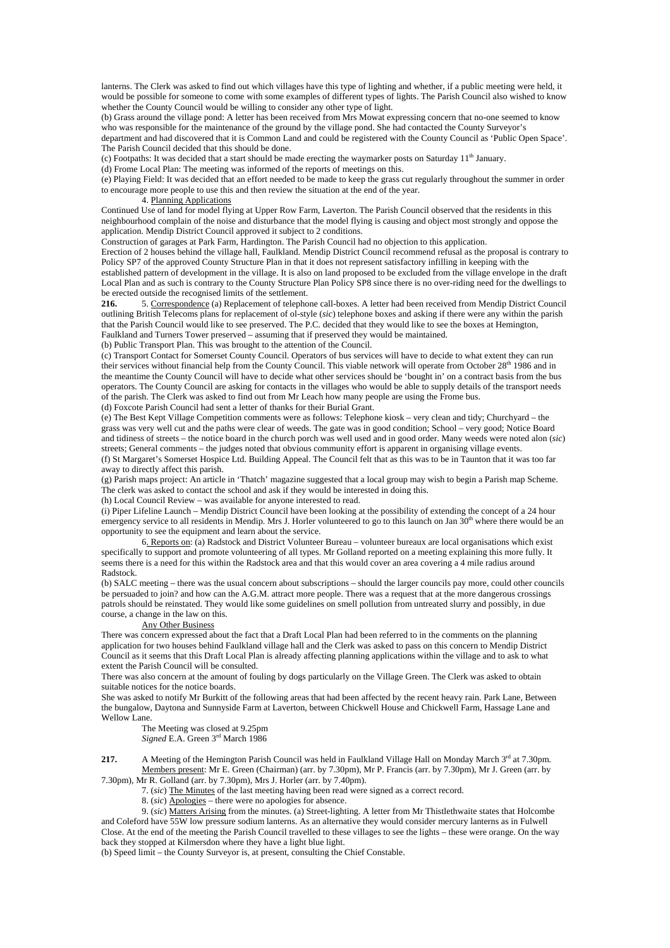lanterns. The Clerk was asked to find out which villages have this type of lighting and whether, if a public meeting were held, it would be possible for someone to come with some examples of different types of lights. The Parish Council also wished to know whether the County Council would be willing to consider any other type of light.

(b) Grass around the village pond: A letter has been received from Mrs Mowat expressing concern that no-one seemed to know who was responsible for the maintenance of the ground by the village pond. She had contacted the County Surveyor's

department and had discovered that it is Common Land and could be registered with the County Council as 'Public Open Space'. The Parish Council decided that this should be done.

(c) Footpaths: It was decided that a start should be made erecting the waymarker posts on Saturday  $11<sup>th</sup>$  January.

(d) Frome Local Plan: The meeting was informed of the reports of meetings on this.

(e) Playing Field: It was decided that an effort needed to be made to keep the grass cut regularly throughout the summer in order to encourage more people to use this and then review the situation at the end of the year.

4. Planning Applications

Continued Use of land for model flying at Upper Row Farm, Laverton. The Parish Council observed that the residents in this neighbourhood complain of the noise and disturbance that the model flying is causing and object most strongly and oppose the application. Mendip District Council approved it subject to 2 conditions.

Construction of garages at Park Farm, Hardington. The Parish Council had no objection to this application.

Erection of 2 houses behind the village hall, Faulkland. Mendip District Council recommend refusal as the proposal is contrary to Policy SP7 of the approved County Structure Plan in that it does not represent satisfactory infilling in keeping with the

established pattern of development in the village. It is also on land proposed to be excluded from the village envelope in the draft Local Plan and as such is contrary to the County Structure Plan Policy SP8 since there is no over-riding need for the dwellings to be erected outside the recognised limits of the settlement.<br>216. 5. Correspondence (a) Replacement of telepho

**216.** 5. Correspondence (a) Replacement of telephone call-boxes. A letter had been received from Mendip District Council outlining British Telecoms plans for replacement of ol-style (*sic*) telephone boxes and asking if there were any within the parish that the Parish Council would like to see preserved. The P.C. decided that they would like to see the boxes at Hemington, Faulkland and Turners Tower preserved – assuming that if preserved they would be maintained.

(b) Public Transport Plan. This was brought to the attention of the Council.

(c) Transport Contact for Somerset County Council. Operators of bus services will have to decide to what extent they can run their services without financial help from the County Council. This viable network will operate from October 28<sup>th</sup> 1986 and in the meantime the County Council will have to decide what other services should be 'bought in' on a contract basis from the bus operators. The County Council are asking for contacts in the villages who would be able to supply details of the transport needs of the parish. The Clerk was asked to find out from Mr Leach how many people are using the Frome bus.

(d) Foxcote Parish Council had sent a letter of thanks for their Burial Grant.

(e) The Best Kept Village Competition comments were as follows: Telephone kiosk – very clean and tidy; Churchyard – the grass was very well cut and the paths were clear of weeds. The gate was in good condition; School – very good; Notice Board and tidiness of streets – the notice board in the church porch was well used and in good order. Many weeds were noted alon (*sic*) streets; General comments – the judges noted that obvious community effort is apparent in organising village events.

(f) St Margaret's Somerset Hospice Ltd. Building Appeal. The Council felt that as this was to be in Taunton that it was too far away to directly affect this parish.

(g) Parish maps project: An article in 'Thatch' magazine suggested that a local group may wish to begin a Parish map Scheme. The clerk was asked to contact the school and ask if they would be interested in doing this.

(h) Local Council Review – was available for anyone interested to read.

(i) Piper Lifeline Launch – Mendip District Council have been looking at the possibility of extending the concept of a 24 hour emergency service to all residents in Mendip. Mrs J. Horler volunteered to go to this launch on Jan 30<sup>th</sup> where there would be an opportunity to see the equipment and learn about the service.

 6. Reports on: (a) Radstock and District Volunteer Bureau – volunteer bureaux are local organisations which exist specifically to support and promote volunteering of all types. Mr Golland reported on a meeting explaining this more fully. It seems there is a need for this within the Radstock area and that this would cover an area covering a 4 mile radius around Radstock.

(b) SALC meeting – there was the usual concern about subscriptions – should the larger councils pay more, could other councils be persuaded to join? and how can the A.G.M. attract more people. There was a request that at the more dangerous crossings patrols should be reinstated. They would like some guidelines on smell pollution from untreated slurry and possibly, in due course, a change in the law on this.

#### Any Other Business

There was concern expressed about the fact that a Draft Local Plan had been referred to in the comments on the planning application for two houses behind Faulkland village hall and the Clerk was asked to pass on this concern to Mendip District Council as it seems that this Draft Local Plan is already affecting planning applications within the village and to ask to what extent the Parish Council will be consulted.

There was also concern at the amount of fouling by dogs particularly on the Village Green. The Clerk was asked to obtain suitable notices for the notice boards.

She was asked to notify Mr Burkitt of the following areas that had been affected by the recent heavy rain. Park Lane, Between the bungalow, Daytona and Sunnyside Farm at Laverton, between Chickwell House and Chickwell Farm, Hassage Lane and Wellow Lane.

 The Meeting was closed at 9.25pm *Signed* E.A. Green 3rd March 1986

**217.** A Meeting of the Hemington Parish Council was held in Faulkland Village Hall on Monday March 3<sup>rd</sup> at 7.30pm. Members present: Mr E. Green (Chairman) (arr. by 7.30pm), Mr P. Francis (arr. by 7.30pm), Mr J. Green (arr. by

7.30pm), Mr R. Golland (arr. by 7.30pm), Mrs J. Horler (arr. by 7.40pm).

7. (*sic*) The Minutes of the last meeting having been read were signed as a correct record.

8. (*sic*) Apologies – there were no apologies for absence.

 9. (*sic*) Matters Arising from the minutes. (a) Street-lighting. A letter from Mr Thistlethwaite states that Holcombe and Coleford have 55W low pressure sodium lanterns. As an alternative they would consider mercury lanterns as in Fulwell Close. At the end of the meeting the Parish Council travelled to these villages to see the lights – these were orange. On the way back they stopped at Kilmersdon where they have a light blue light.

(b) Speed limit – the County Surveyor is, at present, consulting the Chief Constable.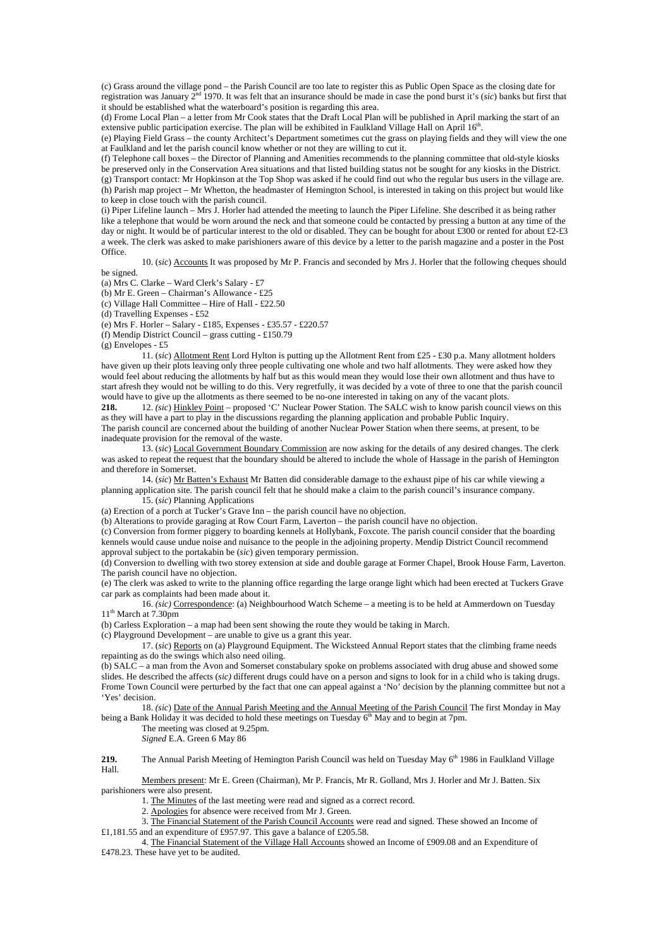(c) Grass around the village pond – the Parish Council are too late to register this as Public Open Space as the closing date for registration was January 2nd 1970. It was felt that an insurance should be made in case the pond burst it's (*sic*) banks but first that it should be established what the waterboard's position is regarding this area.

(d) Frome Local Plan – a letter from Mr Cook states that the Draft Local Plan will be published in April marking the start of an extensive public participation exercise. The plan will be exhibited in Faulkland Village Hall on April 16<sup>th</sup>.

(e) Playing Field Grass – the county Architect's Department sometimes cut the grass on playing fields and they will view the one at Faulkland and let the parish council know whether or not they are willing to cut it.

(f) Telephone call boxes – the Director of Planning and Amenities recommends to the planning committee that old-style kiosks be preserved only in the Conservation Area situations and that listed building status not be sought for any kiosks in the District. (g) Transport contact: Mr Hopkinson at the Top Shop was asked if he could find out who the regular bus users in the village are. (h) Parish map project – Mr Whetton, the headmaster of Hemington School, is interested in taking on this project but would like to keep in close touch with the parish council.

(i) Piper Lifeline launch – Mrs J. Horler had attended the meeting to launch the Piper Lifeline. She described it as being rather like a telephone that would be worn around the neck and that someone could be contacted by pressing a button at any time of the day or night. It would be of particular interest to the old or disabled. They can be bought for about £300 or rented for about £2-£3 a week. The clerk was asked to make parishioners aware of this device by a letter to the parish magazine and a poster in the Post Office.

 10. (*sic*) Accounts It was proposed by Mr P. Francis and seconded by Mrs J. Horler that the following cheques should be signed.

(a) Mrs C. Clarke – Ward Clerk's Salary - £7

(b) Mr E. Green – Chairman's Allowance - £25 (c) Village Hall Committee – Hire of Hall - £22.50

(d) Travelling Expenses - £52

(e) Mrs F. Horler – Salary - £185, Expenses - £35.57 - £220.57

(f) Mendip District Council – grass cutting - £150.79

 $(g)$  Envelopes - £5

 11. (*sic*) Allotment Rent Lord Hylton is putting up the Allotment Rent from £25 - £30 p.a. Many allotment holders have given up their plots leaving only three people cultivating one whole and two half allotments. They were asked how they would feel about reducing the allotments by half but as this would mean they would lose their own allotment and thus have to start afresh they would not be willing to do this. Very regretfully, it was decided by a vote of three to one that the parish council would have to give up the allotments as there seemed to be no-one interested in taking on any of the vacant plots.

**218.** 12. *(sic*) Hinkley Point – proposed 'C' Nuclear Power Station. The SALC wish to know parish council views on this as they will have a part to play in the discussions regarding the planning application and probable Public Inquiry. The parish council are concerned about the building of another Nuclear Power Station when there seems, at present, to be

inadequate provision for the removal of the waste. 13. (*sic*) Local Government Boundary Commission are now asking for the details of any desired changes. The clerk

was asked to repeat the request that the boundary should be altered to include the whole of Hassage in the parish of Hemington and therefore in Somerset.

 14. (*sic*) Mr Batten's Exhaust Mr Batten did considerable damage to the exhaust pipe of his car while viewing a planning application site. The parish council felt that he should make a claim to the parish council's insurance company. 15. (*sic*) Planning Applications

(a) Erection of a porch at Tucker's Grave Inn – the parish council have no objection.

(b) Alterations to provide garaging at Row Court Farm, Laverton – the parish council have no objection.

(c) Conversion from former piggery to boarding kennels at Hollybank, Foxcote. The parish council consider that the boarding kennels would cause undue noise and nuisance to the people in the adjoining property. Mendip District Council recommend approval subject to the portakabin be (*sic*) given temporary permission.

(d) Conversion to dwelling with two storey extension at side and double garage at Former Chapel, Brook House Farm, Laverton. The parish council have no objection.

(e) The clerk was asked to write to the planning office regarding the large orange light which had been erected at Tuckers Grave car park as complaints had been made about it.

 16. *(sic)* Correspondence: (a) Neighbourhood Watch Scheme – a meeting is to be held at Ammerdown on Tuesday  $11<sup>th</sup>$  March at 7.30pm

(b) Carless Exploration – a map had been sent showing the route they would be taking in March.

(c) Playground Development – are unable to give us a grant this year.

 17. (*sic*) Reports on (a) Playground Equipment. The Wicksteed Annual Report states that the climbing frame needs repainting as do the swings which also need oiling.

(b) SALC – a man from the Avon and Somerset constabulary spoke on problems associated with drug abuse and showed some slides. He described the affects (*sic)* different drugs could have on a person and signs to look for in a child who is taking drugs. Frome Town Council were perturbed by the fact that one can appeal against a 'No' decision by the planning committee but not a 'Yes' decision.

 18. *(sic*) Date of the Annual Parish Meeting and the Annual Meeting of the Parish Council The first Monday in May being a Bank Holiday it was decided to hold these meetings on Tuesday 6<sup>th</sup> May and to begin at 7pm.

The meeting was closed at 9.25pm.

*Signed* E.A. Green 6 May 86

**219.** The Annual Parish Meeting of Hemington Parish Council was held on Tuesday May 6<sup>th</sup> 1986 in Faulkland Village Hall.

 Members present: Mr E. Green (Chairman), Mr P. Francis, Mr R. Golland, Mrs J. Horler and Mr J. Batten. Six parishioners were also present.

1. The Minutes of the last meeting were read and signed as a correct record.

2. Apologies for absence were received from Mr J. Green.

 3. The Financial Statement of the Parish Council Accounts were read and signed. These showed an Income of £1,181.55 and an expenditure of £957.97. This gave a balance of £205.58.

 4. The Financial Statement of the Village Hall Accounts showed an Income of £909.08 and an Expenditure of £478.23. These have yet to be audited.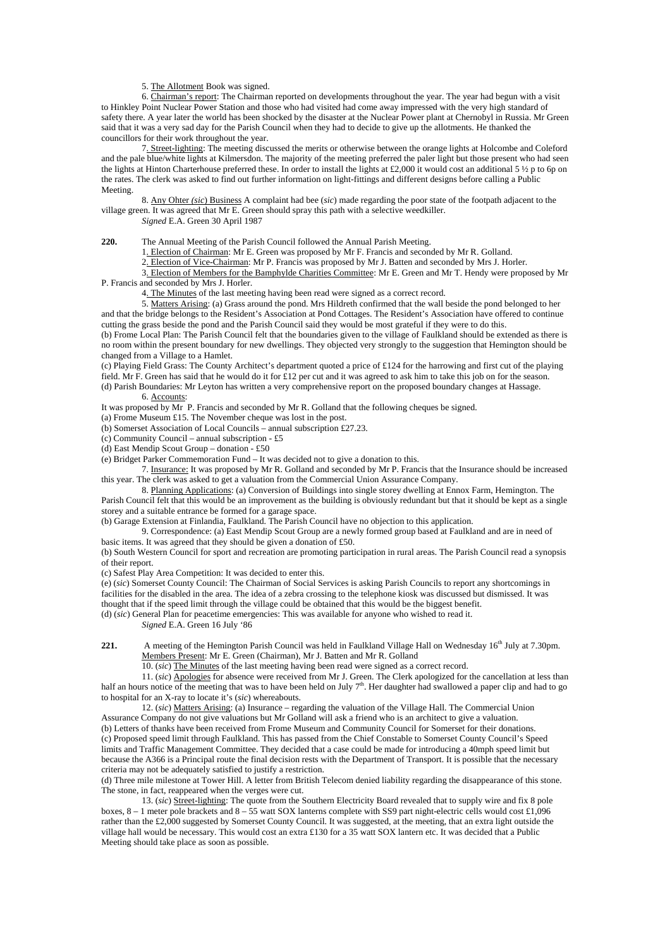5. The Allotment Book was signed.

 6. Chairman's report: The Chairman reported on developments throughout the year. The year had begun with a visit to Hinkley Point Nuclear Power Station and those who had visited had come away impressed with the very high standard of safety there. A year later the world has been shocked by the disaster at the Nuclear Power plant at Chernobyl in Russia. Mr Green said that it was a very sad day for the Parish Council when they had to decide to give up the allotments. He thanked the councillors for their work throughout the year.

 7. Street-lighting: The meeting discussed the merits or otherwise between the orange lights at Holcombe and Coleford and the pale blue/white lights at Kilmersdon. The majority of the meeting preferred the paler light but those present who had seen the lights at Hinton Charterhouse preferred these. In order to install the lights at £2,000 it would cost an additional 5  $\frac{1}{2}$  p to 6p on the rates. The clerk was asked to find out further information on light-fittings and different designs before calling a Public Meeting.

 8. Any Ohter *(sic*) Business A complaint had bee (*sic*) made regarding the poor state of the footpath adjacent to the village green. It was agreed that Mr E. Green should spray this path with a selective weedkiller. *Signed* E.A. Green 30 April 1987

**220.** The Annual Meeting of the Parish Council followed the Annual Parish Meeting.

1. Election of Chairman: Mr E. Green was proposed by Mr F. Francis and seconded by Mr R. Golland.

2. Election of Vice-Chairman: Mr P. Francis was proposed by Mr J. Batten and seconded by Mrs J. Horler.

 3. Election of Members for the Bamphylde Charities Committee: Mr E. Green and Mr T. Hendy were proposed by Mr P. Francis and seconded by Mrs J. Horler.

4. The Minutes of the last meeting having been read were signed as a correct record.

 5. Matters Arising: (a) Grass around the pond. Mrs Hildreth confirmed that the wall beside the pond belonged to her and that the bridge belongs to the Resident's Association at Pond Cottages. The Resident's Association have offered to continue cutting the grass beside the pond and the Parish Council said they would be most grateful if they were to do this.

(b) Frome Local Plan: The Parish Council felt that the boundaries given to the village of Faulkland should be extended as there is no room within the present boundary for new dwellings. They objected very strongly to the suggestion that Hemington should be changed from a Village to a Hamlet.

(c) Playing Field Grass: The County Architect's department quoted a price of £124 for the harrowing and first cut of the playing field. Mr F. Green has said that he would do it for  $\hat{\pounds}12$  per cut and it was agreed to ask him to take this job on for the season. (d) Parish Boundaries: Mr Leyton has written a very comprehensive report on the proposed boundary changes at Hassage.

# 6. Accounts:

It was proposed by Mr P. Francis and seconded by Mr R. Golland that the following cheques be signed.

(a) Frome Museum £15. The November cheque was lost in the post.

(b) Somerset Association of Local Councils – annual subscription £27.23.

(c) Community Council – annual subscription - £5

(d) East Mendip Scout Group – donation - £50

(e) Bridget Parker Commemoration Fund – It was decided not to give a donation to this.

 7. Insurance: It was proposed by Mr R. Golland and seconded by Mr P. Francis that the Insurance should be increased this year. The clerk was asked to get a valuation from the Commercial Union Assurance Company.

 8. Planning Applications: (a) Conversion of Buildings into single storey dwelling at Ennox Farm, Hemington. The Parish Council felt that this would be an improvement as the building is obviously redundant but that it should be kept as a single storey and a suitable entrance be formed for a garage space.

(b) Garage Extension at Finlandia, Faulkland. The Parish Council have no objection to this application.

 9. Correspondence: (a) East Mendip Scout Group are a newly formed group based at Faulkland and are in need of basic items. It was agreed that they should be given a donation of £50.

(b) South Western Council for sport and recreation are promoting participation in rural areas. The Parish Council read a synopsis of their report.

(c) Safest Play Area Competition: It was decided to enter this.

(e) (*sic*) Somerset County Council: The Chairman of Social Services is asking Parish Councils to report any shortcomings in facilities for the disabled in the area. The idea of a zebra crossing to the telephone kiosk was discussed but dismissed. It was thought that if the speed limit through the village could be obtained that this would be the biggest benefit.

(d) (*sic*) General Plan for peacetime emergencies: This was available for anyone who wished to read it.

*Signed* E.A. Green 16 July '86

**221.** A meeting of the Hemington Parish Council was held in Faulkland Village Hall on Wednesday 16<sup>th</sup> July at 7.30pm. Members Present: Mr E. Green (Chairman), Mr J. Batten and Mr R. Golland

10. (*sic*) The Minutes of the last meeting having been read were signed as a correct record.

 11. (*sic*) Apologies for absence were received from Mr J. Green. The Clerk apologized for the cancellation at less than half an hours notice of the meeting that was to have been held on July 7<sup>th</sup>. Her daughter had swallowed a paper clip and had to go to hospital for an X-ray to locate it's (*sic*) whereabouts.

 12. (*sic*) Matters Arising: (a) Insurance – regarding the valuation of the Village Hall. The Commercial Union Assurance Company do not give valuations but Mr Golland will ask a friend who is an architect to give a valuation. (b) Letters of thanks have been received from Frome Museum and Community Council for Somerset for their donations. (c) Proposed speed limit through Faulkland. This has passed from the Chief Constable to Somerset County Council's Speed limits and Traffic Management Committee. They decided that a case could be made for introducing a 40mph speed limit but because the A366 is a Principal route the final decision rests with the Department of Transport. It is possible that the necessary criteria may not be adequately satisfied to justify a restriction.

(d) Three mile milestone at Tower Hill. A letter from British Telecom denied liability regarding the disappearance of this stone. The stone, in fact, reappeared when the verges were cut.

 13. (*sic*) Street-lighting: The quote from the Southern Electricity Board revealed that to supply wire and fix 8 pole boxes,  $8 - 1$  meter pole brackets and  $8 - 55$  watt SOX lanterns complete with SS9 part night-electric cells would cost £1,096 rather than the £2,000 suggested by Somerset County Council. It was suggested, at the meeting, that an extra light outside the village hall would be necessary. This would cost an extra £130 for a 35 watt SOX lantern etc. It was decided that a Public Meeting should take place as soon as possible.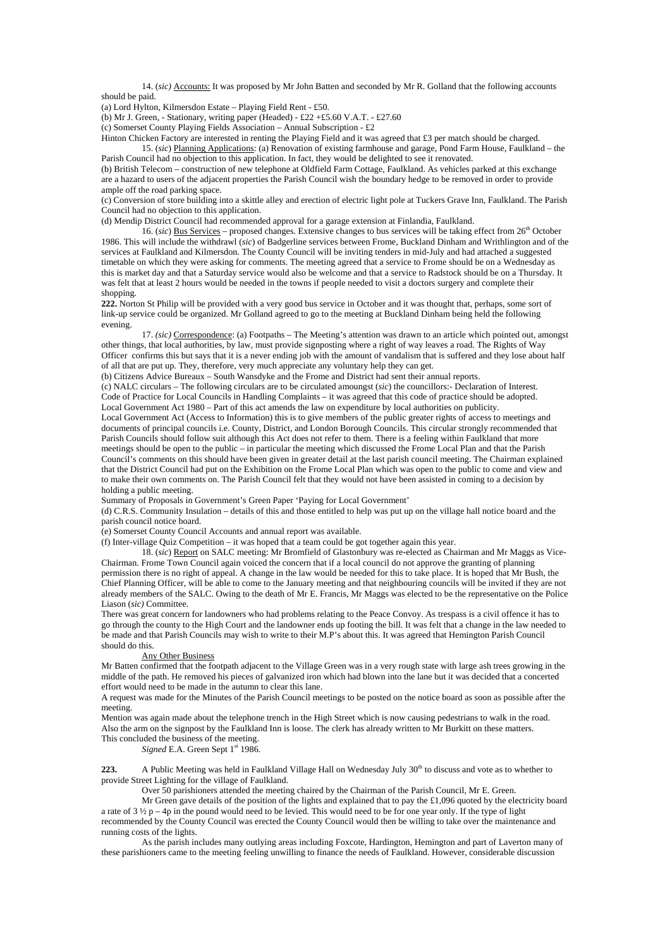14. (*sic)* Accounts: It was proposed by Mr John Batten and seconded by Mr R. Golland that the following accounts should be paid.

(a) Lord Hylton, Kilmersdon Estate – Playing Field Rent - £50.

(b) Mr J. Green, - Stationary, writing paper (Headed) - £22 +£5.60 V.A.T. - £27.60

(c) Somerset County Playing Fields Association – Annual Subscription - £2

Hinton Chicken Factory are interested in renting the Playing Field and it was agreed that £3 per match should be charged. 15. (*sic*) Planning Applications: (a) Renovation of existing farmhouse and garage, Pond Farm House, Faulkland – the Parish Council had no objection to this application. In fact, they would be delighted to see it renovated.

(b) British Telecom – construction of new telephone at Oldfield Farm Cottage, Faulkland. As vehicles parked at this exchange are a hazard to users of the adjacent properties the Parish Council wish the boundary hedge to be removed in order to provide ample off the road parking space.

(c) Conversion of store building into a skittle alley and erection of electric light pole at Tuckers Grave Inn, Faulkland. The Parish Council had no objection to this application.

(d) Mendip District Council had recommended approval for a garage extension at Finlandia, Faulkland.

 16. (*sic*) Bus Services – proposed changes. Extensive changes to bus services will be taking effect from 26th October 1986. This will include the withdrawl (*sic*) of Badgerline services between Frome, Buckland Dinham and Writhlington and of the services at Faulkland and Kilmersdon. The County Council will be inviting tenders in mid-July and had attached a suggested timetable on which they were asking for comments. The meeting agreed that a service to Frome should be on a Wednesday as this is market day and that a Saturday service would also be welcome and that a service to Radstock should be on a Thursday. It was felt that at least 2 hours would be needed in the towns if people needed to visit a doctors surgery and complete their shopping.

**222.** Norton St Philip will be provided with a very good bus service in October and it was thought that, perhaps, some sort of link-up service could be organized. Mr Golland agreed to go to the meeting at Buckland Dinham being held the following evening.

 17. *(sic)* Correspondence: (a) Footpaths – The Meeting's attention was drawn to an article which pointed out, amongst other things, that local authorities, by law, must provide signposting where a right of way leaves a road. The Rights of Way Officer confirms this but says that it is a never ending job with the amount of vandalism that is suffered and they lose about half of all that are put up. They, therefore, very much appreciate any voluntary help they can get.

(b) Citizens Advice Bureaux – South Wansdyke and the Frome and District had sent their annual reports.

(c) NALC circulars – The following circulars are to be circulated amoungst (*sic*) the councillors:- Declaration of Interest. Code of Practice for Local Councils in Handling Complaints – it was agreed that this code of practice should be adopted. Local Government Act 1980 – Part of this act amends the law on expenditure by local authorities on publicity.

Local Government Act (Access to Information) this is to give members of the public greater rights of access to meetings and documents of principal councils i.e. County, District, and London Borough Councils. This circular strongly recommended that Parish Councils should follow suit although this Act does not refer to them. There is a feeling within Faulkland that more meetings should be open to the public – in particular the meeting which discussed the Frome Local Plan and that the Parish Council's comments on this should have been given in greater detail at the last parish council meeting. The Chairman explained that the District Council had put on the Exhibition on the Frome Local Plan which was open to the public to come and view and to make their own comments on. The Parish Council felt that they would not have been assisted in coming to a decision by holding a public meeting.

Summary of Proposals in Government's Green Paper 'Paying for Local Government'

(d) C.R.S. Community Insulation – details of this and those entitled to help was put up on the village hall notice board and the parish council notice board.

(e) Somerset County Council Accounts and annual report was available.

(f) Inter-village Quiz Competition – it was hoped that a team could be got together again this year.

 18. (*sic*) Report on SALC meeting: Mr Bromfield of Glastonbury was re-elected as Chairman and Mr Maggs as Vice-Chairman. Frome Town Council again voiced the concern that if a local council do not approve the granting of planning permission there is no right of appeal. A change in the law would be needed for this to take place. It is hoped that Mr Bush, the Chief Planning Officer, will be able to come to the January meeting and that neighbouring councils will be invited if they are not already members of the SALC. Owing to the death of Mr E. Francis, Mr Maggs was elected to be the representative on the Police Liason (*sic)* Committee.

There was great concern for landowners who had problems relating to the Peace Convoy. As trespass is a civil offence it has to go through the county to the High Court and the landowner ends up footing the bill. It was felt that a change in the law needed to be made and that Parish Councils may wish to write to their M.P's about this. It was agreed that Hemington Parish Council should do this.

### Any Other Business

Mr Batten confirmed that the footpath adjacent to the Village Green was in a very rough state with large ash trees growing in the middle of the path. He removed his pieces of galvanized iron which had blown into the lane but it was decided that a concerted effort would need to be made in the autumn to clear this lane.

A request was made for the Minutes of the Parish Council meetings to be posted on the notice board as soon as possible after the meeting.

Mention was again made about the telephone trench in the High Street which is now causing pedestrians to walk in the road. Also the arm on the signpost by the Faulkland Inn is loose. The clerk has already written to Mr Burkitt on these matters. This concluded the business of the meeting.

*Signed* E.A. Green Sept 1<sup>st</sup> 1986.

**223.** A Public Meeting was held in Faulkland Village Hall on Wednesday July 30<sup>th</sup> to discuss and vote as to whether to provide Street Lighting for the village of Faulkland.

Over 50 parishioners attended the meeting chaired by the Chairman of the Parish Council, Mr E. Green.

 Mr Green gave details of the position of the lights and explained that to pay the £1,096 quoted by the electricity board a rate of  $3\frac{1}{2}p - 4p$  in the pound would need to be levied. This would need to be for one year only. If the type of light recommended by the County Council was erected the County Council would then be willing to take over the maintenance and running costs of the lights.

 As the parish includes many outlying areas including Foxcote, Hardington, Hemington and part of Laverton many of these parishioners came to the meeting feeling unwilling to finance the needs of Faulkland. However, considerable discussion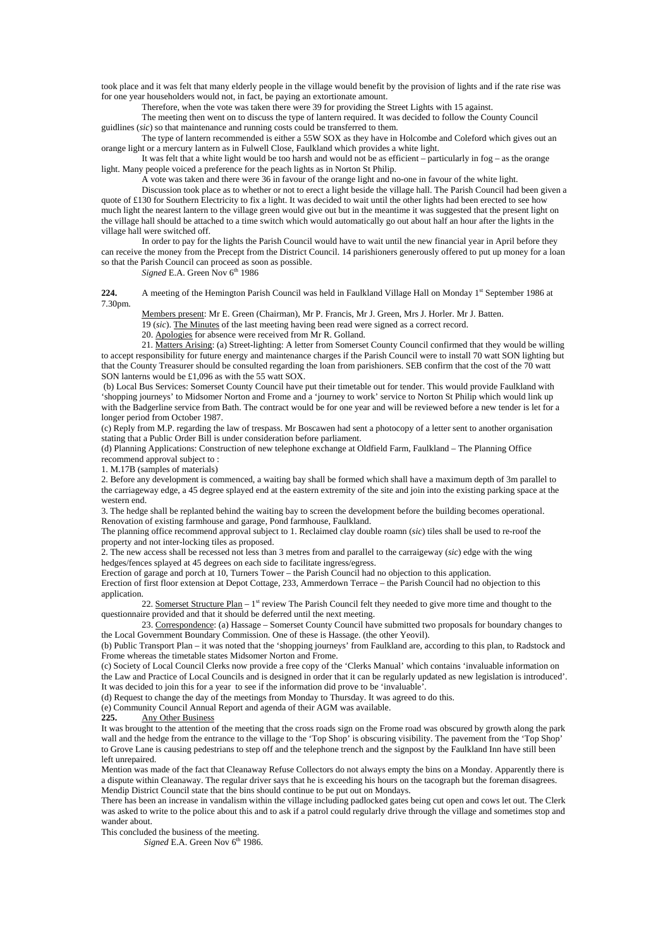took place and it was felt that many elderly people in the village would benefit by the provision of lights and if the rate rise was for one year householders would not, in fact, be paying an extortionate amount.

Therefore, when the vote was taken there were 39 for providing the Street Lights with 15 against.

 The meeting then went on to discuss the type of lantern required. It was decided to follow the County Council guidlines (*sic*) so that maintenance and running costs could be transferred to them.

 The type of lantern recommended is either a 55W SOX as they have in Holcombe and Coleford which gives out an orange light or a mercury lantern as in Fulwell Close, Faulkland which provides a white light.

 It was felt that a white light would be too harsh and would not be as efficient – particularly in fog – as the orange light. Many people voiced a preference for the peach lights as in Norton St Philip.

A vote was taken and there were 36 in favour of the orange light and no-one in favour of the white light.

 Discussion took place as to whether or not to erect a light beside the village hall. The Parish Council had been given a quote of £130 for Southern Electricity to fix a light. It was decided to wait until the other lights had been erected to see how much light the nearest lantern to the village green would give out but in the meantime it was suggested that the present light on the village hall should be attached to a time switch which would automatically go out about half an hour after the lights in the village hall were switched off.

 In order to pay for the lights the Parish Council would have to wait until the new financial year in April before they can receive the money from the Precept from the District Council. 14 parishioners generously offered to put up money for a loan so that the Parish Council can proceed as soon as possible.

*Signed* E.A. Green Nov 6<sup>th</sup> 1986

**224.** A meeting of the Hemington Parish Council was held in Faulkland Village Hall on Monday 1<sup>st</sup> September 1986 at 7.30pm.

Members present: Mr E. Green (Chairman), Mr P. Francis, Mr J. Green, Mrs J. Horler. Mr J. Batten.

19 (*sic*). The Minutes of the last meeting having been read were signed as a correct record.

20. Apologies for absence were received from Mr R. Golland.

 21. Matters Arising: (a) Street-lighting: A letter from Somerset County Council confirmed that they would be willing to accept responsibility for future energy and maintenance charges if the Parish Council were to install 70 watt SON lighting but that the County Treasurer should be consulted regarding the loan from parishioners. SEB confirm that the cost of the 70 watt SON lanterns would be £1,096 as with the 55 watt SOX.

 (b) Local Bus Services: Somerset County Council have put their timetable out for tender. This would provide Faulkland with 'shopping journeys' to Midsomer Norton and Frome and a 'journey to work' service to Norton St Philip which would link up with the Badgerline service from Bath. The contract would be for one year and will be reviewed before a new tender is let for a longer period from October 1987.

(c) Reply from M.P. regarding the law of trespass. Mr Boscawen had sent a photocopy of a letter sent to another organisation stating that a Public Order Bill is under consideration before parliament.

(d) Planning Applications: Construction of new telephone exchange at Oldfield Farm, Faulkland – The Planning Office recommend approval subject to :

1. M.17B (samples of materials)

2. Before any development is commenced, a waiting bay shall be formed which shall have a maximum depth of 3m parallel to the carriageway edge, a 45 degree splayed end at the eastern extremity of the site and join into the existing parking space at the western end.

3. The hedge shall be replanted behind the waiting bay to screen the development before the building becomes operational. Renovation of existing farmhouse and garage, Pond farmhouse, Faulkland.

The planning office recommend approval subject to 1. Reclaimed clay double roamn (*sic*) tiles shall be used to re-roof the property and not inter-locking tiles as proposed.

2. The new access shall be recessed not less than 3 metres from and parallel to the carraigeway (*sic*) edge with the wing hedges/fences splayed at 45 degrees on each side to facilitate ingress/egress.

Erection of garage and porch at 10, Turners Tower – the Parish Council had no objection to this application.

Erection of first floor extension at Depot Cottage, 233, Ammerdown Terrace – the Parish Council had no objection to this application.

22. Somerset Structure Plan –  $1<sup>st</sup>$  review The Parish Council felt they needed to give more time and thought to the questionnaire provided and that it should be deferred until the next meeting.

 23. Correspondence: (a) Hassage – Somerset County Council have submitted two proposals for boundary changes to the Local Government Boundary Commission. One of these is Hassage. (the other Yeovil).

(b) Public Transport Plan – it was noted that the 'shopping journeys' from Faulkland are, according to this plan, to Radstock and Frome whereas the timetable states Midsomer Norton and Frome.

(c) Society of Local Council Clerks now provide a free copy of the 'Clerks Manual' which contains 'invaluable information on the Law and Practice of Local Councils and is designed in order that it can be regularly updated as new legislation is introduced'. It was decided to join this for a year to see if the information did prove to be 'invaluable'.

(d) Request to change the day of the meetings from Monday to Thursday. It was agreed to do this.

(e) Community Council Annual Report and agenda of their AGM was available.

**225.** Any Other Business

It was brought to the attention of the meeting that the cross roads sign on the Frome road was obscured by growth along the park wall and the hedge from the entrance to the village to the 'Top Shop' is obscuring visibility. The pavement from the 'Top Shop' to Grove Lane is causing pedestrians to step off and the telephone trench and the signpost by the Faulkland Inn have still been left unrepaired.

Mention was made of the fact that Cleanaway Refuse Collectors do not always empty the bins on a Monday. Apparently there is a dispute within Cleanaway. The regular driver says that he is exceeding his hours on the tacograph but the foreman disagrees. Mendip District Council state that the bins should continue to be put out on Mondays.

There has been an increase in vandalism within the village including padlocked gates being cut open and cows let out. The Clerk was asked to write to the police about this and to ask if a patrol could regularly drive through the village and sometimes stop and wander about.

This concluded the business of the meeting.

*Signed* E.A. Green Nov 6<sup>th</sup> 1986.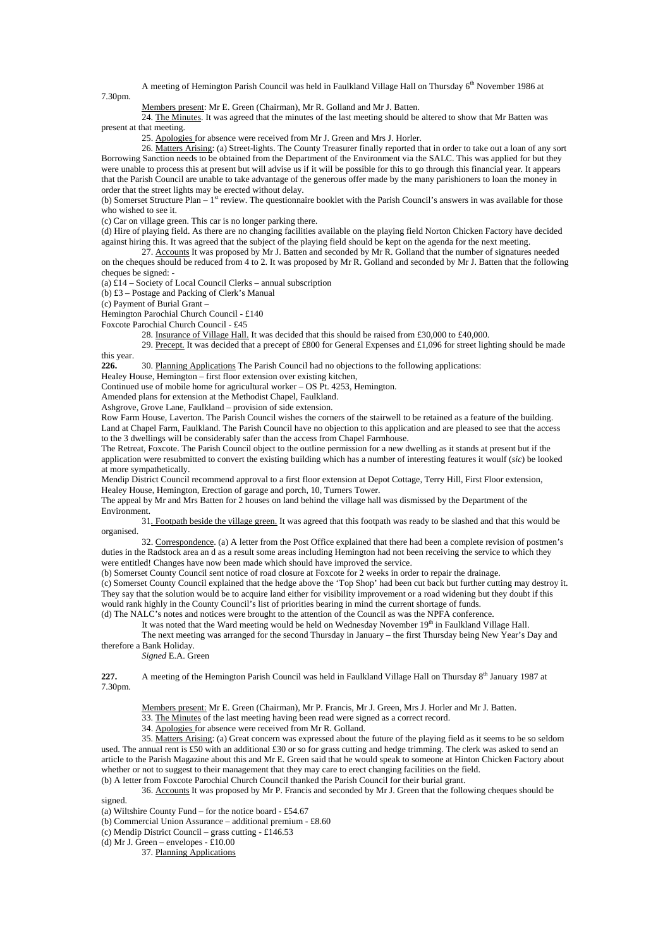A meeting of Hemington Parish Council was held in Faulkland Village Hall on Thursday 6<sup>th</sup> November 1986 at 7.30pm.

Members present: Mr E. Green (Chairman), Mr R. Golland and Mr J. Batten.

24. The Minutes. It was agreed that the minutes of the last meeting should be altered to show that Mr Batten was present at that meeting.

25. Apologies for absence were received from Mr J. Green and Mrs J. Horler.

 26. Matters Arising: (a) Street-lights. The County Treasurer finally reported that in order to take out a loan of any sort Borrowing Sanction needs to be obtained from the Department of the Environment via the SALC. This was applied for but they were unable to process this at present but will advise us if it will be possible for this to go through this financial year. It appears that the Parish Council are unable to take advantage of the generous offer made by the many parishioners to loan the money in order that the street lights may be erected without delay.

(b) Somerset Structure Plan –  $1<sup>st</sup>$  review. The questionnaire booklet with the Parish Council's answers in was available for those who wished to see it.

(c) Car on village green. This car is no longer parking there.

(d) Hire of playing field. As there are no changing facilities available on the playing field Norton Chicken Factory have decided against hiring this. It was agreed that the subject of the playing field should be kept on the agenda for the next meeting.

 27. Accounts It was proposed by Mr J. Batten and seconded by Mr R. Golland that the number of signatures needed on the cheques should be reduced from 4 to 2. It was proposed by Mr R. Golland and seconded by Mr J. Batten that the following cheques be signed: -

(a)  $£14 -$  Society of Local Council Clerks – annual subscription

(b) £3 – Postage and Packing of Clerk's Manual

(c) Payment of Burial Grant –

Hemington Parochial Church Council - £140

Foxcote Parochial Church Council - £45

28. Insurance of Village Hall. It was decided that this should be raised from £30,000 to £40,000.

 29. Precept. It was decided that a precept of £800 for General Expenses and £1,096 for street lighting should be made this year.

**226.** 30. Planning Applications The Parish Council had no objections to the following applications:

Healey House, Hemington – first floor extension over existing kitchen,

Continued use of mobile home for agricultural worker – OS Pt. 4253, Hemington.

Amended plans for extension at the Methodist Chapel, Faulkland.

Ashgrove, Grove Lane, Faulkland – provision of side extension.

Row Farm House, Laverton. The Parish Council wishes the corners of the stairwell to be retained as a feature of the building. Land at Chapel Farm, Faulkland. The Parish Council have no objection to this application and are pleased to see that the access to the 3 dwellings will be considerably safer than the access from Chapel Farmhouse.

The Retreat, Foxcote. The Parish Council object to the outline permission for a new dwelling as it stands at present but if the application were resubmitted to convert the existing building which has a number of interesting features it woulf (*sic*) be looked at more sympathetically.

Mendip District Council recommend approval to a first floor extension at Depot Cottage, Terry Hill, First Floor extension, Healey House, Hemington, Erection of garage and porch, 10, Turners Tower.

The appeal by Mr and Mrs Batten for 2 houses on land behind the village hall was dismissed by the Department of the Environment.

 31. Footpath beside the village green. It was agreed that this footpath was ready to be slashed and that this would be organised.

 32. Correspondence. (a) A letter from the Post Office explained that there had been a complete revision of postmen's duties in the Radstock area an d as a result some areas including Hemington had not been receiving the service to which they were entitled! Changes have now been made which should have improved the service.

(b) Somerset County Council sent notice of road closure at Foxcote for 2 weeks in order to repair the drainage.

(c) Somerset County Council explained that the hedge above the 'Top Shop' had been cut back but further cutting may destroy it. They say that the solution would be to acquire land either for visibility improvement or a road widening but they doubt if this would rank highly in the County Council's list of priorities bearing in mind the current shortage of funds.

(d) The NALC's notes and notices were brought to the attention of the Council as was the NPFA conference.

It was noted that the Ward meeting would be held on Wednesday November 19th in Faulkland Village Hall. The next meeting was arranged for the second Thursday in January – the first Thursday being New Year's Day and therefore a Bank Holiday.

*Signed* E.A. Green

**227.** A meeting of the Hemington Parish Council was held in Faulkland Village Hall on Thursday 8<sup>th</sup> January 1987 at 7.30pm.

Members present: Mr E. Green (Chairman), Mr P. Francis, Mr J. Green, Mrs J. Horler and Mr J. Batten.

33. The Minutes of the last meeting having been read were signed as a correct record.

34. Apologies for absence were received from Mr R. Golland.

 35. Matters Arising: (a) Great concern was expressed about the future of the playing field as it seems to be so seldom used. The annual rent is £50 with an additional £30 or so for grass cutting and hedge trimming. The clerk was asked to send an article to the Parish Magazine about this and Mr E. Green said that he would speak to someone at Hinton Chicken Factory about whether or not to suggest to their management that they may care to erect changing facilities on the field. (b) A letter from Foxcote Parochial Church Council thanked the Parish Council for their burial grant.

36. Accounts It was proposed by Mr P. Francis and seconded by Mr J. Green that the following cheques should be

signed

(a) Wiltshire County Fund – for the notice board - £54.67

(b) Commercial Union Assurance – additional premium - £8.60

(c) Mendip District Council – grass cutting -  $\hat{\text{1}}46.53$ 

(d) Mr J. Green – envelopes - £10.00

37. Planning Applications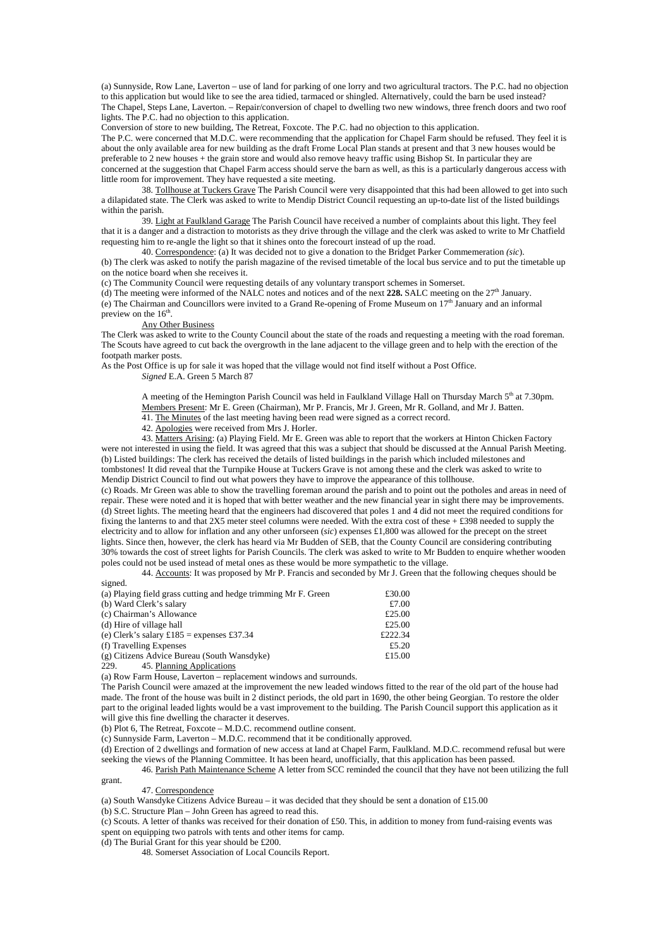(a) Sunnyside, Row Lane, Laverton – use of land for parking of one lorry and two agricultural tractors. The P.C. had no objection to this application but would like to see the area tidied, tarmaced or shingled. Alternatively, could the barn be used instead? The Chapel, Steps Lane, Laverton. – Repair/conversion of chapel to dwelling two new windows, three french doors and two roof lights. The P.C. had no objection to this application.

Conversion of store to new building, The Retreat, Foxcote. The P.C. had no objection to this application.

The P.C. were concerned that M.D.C. were recommending that the application for Chapel Farm should be refused. They feel it is about the only available area for new building as the draft Frome Local Plan stands at present and that 3 new houses would be preferable to 2 new houses + the grain store and would also remove heavy traffic using Bishop St. In particular they are concerned at the suggestion that Chapel Farm access should serve the barn as well, as this is a particularly dangerous access with

little room for improvement. They have requested a site meeting. 38. Tollhouse at Tuckers Grave The Parish Council were very disappointed that this had been allowed to get into such a dilapidated state. The Clerk was asked to write to Mendip District Council requesting an up-to-date list of the listed buildings within the parish.

39. Light at Faulkland Garage The Parish Council have received a number of complaints about this light. They feel that it is a danger and a distraction to motorists as they drive through the village and the clerk was asked to write to Mr Chatfield requesting him to re-angle the light so that it shines onto the forecourt instead of up the road.

40. Correspondence: (a) It was decided not to give a donation to the Bridget Parker Commemeration *(sic*).

(b) The clerk was asked to notify the parish magazine of the revised timetable of the local bus service and to put the timetable up on the notice board when she receives it.

(c) The Community Council were requesting details of any voluntary transport schemes in Somerset.

(d) The meeting were informed of the NALC notes and notices and of the next **228.** SALC meeting on the  $27<sup>th</sup>$  January.  $(e)$  The Chairman and Councillors were invited to a Grand Re-opening of Frome Museum on  $17<sup>th</sup>$  January and an informal preview on the  $16^{th}$ .

# Any Other Business

The Clerk was asked to write to the County Council about the state of the roads and requesting a meeting with the road foreman. The Scouts have agreed to cut back the overgrowth in the lane adjacent to the village green and to help with the erection of the footpath marker posts.

As the Post Office is up for sale it was hoped that the village would not find itself without a Post Office. *Signed* E.A. Green 5 March 87

> A meeting of the Hemington Parish Council was held in Faulkland Village Hall on Thursday March 5<sup>th</sup> at 7.30pm. Members Present: Mr E. Green (Chairman), Mr P. Francis, Mr J. Green, Mr R. Golland, and Mr J. Batten.

41. The Minutes of the last meeting having been read were signed as a correct record.

42. Apologies were received from Mrs J. Horler.

 43. Matters Arising: (a) Playing Field. Mr E. Green was able to report that the workers at Hinton Chicken Factory were not interested in using the field. It was agreed that this was a subject that should be discussed at the Annual Parish Meeting. (b) Listed buildings: The clerk has received the details of listed buildings in the parish which included milestones and tombstones! It did reveal that the Turnpike House at Tuckers Grave is not among these and the clerk was asked to write to Mendip District Council to find out what powers they have to improve the appearance of this tollhouse.

(c) Roads. Mr Green was able to show the travelling foreman around the parish and to point out the potholes and areas in need of repair. These were noted and it is hoped that with better weather and the new financial year in sight there may be improvements. (d) Street lights. The meeting heard that the engineers had discovered that poles 1 and 4 did not meet the required conditions for fixing the lanterns to and that 2X5 meter steel columns were needed. With the extra cost of these + £398 needed to supply the electricity and to allow for inflation and any other unforseen (*sic*) expenses £1,800 was allowed for the precept on the street lights. Since then, however, the clerk has heard via Mr Budden of SEB, that the County Council are considering contributing 30% towards the cost of street lights for Parish Councils. The clerk was asked to write to Mr Budden to enquire whether wooden poles could not be used instead of metal ones as these would be more sympathetic to the village.

 44. Accounts: It was proposed by Mr P. Francis and seconded by Mr J. Green that the following cheques should be signed.

| (a) Playing field grass cutting and hedge trimming Mr F. Green | £30.00  |
|----------------------------------------------------------------|---------|
| (b) Ward Clerk's salary                                        | £7.00   |
| (c) Chairman's Allowance                                       | £25.00  |
| (d) Hire of village hall                                       | £25.00  |
| (e) Clerk's salary $\pounds185$ = expenses £37.34              | £222.34 |
| (f) Travelling Expenses                                        | £5.20   |
| (g) Citizens Advice Bureau (South Wansdyke)                    | £15.00  |
| 45. Planning Applications<br>229.                              |         |

(a) Row Farm House, Laverton – replacement windows and surrounds.

The Parish Council were amazed at the improvement the new leaded windows fitted to the rear of the old part of the house had made. The front of the house was built in 2 distinct periods, the old part in 1690, the other being Georgian. To restore the older part to the original leaded lights would be a vast improvement to the building. The Parish Council support this application as it will give this fine dwelling the character it deserves.

(b) Plot 6, The Retreat, Foxcote – M.D.C. recommend outline consent.

(c) Sunnyside Farm, Laverton – M.D.C. recommend that it be conditionally approved.

(d) Erection of 2 dwellings and formation of new access at land at Chapel Farm, Faulkland. M.D.C. recommend refusal but were seeking the views of the Planning Committee. It has been heard, unofficially, that this application has been passed.

 46. Parish Path Maintenance Scheme A letter from SCC reminded the council that they have not been utilizing the full grant.

#### 47. Correspondence

(a) South Wansdyke Citizens Advice Bureau – it was decided that they should be sent a donation of £15.00

(b) S.C. Structure Plan – John Green has agreed to read this.

(c) Scouts. A letter of thanks was received for their donation of £50. This, in addition to money from fund-raising events was spent on equipping two patrols with tents and other items for camp.

(d) The Burial Grant for this year should be £200.

48. Somerset Association of Local Councils Report.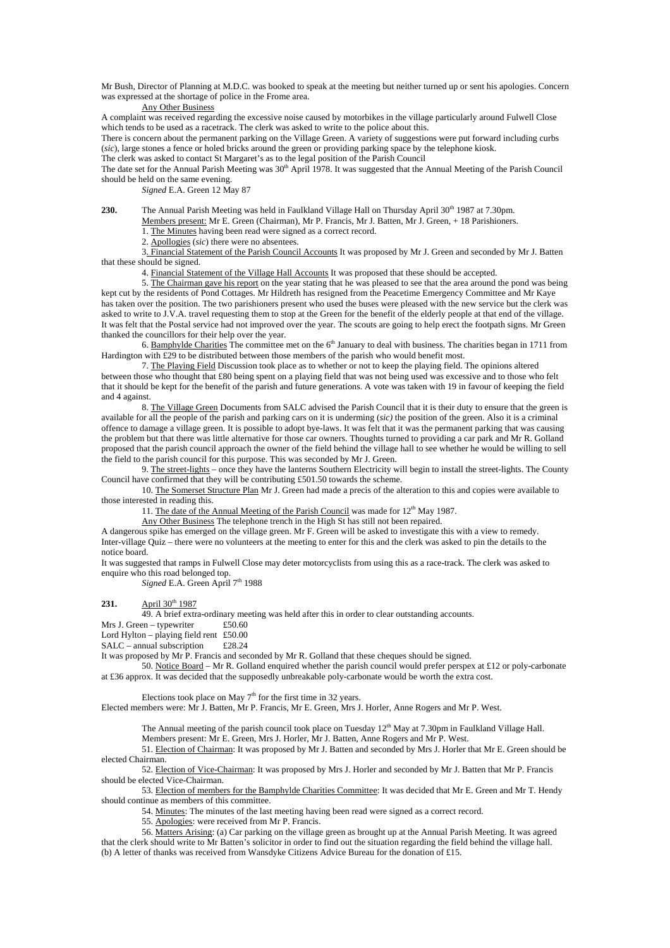Mr Bush, Director of Planning at M.D.C. was booked to speak at the meeting but neither turned up or sent his apologies. Concern was expressed at the shortage of police in the Frome area.

Any Other Business

A complaint was received regarding the excessive noise caused by motorbikes in the village particularly around Fulwell Close which tends to be used as a racetrack. The clerk was asked to write to the police about this.

There is concern about the permanent parking on the Village Green. A variety of suggestions were put forward including curbs (*sic*), large stones a fence or holed bricks around the green or providing parking space by the telephone kiosk.

The clerk was asked to contact St Margaret's as to the legal position of the Parish Council

The date set for the Annual Parish Meeting was 30<sup>th</sup> April 1978. It was suggested that the Annual Meeting of the Parish Council should be held on the same evening.

*Signed* E.A. Green 12 May 87

**230.** The Annual Parish Meeting was held in Faulkland Village Hall on Thursday April 30<sup>th</sup> 1987 at 7.30pm.

Members present: Mr E. Green (Chairman), Mr P. Francis, Mr J. Batten, Mr J. Green, + 18 Parishioners.

1. The Minutes having been read were signed as a correct record.

2. Apollogies (*sic*) there were no absentees.

 3. Financial Statement of the Parish Council Accounts It was proposed by Mr J. Green and seconded by Mr J. Batten that these should be signed.

4. Financial Statement of the Village Hall Accounts It was proposed that these should be accepted.

 5. The Chairman gave his report on the year stating that he was pleased to see that the area around the pond was being kept cut by the residents of Pond Cottages. Mr Hildreth has resigned from the Peacetime Emergency Committee and Mr Kaye has taken over the position. The two parishioners present who used the buses were pleased with the new service but the clerk was asked to write to J.V.A. travel requesting them to stop at the Green for the benefit of the elderly people at that end of the village. It was felt that the Postal service had not improved over the year. The scouts are going to help erect the footpath signs. Mr Green thanked the councillors for their help over the year.

6. Bamphylde Charities The committee met on the  $6<sup>th</sup>$  January to deal with business. The charities began in 1711 from Hardington with £29 to be distributed between those members of the parish who would benefit most.

 7. The Playing Field Discussion took place as to whether or not to keep the playing field. The opinions altered between those who thought that £80 being spent on a playing field that was not being used was excessive and to those who felt that it should be kept for the benefit of the parish and future generations. A vote was taken with 19 in favour of keeping the field and 4 against.

8. The Village Green Documents from SALC advised the Parish Council that it is their duty to ensure that the green is available for all the people of the parish and parking cars on it is underming (*sic)* the position of the green. Also it is a criminal offence to damage a village green. It is possible to adopt bye-laws. It was felt that it was the permanent parking that was causing the problem but that there was little alternative for those car owners. Thoughts turned to providing a car park and Mr R. Golland proposed that the parish council approach the owner of the field behind the village hall to see whether he would be willing to sell the field to the parish council for this purpose. This was seconded by Mr J. Green.

 9. The street-lights – once they have the lanterns Southern Electricity will begin to install the street-lights. The County Council have confirmed that they will be contributing £501.50 towards the scheme.

 10. The Somerset Structure Plan Mr J. Green had made a precis of the alteration to this and copies were available to those interested in reading this.

11. The date of the Annual Meeting of the Parish Council was made for 12<sup>th</sup> May 1987.

Any Other Business The telephone trench in the High St has still not been repaired.

A dangerous spike has emerged on the village green. Mr F. Green will be asked to investigate this with a view to remedy. Inter-village Quiz – there were no volunteers at the meeting to enter for this and the clerk was asked to pin the details to the notice board.

It was suggested that ramps in Fulwell Close may deter motorcyclists from using this as a race-track. The clerk was asked to enquire who this road belonged top.

Signed E.A. Green April 7<sup>th</sup> 1988

**231.** April 30<sup>th</sup> 1987

49. A brief extra-ordinary meeting was held after this in order to clear outstanding accounts.

Mrs J. Green – typewriter £50.60

Lord Hylton – playing field rent £50.00<br>SALC – annual subscription £28.24

 $SALC$  – annual subscription

It was proposed by Mr P. Francis and seconded by Mr R. Golland that these cheques should be signed.

 50. Notice Board – Mr R. Golland enquired whether the parish council would prefer perspex at £12 or poly-carbonate at £36 approx. It was decided that the supposedly unbreakable poly-carbonate would be worth the extra cost.

Elections took place on May  $7<sup>th</sup>$  for the first time in 32 years.

Elected members were: Mr J. Batten, Mr P. Francis, Mr E. Green, Mrs J. Horler, Anne Rogers and Mr P. West.

The Annual meeting of the parish council took place on Tuesday  $12<sup>th</sup>$  May at 7.30pm in Faulkland Village Hall.

Members present: Mr E. Green, Mrs J. Horler, Mr J. Batten, Anne Rogers and Mr P. West.

 51. Election of Chairman: It was proposed by Mr J. Batten and seconded by Mrs J. Horler that Mr E. Green should be elected Chairman.

 52. Election of Vice-Chairman: It was proposed by Mrs J. Horler and seconded by Mr J. Batten that Mr P. Francis should be elected Vice-Chairman.

 53. Election of members for the Bamphylde Charities Committee: It was decided that Mr E. Green and Mr T. Hendy should continue as members of this committee.

54. Minutes: The minutes of the last meeting having been read were signed as a correct record.

55. Apologies: were received from Mr P. Francis.

 56. Matters Arising: (a) Car parking on the village green as brought up at the Annual Parish Meeting. It was agreed that the clerk should write to Mr Batten's solicitor in order to find out the situation regarding the field behind the village hall. (b) A letter of thanks was received from Wansdyke Citizens Advice Bureau for the donation of £15.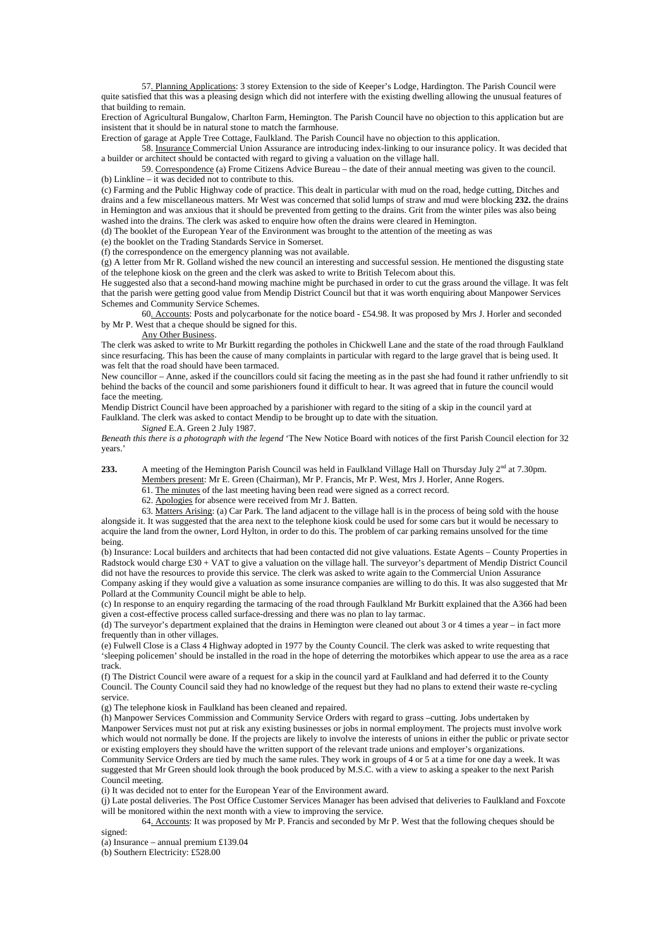57. Planning Applications: 3 storey Extension to the side of Keeper's Lodge, Hardington. The Parish Council were quite satisfied that this was a pleasing design which did not interfere with the existing dwelling allowing the unusual features of that building to remain.

Erection of Agricultural Bungalow, Charlton Farm, Hemington. The Parish Council have no objection to this application but are insistent that it should be in natural stone to match the farmhouse.

Erection of garage at Apple Tree Cottage, Faulkland. The Parish Council have no objection to this application. 58. Insurance Commercial Union Assurance are introducing index-linking to our insurance policy. It was decided that

a builder or architect should be contacted with regard to giving a valuation on the village hall.

 59. Correspondence (a) Frome Citizens Advice Bureau – the date of their annual meeting was given to the council. (b) Linkline – it was decided not to contribute to this.

(c) Farming and the Public Highway code of practice. This dealt in particular with mud on the road, hedge cutting, Ditches and drains and a few miscellaneous matters. Mr West was concerned that solid lumps of straw and mud were blocking **232.** the drains in Hemington and was anxious that it should be prevented from getting to the drains. Grit from the winter piles was also being washed into the drains. The clerk was asked to enquire how often the drains were cleared in Hemington.

(d) The booklet of the European Year of the Environment was brought to the attention of the meeting as was

(e) the booklet on the Trading Standards Service in Somerset.

(f) the correspondence on the emergency planning was not available.

(g) A letter from Mr R. Golland wished the new council an interesting and successful session. He mentioned the disgusting state of the telephone kiosk on the green and the clerk was asked to write to British Telecom about this.

He suggested also that a second-hand mowing machine might be purchased in order to cut the grass around the village. It was felt that the parish were getting good value from Mendip District Council but that it was worth enquiring about Manpower Services Schemes and Community Service Schemes.

 60. Accounts: Posts and polycarbonate for the notice board - £54.98. It was proposed by Mrs J. Horler and seconded by Mr P. West that a cheque should be signed for this.

#### Any Other Business.

The clerk was asked to write to Mr Burkitt regarding the potholes in Chickwell Lane and the state of the road through Faulkland since resurfacing. This has been the cause of many complaints in particular with regard to the large gravel that is being used. It was felt that the road should have been tarmaced.

New councillor – Anne, asked if the councillors could sit facing the meeting as in the past she had found it rather unfriendly to sit behind the backs of the council and some parishioners found it difficult to hear. It was agreed that in future the council would face the meeting.

Mendip District Council have been approached by a parishioner with regard to the siting of a skip in the council yard at Faulkland. The clerk was asked to contact Mendip to be brought up to date with the situation.

*Signed* E.A. Green 2 July 1987.

*Beneath this there is a photograph with the legend* 'The New Notice Board with notices of the first Parish Council election for 32 years.'

**233.** A meeting of the Hemington Parish Council was held in Faulkland Village Hall on Thursday July 2<sup>nd</sup> at 7.30pm.

Members present: Mr E. Green (Chairman), Mr P. Francis, Mr P. West, Mrs J. Horler, Anne Rogers.

 61. The minutes of the last meeting having been read were signed as a correct record. 62. Apologies for absence were received from Mr J. Batten.

 63. Matters Arising: (a) Car Park. The land adjacent to the village hall is in the process of being sold with the house alongside it. It was suggested that the area next to the telephone kiosk could be used for some cars but it would be necessary to acquire the land from the owner, Lord Hylton, in order to do this. The problem of car parking remains unsolved for the time being.

(b) Insurance: Local builders and architects that had been contacted did not give valuations. Estate Agents – County Properties in Radstock would charge £30 + VAT to give a valuation on the village hall. The surveyor's department of Mendip District Council did not have the resources to provide this service. The clerk was asked to write again to the Commercial Union Assurance Company asking if they would give a valuation as some insurance companies are willing to do this. It was also suggested that Mr

Pollard at the Community Council might be able to help. (c) In response to an enquiry regarding the tarmacing of the road through Faulkland Mr Burkitt explained that the A366 had been

given a cost-effective process called surface-dressing and there was no plan to lay tarmac.

(d) The surveyor's department explained that the drains in Hemington were cleaned out about 3 or 4 times a year – in fact more frequently than in other villages.

(e) Fulwell Close is a Class 4 Highway adopted in 1977 by the County Council. The clerk was asked to write requesting that 'sleeping policemen' should be installed in the road in the hope of deterring the motorbikes which appear to use the area as a race track.

(f) The District Council were aware of a request for a skip in the council yard at Faulkland and had deferred it to the County Council. The County Council said they had no knowledge of the request but they had no plans to extend their waste re-cycling service.

(g) The telephone kiosk in Faulkland has been cleaned and repaired.

(h) Manpower Services Commission and Community Service Orders with regard to grass –cutting. Jobs undertaken by Manpower Services must not put at risk any existing businesses or jobs in normal employment. The projects must involve work which would not normally be done. If the projects are likely to involve the interests of unions in either the public or private sector or existing employers they should have the written support of the relevant trade unions and employer's organizations. Community Service Orders are tied by much the same rules. They work in groups of 4 or 5 at a time for one day a week. It was suggested that Mr Green should look through the book produced by M.S.C. with a view to asking a speaker to the next Parish Council meeting.

(i) It was decided not to enter for the European Year of the Environment award.

(j) Late postal deliveries. The Post Office Customer Services Manager has been advised that deliveries to Faulkland and Foxcote will be monitored within the next month with a view to improving the service.

64. Accounts: It was proposed by Mr P. Francis and seconded by Mr P. West that the following cheques should be

signed: (a) Insurance – annual premium £139.04

(b) Southern Electricity: £528.00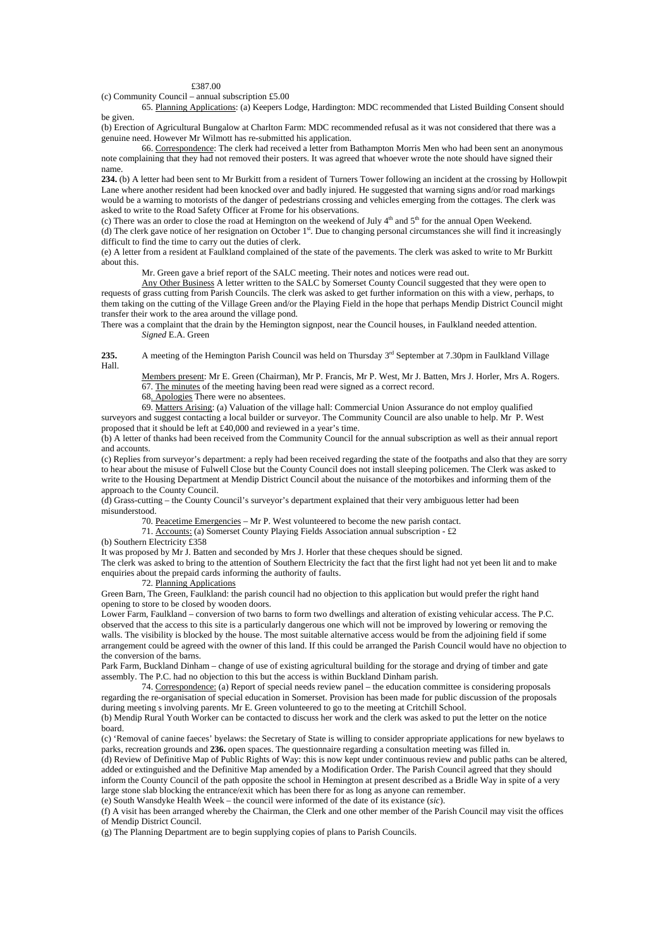### £387.00

(c) Community Council – annual subscription  $£5.00$ 

 65. Planning Applications: (a) Keepers Lodge, Hardington: MDC recommended that Listed Building Consent should be given.

(b) Erection of Agricultural Bungalow at Charlton Farm: MDC recommended refusal as it was not considered that there was a genuine need. However Mr Wilmott has re-submitted his application.

 66. Correspondence: The clerk had received a letter from Bathampton Morris Men who had been sent an anonymous note complaining that they had not removed their posters. It was agreed that whoever wrote the note should have signed their name.

**234.** (b) A letter had been sent to Mr Burkitt from a resident of Turners Tower following an incident at the crossing by Hollowpit Lane where another resident had been knocked over and badly injured. He suggested that warning signs and/or road markings would be a warning to motorists of the danger of pedestrians crossing and vehicles emerging from the cottages. The clerk was asked to write to the Road Safety Officer at Frome for his observations.

(c) There was an order to close the road at Hemington on the weekend of July  $4<sup>th</sup>$  and  $5<sup>th</sup>$  for the annual Open Weekend. (d) The clerk gave notice of her resignation on October  $1<sup>st</sup>$ . Due to changing personal circumstances she will find it increasingly difficult to find the time to carry out the duties of clerk.

(e) A letter from a resident at Faulkland complained of the state of the pavements. The clerk was asked to write to Mr Burkitt about this.

Mr. Green gave a brief report of the SALC meeting. Their notes and notices were read out.

 Any Other Business A letter written to the SALC by Somerset County Council suggested that they were open to requests of grass cutting from Parish Councils. The clerk was asked to get further information on this with a view, perhaps, to them taking on the cutting of the Village Green and/or the Playing Field in the hope that perhaps Mendip District Council might transfer their work to the area around the village pond.

There was a complaint that the drain by the Hemington signpost, near the Council houses, in Faulkland needed attention. *Signed* E.A. Green

**235.** A meeting of the Hemington Parish Council was held on Thursday 3<sup>rd</sup> September at 7.30pm in Faulkland Village Hall.

 Members present: Mr E. Green (Chairman), Mr P. Francis, Mr P. West, Mr J. Batten, Mrs J. Horler, Mrs A. Rogers. 67. The minutes of the meeting having been read were signed as a correct record.

68. Apologies There were no absentees.

69. Matters Arising: (a) Valuation of the village hall: Commercial Union Assurance do not employ qualified

surveyors and suggest contacting a local builder or surveyor. The Community Council are also unable to help. Mr P. West proposed that it should be left at £40,000 and reviewed in a year's time.

(b) A letter of thanks had been received from the Community Council for the annual subscription as well as their annual report and accounts.

(c) Replies from surveyor's department: a reply had been received regarding the state of the footpaths and also that they are sorry to hear about the misuse of Fulwell Close but the County Council does not install sleeping policemen. The Clerk was asked to write to the Housing Department at Mendip District Council about the nuisance of the motorbikes and informing them of the approach to the County Council.

(d) Grass-cutting – the County Council's surveyor's department explained that their very ambiguous letter had been misunderstood.

70. Peacetime Emergencies – Mr P. West volunteered to become the new parish contact.

71. Accounts: (a) Somerset County Playing Fields Association annual subscription - £2

(b) Southern Electricity £358

It was proposed by Mr J. Batten and seconded by Mrs J. Horler that these cheques should be signed.

The clerk was asked to bring to the attention of Southern Electricity the fact that the first light had not yet been lit and to make enquiries about the prepaid cards informing the authority of faults.

# 72. Planning Applications

Green Barn, The Green, Faulkland: the parish council had no objection to this application but would prefer the right hand opening to store to be closed by wooden doors.

Lower Farm, Faulkland – conversion of two barns to form two dwellings and alteration of existing vehicular access. The P.C. observed that the access to this site is a particularly dangerous one which will not be improved by lowering or removing the walls. The visibility is blocked by the house. The most suitable alternative access would be from the adjoining field if some arrangement could be agreed with the owner of this land. If this could be arranged the Parish Council would have no objection to the conversion of the barns.

Park Farm, Buckland Dinham – change of use of existing agricultural building for the storage and drying of timber and gate assembly. The P.C. had no objection to this but the access is within Buckland Dinham parish.

 74. Correspondence: (a) Report of special needs review panel – the education committee is considering proposals regarding the re-organisation of special education in Somerset. Provision has been made for public discussion of the proposals during meeting s involving parents. Mr E. Green volunteered to go to the meeting at Critchill School. (b) Mendip Rural Youth Worker can be contacted to discuss her work and the clerk was asked to put the letter on the notice

board.

(c) 'Removal of canine faeces' byelaws: the Secretary of State is willing to consider appropriate applications for new byelaws to parks, recreation grounds and **236.** open spaces. The questionnaire regarding a consultation meeting was filled in. (d) Review of Definitive Map of Public Rights of Way: this is now kept under continuous review and public paths can be altered, added or extinguished and the Definitive Map amended by a Modification Order. The Parish Council agreed that they should inform the County Council of the path opposite the school in Hemington at present described as a Bridle Way in spite of a very large stone slab blocking the entrance/exit which has been there for as long as anyone can remember. (e) South Wansdyke Health Week – the council were informed of the date of its existance (*sic*).

(f) A visit has been arranged whereby the Chairman, the Clerk and one other member of the Parish Council may visit the offices of Mendip District Council.

(g) The Planning Department are to begin supplying copies of plans to Parish Councils.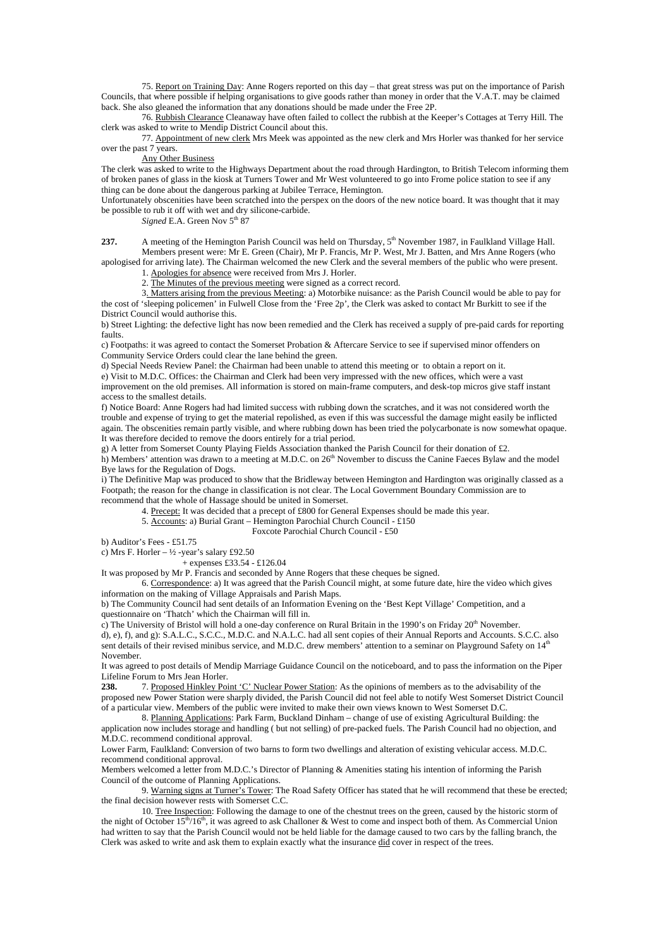75. Report on Training Day: Anne Rogers reported on this day – that great stress was put on the importance of Parish Councils, that where possible if helping organisations to give goods rather than money in order that the V.A.T. may be claimed back. She also gleaned the information that any donations should be made under the Free 2P.

 76. Rubbish Clearance Cleanaway have often failed to collect the rubbish at the Keeper's Cottages at Terry Hill. The clerk was asked to write to Mendip District Council about this.

 77. Appointment of new clerk Mrs Meek was appointed as the new clerk and Mrs Horler was thanked for her service over the past 7 years.

# Any Other Business

The clerk was asked to write to the Highways Department about the road through Hardington, to British Telecom informing them of broken panes of glass in the kiosk at Turners Tower and Mr West volunteered to go into Frome police station to see if any thing can be done about the dangerous parking at Jubilee Terrace, Hemington.

Unfortunately obscenities have been scratched into the perspex on the doors of the new notice board. It was thought that it may be possible to rub it off with wet and dry silicone-carbide.

*Signed* E.A. Green Nov  $5<sup>th</sup> 87$ 

237. A meeting of the Hemington Parish Council was held on Thursday, 5<sup>th</sup> November 1987, in Faulkland Village Hall. Members present were: Mr E. Green (Chair), Mr P. Francis, Mr P. West, Mr J. Batten, and Mrs Anne Rogers (who

apologised for arriving late). The Chairman welcomed the new Clerk and the several members of the public who were present. 1. Apologies for absence were received from Mrs J. Horler.

2. The Minutes of the previous meeting were signed as a correct record.

 3. Matters arising from the previous Meeting: a) Motorbike nuisance: as the Parish Council would be able to pay for the cost of 'sleeping policemen' in Fulwell Close from the 'Free 2p', the Clerk was asked to contact Mr Burkitt to see if the District Council would authorise this.

b) Street Lighting: the defective light has now been remedied and the Clerk has received a supply of pre-paid cards for reporting faults.

c) Footpaths: it was agreed to contact the Somerset Probation & Aftercare Service to see if supervised minor offenders on Community Service Orders could clear the lane behind the green.

d) Special Needs Review Panel: the Chairman had been unable to attend this meeting or to obtain a report on it.

e) Visit to M.D.C. Offices: the Chairman and Clerk had been very impressed with the new offices, which were a vast

improvement on the old premises. All information is stored on main-frame computers, and desk-top micros give staff instant access to the smallest details.

f) Notice Board: Anne Rogers had had limited success with rubbing down the scratches, and it was not considered worth the trouble and expense of trying to get the material repolished, as even if this was successful the damage might easily be inflicted again. The obscenities remain partly visible, and where rubbing down has been tried the polycarbonate is now somewhat opaque. It was therefore decided to remove the doors entirely for a trial period.

g) A letter from Somerset County Playing Fields Association thanked the Parish Council for their donation of £2.

h) Members' attention was drawn to a meeting at M.D.C. on 26<sup>th</sup> November to discuss the Canine Faeces Bylaw and the model Bye laws for the Regulation of Dogs.

i) The Definitive Map was produced to show that the Bridleway between Hemington and Hardington was originally classed as a Footpath; the reason for the change in classification is not clear. The Local Government Boundary Commission are to recommend that the whole of Hassage should be united in Somerset.

4. Precept: It was decided that a precept of £800 for General Expenses should be made this year.

- 5. Accounts: a) Burial Grant Hemington Parochial Church Council £150
- Foxcote Parochial Church Council £50

b) Auditor's Fees - £51.75

c) Mrs F. Horler –  $\frac{1}{2}$  -year's salary £92.50

 $+$  expenses £33.54 - £126.04

It was proposed by Mr P. Francis and seconded by Anne Rogers that these cheques be signed.

 6. Correspondence: a) It was agreed that the Parish Council might, at some future date, hire the video which gives information on the making of Village Appraisals and Parish Maps.

b) The Community Council had sent details of an Information Evening on the 'Best Kept Village' Competition, and a questionnaire on 'Thatch' which the Chairman will fill in.

c) The University of Bristol will hold a one-day conference on Rural Britain in the 1990's on Friday  $20<sup>th</sup>$  November.

d), e), f), and g): S.A.L.C., S.C.C., M.D.C. and N.A.L.C. had all sent copies of their Annual Reports and Accounts. S.C.C. also sent details of their revised minibus service, and M.D.C. drew members' attention to a seminar on Playground Safety on 14<sup>th</sup> November.

It was agreed to post details of Mendip Marriage Guidance Council on the noticeboard, and to pass the information on the Piper Lifeline Forum to Mrs Jean Horler.<br>238 7 Proposed Hinkley Poi

**238.** 7. Proposed Hinkley Point 'C' Nuclear Power Station: As the opinions of members as to the advisability of the proposed new Power Station were sharply divided, the Parish Council did not feel able to notify West Somerset District Council of a particular view. Members of the public were invited to make their own views known to West Somerset D.C.

8. Planning Applications: Park Farm, Buckland Dinham – change of use of existing Agricultural Building: the application now includes storage and handling ( but not selling) of pre-packed fuels. The Parish Council had no objection, and M.D.C. recommend conditional approval.

Lower Farm, Faulkland: Conversion of two barns to form two dwellings and alteration of existing vehicular access. M.D.C. recommend conditional approval.

Members welcomed a letter from M.D.C.'s Director of Planning & Amenities stating his intention of informing the Parish Council of the outcome of Planning Applications.

 9. Warning signs at Turner's Tower: The Road Safety Officer has stated that he will recommend that these be erected; the final decision however rests with Somerset C.C.

10. Tree Inspection: Following the damage to one of the chestnut trees on the green, caused by the historic storm of the night of October  $15^{th}/16^{th}$ , it was agreed to ask Challoner & West to come and inspect both of them. As Commercial Union had written to say that the Parish Council would not be held liable for the damage caused to two cars by the falling branch, the Clerk was asked to write and ask them to explain exactly what the insurance  $\underline{\text{did}}$  cover in respect of the trees.